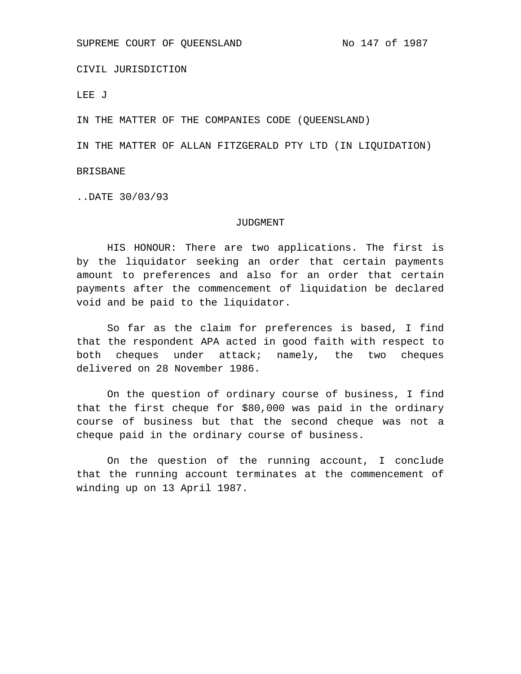CIVIL JURISDICTION

LEE J

IN THE MATTER OF THE COMPANIES CODE (QUEENSLAND)

IN THE MATTER OF ALLAN FITZGERALD PTY LTD (IN LIQUIDATION)

BRISBANE

..DATE 30/03/93

#### JUDGMENT

HIS HONOUR: There are two applications. The first is by the liquidator seeking an order that certain payments amount to preferences and also for an order that certain payments after the commencement of liquidation be declared void and be paid to the liquidator.

So far as the claim for preferences is based, I find that the respondent APA acted in good faith with respect to both cheques under attack; namely, the two cheques delivered on 28 November 1986.

On the question of ordinary course of business, I find that the first cheque for \$80,000 was paid in the ordinary course of business but that the second cheque was not a cheque paid in the ordinary course of business.

On the question of the running account, I conclude that the running account terminates at the commencement of winding up on 13 April 1987.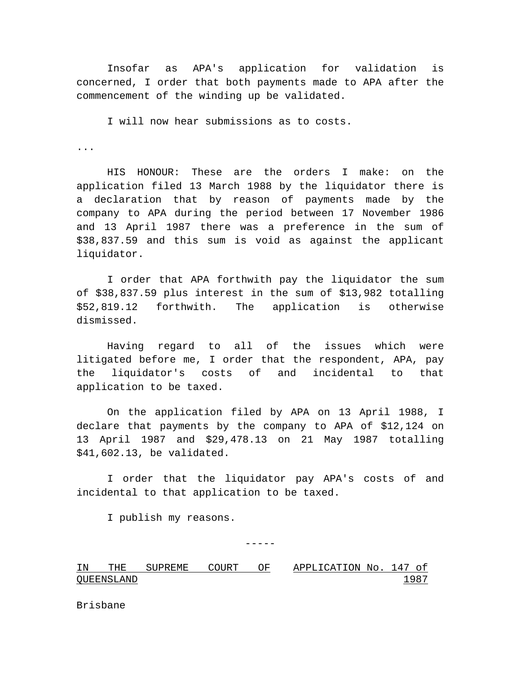Insofar as APA's application for validation is concerned, I order that both payments made to APA after the commencement of the winding up be validated.

I will now hear submissions as to costs.

...

HIS HONOUR: These are the orders I make: on the application filed 13 March 1988 by the liquidator there is a declaration that by reason of payments made by the company to APA during the period between 17 November 1986 and 13 April 1987 there was a preference in the sum of \$38,837.59 and this sum is void as against the applicant liquidator.

I order that APA forthwith pay the liquidator the sum of \$38,837.59 plus interest in the sum of \$13,982 totalling \$52,819.12 forthwith. The application is otherwise dismissed.

Having regard to all of the issues which were litigated before me, I order that the respondent, APA, pay the liquidator's costs of and incidental to that application to be taxed.

On the application filed by APA on 13 April 1988, I declare that payments by the company to APA of \$12,124 on 13 April 1987 and \$29,478.13 on 21 May 1987 totalling \$41,602.13, be validated.

I order that the liquidator pay APA's costs of and incidental to that application to be taxed.

I publish my reasons.

 $----$ 

IN THE SUPREME COURT OF QUEENSLAND APPLICATION No. 147 of 1987

Brisbane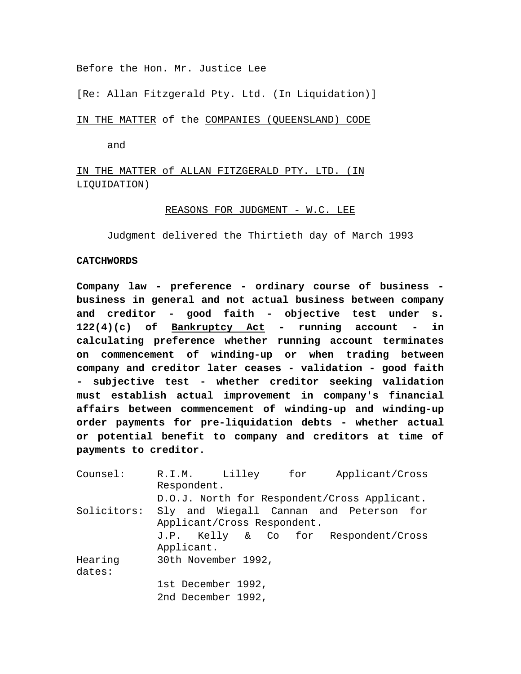Before the Hon. Mr. Justice Lee

[Re: Allan Fitzgerald Pty. Ltd. (In Liquidation)]

IN THE MATTER of the COMPANIES (QUEENSLAND) CODE

and

IN THE MATTER of ALLAN FITZGERALD PTY. LTD. (IN LIQUIDATION)

# REASONS FOR JUDGMENT - W.C. LEE

Judgment delivered the Thirtieth day of March 1993

#### **CATCHWORDS**

**Company law - preference - ordinary course of business business in general and not actual business between company and creditor - good faith - objective test under s. 122(4)(c) of Bankruptcy Act - running account - in calculating preference whether running account terminates on commencement of winding-up or when trading between company and creditor later ceases - validation - good faith - subjective test - whether creditor seeking validation must establish actual improvement in company's financial affairs between commencement of winding-up and winding-up order payments for pre-liquidation debts - whether actual or potential benefit to company and creditors at time of payments to creditor.**

| Counsel:    | R.I.M. Lilley for                            |  |  | Applicant/Cross                         |  |  |
|-------------|----------------------------------------------|--|--|-----------------------------------------|--|--|
|             | Respondent.                                  |  |  |                                         |  |  |
|             | D.O.J. North for Respondent/Cross Applicant. |  |  |                                         |  |  |
| Solicitors: |                                              |  |  | Sly and Wiegall Cannan and Peterson for |  |  |
|             | Applicant/Cross Respondent.                  |  |  |                                         |  |  |
|             |                                              |  |  | J.P. Kelly & Co for Respondent/Cross    |  |  |
|             | Applicant.                                   |  |  |                                         |  |  |
| Hearing     | 30th November 1992,                          |  |  |                                         |  |  |
| dates:      |                                              |  |  |                                         |  |  |
|             | 1st December 1992,                           |  |  |                                         |  |  |
|             | 2nd December 1992,                           |  |  |                                         |  |  |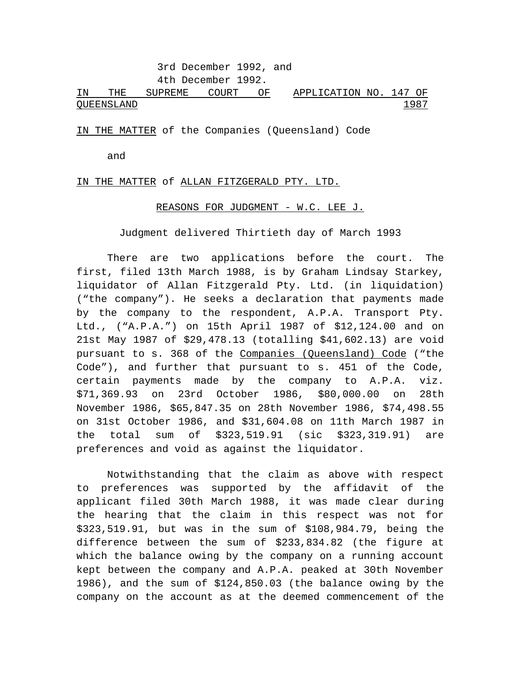3rd December 1992, and 4th December 1992.

IN THE SUPREME COURT OF QUEENSLAND APPLICATION NO. 147 OF 1987

IN THE MATTER of the Companies (Queensland) Code

and

IN THE MATTER of ALLAN FITZGERALD PTY. LTD.

## REASONS FOR JUDGMENT - W.C. LEE J.

Judgment delivered Thirtieth day of March 1993

There are two applications before the court. The first, filed 13th March 1988, is by Graham Lindsay Starkey, liquidator of Allan Fitzgerald Pty. Ltd. (in liquidation) ("the company"). He seeks a declaration that payments made by the company to the respondent, A.P.A. Transport Pty. Ltd., ("A.P.A.") on 15th April 1987 of \$12,124.00 and on 21st May 1987 of \$29,478.13 (totalling \$41,602.13) are void pursuant to s. 368 of the Companies (Queensland) Code ("the Code"), and further that pursuant to s. 451 of the Code, certain payments made by the company to A.P.A. viz. \$71,369.93 on 23rd October 1986, \$80,000.00 on 28th November 1986, \$65,847.35 on 28th November 1986, \$74,498.55 on 31st October 1986, and \$31,604.08 on 11th March 1987 in the total sum of \$323,519.91 (sic \$323,319.91) are preferences and void as against the liquidator.

Notwithstanding that the claim as above with respect to preferences was supported by the affidavit of the applicant filed 30th March 1988, it was made clear during the hearing that the claim in this respect was not for \$323,519.91, but was in the sum of \$108,984.79, being the difference between the sum of \$233,834.82 (the figure at which the balance owing by the company on a running account kept between the company and A.P.A. peaked at 30th November 1986), and the sum of \$124,850.03 (the balance owing by the company on the account as at the deemed commencement of the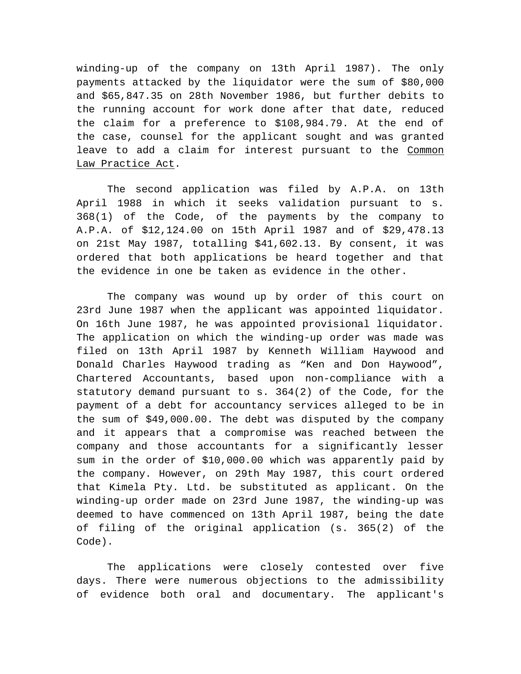winding-up of the company on 13th April 1987). The only payments attacked by the liquidator were the sum of \$80,000 and \$65,847.35 on 28th November 1986, but further debits to the running account for work done after that date, reduced the claim for a preference to \$108,984.79. At the end of the case, counsel for the applicant sought and was granted leave to add a claim for interest pursuant to the Common Law Practice Act.

The second application was filed by A.P.A. on 13th April 1988 in which it seeks validation pursuant to s. 368(1) of the Code, of the payments by the company to A.P.A. of \$12,124.00 on 15th April 1987 and of \$29,478.13 on 21st May 1987, totalling \$41,602.13. By consent, it was ordered that both applications be heard together and that the evidence in one be taken as evidence in the other.

The company was wound up by order of this court on 23rd June 1987 when the applicant was appointed liquidator. On 16th June 1987, he was appointed provisional liquidator. The application on which the winding-up order was made was filed on 13th April 1987 by Kenneth William Haywood and Donald Charles Haywood trading as "Ken and Don Haywood", Chartered Accountants, based upon non-compliance with a statutory demand pursuant to s. 364(2) of the Code, for the payment of a debt for accountancy services alleged to be in the sum of \$49,000.00. The debt was disputed by the company and it appears that a compromise was reached between the company and those accountants for a significantly lesser sum in the order of \$10,000.00 which was apparently paid by the company. However, on 29th May 1987, this court ordered that Kimela Pty. Ltd. be substituted as applicant. On the winding-up order made on 23rd June 1987, the winding-up was deemed to have commenced on 13th April 1987, being the date of filing of the original application (s. 365(2) of the Code).

The applications were closely contested over five days. There were numerous objections to the admissibility of evidence both oral and documentary. The applicant's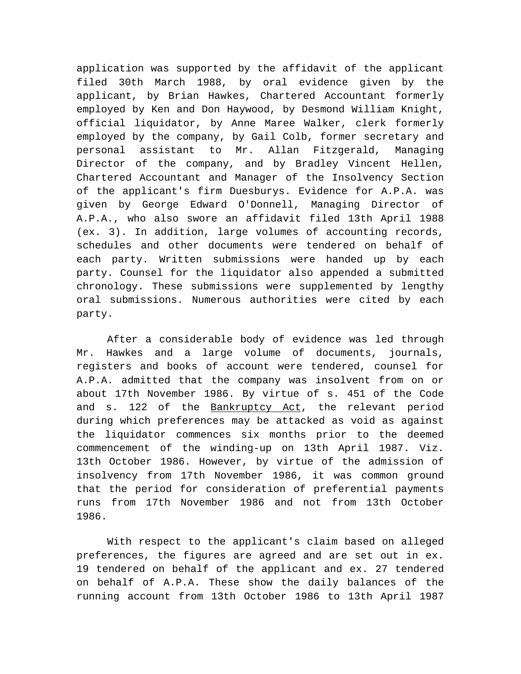application was supported by the affidavit of the applicant filed 30th March 1988, by oral evidence given by the applicant, by Brian Hawkes, Chartered Accountant formerly employed by Ken and Don Haywood, by Desmond William Knight, official liquidator, by Anne Maree Walker, clerk formerly employed by the company, by Gail Colb, former secretary and personal assistant to Mr. Allan Fitzgerald, Managing Director of the company, and by Bradley Vincent Hellen, Chartered Accountant and Manager of the Insolvency Section of the applicant's firm Duesburys. Evidence for A.P.A. was given by George Edward O'Donnell, Managing Director of A.P.A., who also swore an affidavit filed 13th April 1988 (ex. 3). In addition, large volumes of accounting records, schedules and other documents were tendered on behalf of each party. Written submissions were handed up by each party. Counsel for the liquidator also appended a submitted chronology. These submissions were supplemented by lengthy oral submissions. Numerous authorities were cited by each party.

After a considerable body of evidence was led through Mr. Hawkes and a large volume of documents, journals, registers and books of account were tendered, counsel for A.P.A. admitted that the company was insolvent from on or about 17th November 1986. By virtue of s. 451 of the Code and s. 122 of the Bankruptcy Act, the relevant period during which preferences may be attacked as void as against the liquidator commences six months prior to the deemed commencement of the winding-up on 13th April 1987. Viz. 13th October 1986. However, by virtue of the admission of insolvency from 17th November 1986, it was common ground that the period for consideration of preferential payments runs from 17th November 1986 and not from 13th October 1986.

With respect to the applicant's claim based on alleged preferences, the figures are agreed and are set out in ex. 19 tendered on behalf of the applicant and ex. 27 tendered on behalf of A.P.A. These show the daily balances of the running account from 13th October 1986 to 13th April 1987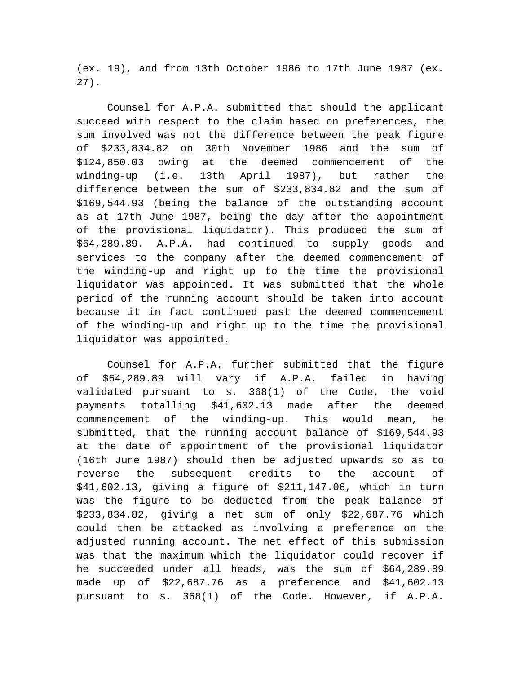(ex. 19), and from 13th October 1986 to 17th June 1987 (ex. 27).

Counsel for A.P.A. submitted that should the applicant succeed with respect to the claim based on preferences, the sum involved was not the difference between the peak figure of \$233,834.82 on 30th November 1986 and the sum of \$124,850.03 owing at the deemed commencement of the winding-up (i.e. 13th April 1987), but rather the difference between the sum of \$233,834.82 and the sum of \$169,544.93 (being the balance of the outstanding account as at 17th June 1987, being the day after the appointment of the provisional liquidator). This produced the sum of \$64,289.89. A.P.A. had continued to supply goods and services to the company after the deemed commencement of the winding-up and right up to the time the provisional liquidator was appointed. It was submitted that the whole period of the running account should be taken into account because it in fact continued past the deemed commencement of the winding-up and right up to the time the provisional liquidator was appointed.

Counsel for A.P.A. further submitted that the figure of \$64,289.89 will vary if A.P.A. failed in having validated pursuant to s. 368(1) of the Code, the void payments totalling \$41,602.13 made after the deemed commencement of the winding-up. This would mean, he submitted, that the running account balance of \$169,544.93 at the date of appointment of the provisional liquidator (16th June 1987) should then be adjusted upwards so as to reverse the subsequent credits to the account of \$41,602.13, giving a figure of \$211,147.06, which in turn was the figure to be deducted from the peak balance of \$233,834.82, giving a net sum of only \$22,687.76 which could then be attacked as involving a preference on the adjusted running account. The net effect of this submission was that the maximum which the liquidator could recover if he succeeded under all heads, was the sum of \$64,289.89 made up of \$22,687.76 as a preference and \$41,602.13 pursuant to s. 368(1) of the Code. However, if A.P.A.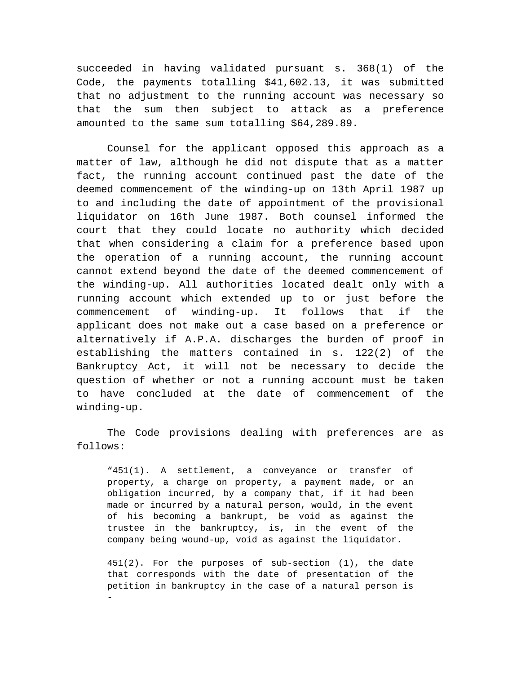succeeded in having validated pursuant s. 368(1) of the Code, the payments totalling \$41,602.13, it was submitted that no adjustment to the running account was necessary so that the sum then subject to attack as a preference amounted to the same sum totalling \$64,289.89.

Counsel for the applicant opposed this approach as a matter of law, although he did not dispute that as a matter fact, the running account continued past the date of the deemed commencement of the winding-up on 13th April 1987 up to and including the date of appointment of the provisional liquidator on 16th June 1987. Both counsel informed the court that they could locate no authority which decided that when considering a claim for a preference based upon the operation of a running account, the running account cannot extend beyond the date of the deemed commencement of the winding-up. All authorities located dealt only with a running account which extended up to or just before the commencement of winding-up. It follows that if the applicant does not make out a case based on a preference or alternatively if A.P.A. discharges the burden of proof in establishing the matters contained in s. 122(2) of the Bankruptcy Act, it will not be necessary to decide the question of whether or not a running account must be taken to have concluded at the date of commencement of the winding-up.

The Code provisions dealing with preferences are as follows:

"451(1). A settlement, a conveyance or transfer of property, a charge on property, a payment made, or an obligation incurred, by a company that, if it had been made or incurred by a natural person, would, in the event of his becoming a bankrupt, be void as against the trustee in the bankruptcy, is, in the event of the company being wound-up, void as against the liquidator.

451(2). For the purposes of sub-section (1), the date that corresponds with the date of presentation of the petition in bankruptcy in the case of a natural person is -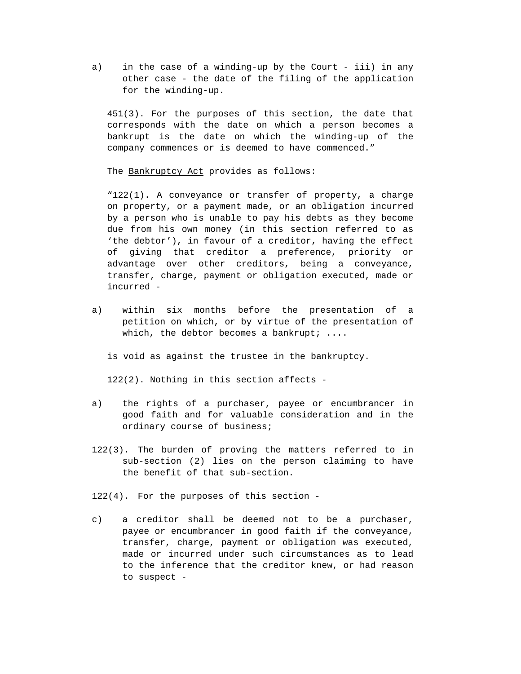a) in the case of a winding-up by the Court - iii) in any other case - the date of the filing of the application for the winding-up.

451(3). For the purposes of this section, the date that corresponds with the date on which a person becomes a bankrupt is the date on which the winding-up of the company commences or is deemed to have commenced."

The Bankruptcy Act provides as follows:

"122(1). A conveyance or transfer of property, a charge on property, or a payment made, or an obligation incurred by a person who is unable to pay his debts as they become due from his own money (in this section referred to as 'the debtor'), in favour of a creditor, having the effect of giving that creditor a preference, priority or advantage over other creditors, being a conveyance, transfer, charge, payment or obligation executed, made or incurred -

a) within six months before the presentation of a petition on which, or by virtue of the presentation of which, the debtor becomes a bankrupt;  $\dots$ 

is void as against the trustee in the bankruptcy.

122(2). Nothing in this section affects -

- a) the rights of a purchaser, payee or encumbrancer in good faith and for valuable consideration and in the ordinary course of business;
- 122(3). The burden of proving the matters referred to in sub-section (2) lies on the person claiming to have the benefit of that sub-section.

122(4). For the purposes of this section -

c) a creditor shall be deemed not to be a purchaser, payee or encumbrancer in good faith if the conveyance, transfer, charge, payment or obligation was executed, made or incurred under such circumstances as to lead to the inference that the creditor knew, or had reason to suspect -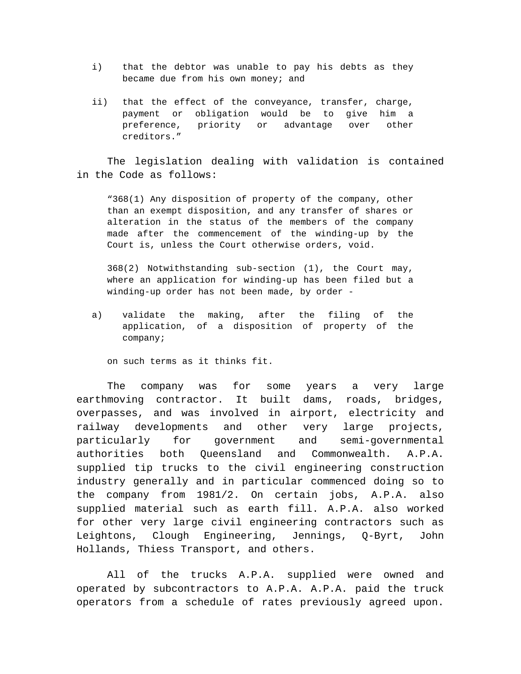- i) that the debtor was unable to pay his debts as they became due from his own money; and
- ii) that the effect of the conveyance, transfer, charge, payment or obligation would be to give him a preference, priority or advantage over other creditors."

The legislation dealing with validation is contained in the Code as follows:

"368(1) Any disposition of property of the company, other than an exempt disposition, and any transfer of shares or alteration in the status of the members of the company made after the commencement of the winding-up by the Court is, unless the Court otherwise orders, void.

368(2) Notwithstanding sub-section (1), the Court may, where an application for winding-up has been filed but a winding-up order has not been made, by order -

a) validate the making, after the filing of the application, of a disposition of property of the company;

on such terms as it thinks fit.

The company was for some years a very large earthmoving contractor. It built dams, roads, bridges, overpasses, and was involved in airport, electricity and railway developments and other very large projects, particularly for government and semi-governmental authorities both Queensland and Commonwealth. A.P.A. supplied tip trucks to the civil engineering construction industry generally and in particular commenced doing so to the company from 1981/2. On certain jobs, A.P.A. also supplied material such as earth fill. A.P.A. also worked for other very large civil engineering contractors such as Leightons, Clough Engineering, Jennings, Q-Byrt, John Hollands, Thiess Transport, and others.

All of the trucks A.P.A. supplied were owned and operated by subcontractors to A.P.A. A.P.A. paid the truck operators from a schedule of rates previously agreed upon.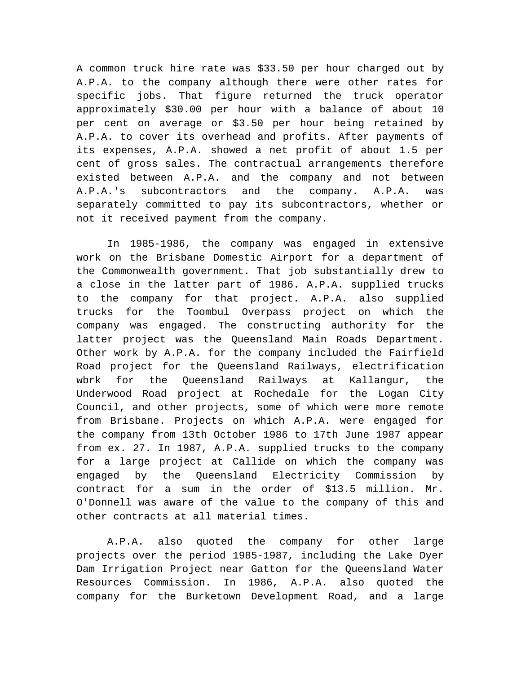A common truck hire rate was \$33.50 per hour charged out by A.P.A. to the company although there were other rates for specific jobs. That figure returned the truck operator approximately \$30.00 per hour with a balance of about 10 per cent on average or \$3.50 per hour being retained by A.P.A. to cover its overhead and profits. After payments of its expenses, A.P.A. showed a net profit of about 1.5 per cent of gross sales. The contractual arrangements therefore existed between A.P.A. and the company and not between A.P.A.'s subcontractors and the company. A.P.A. was separately committed to pay its subcontractors, whether or not it received payment from the company.

In 1985-1986, the company was engaged in extensive work on the Brisbane Domestic Airport for a department of the Commonwealth government. That job substantially drew to a close in the latter part of 1986. A.P.A. supplied trucks to the company for that project. A.P.A. also supplied trucks for the Toombul Overpass project on which the company was engaged. The constructing authority for the latter project was the Queensland Main Roads Department. Other work by A.P.A. for the company included the Fairfield Road project for the Queensland Railways, electrification wbrk for the Queensland Railways at Kallangur, the Underwood Road project at Rochedale for the Logan City Council, and other projects, some of which were more remote from Brisbane. Projects on which A.P.A. were engaged for the company from 13th October 1986 to 17th June 1987 appear from ex. 27. In 1987, A.P.A. supplied trucks to the company for a large project at Callide on which the company was engaged by the Queensland Electricity Commission by contract for a sum in the order of \$13.5 million. Mr. O'Donnell was aware of the value to the company of this and other contracts at all material times.

A.P.A. also quoted the company for other large projects over the period 1985-1987, including the Lake Dyer Dam Irrigation Project near Gatton for the Queensland Water Resources Commission. In 1986, A.P.A. also quoted the company for the Burketown Development Road, and a large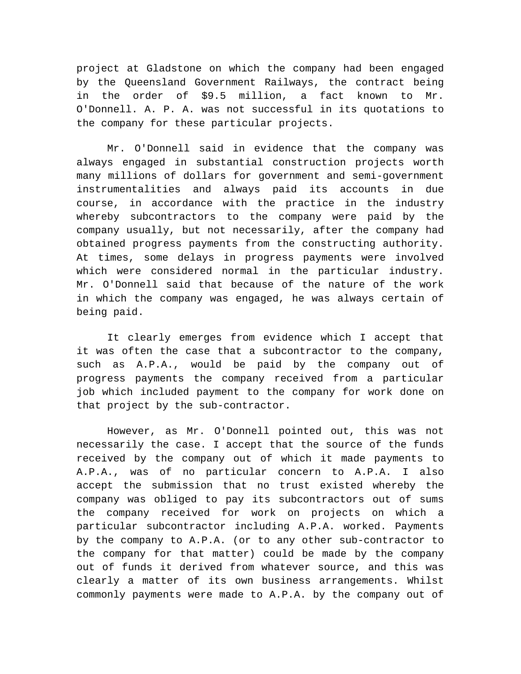project at Gladstone on which the company had been engaged by the Queensland Government Railways, the contract being in the order of \$9.5 million, a fact known to Mr. O'Donnell. A. P. A. was not successful in its quotations to the company for these particular projects.

Mr. O'Donnell said in evidence that the company was always engaged in substantial construction projects worth many millions of dollars for government and semi-government instrumentalities and always paid its accounts in due course, in accordance with the practice in the industry whereby subcontractors to the company were paid by the company usually, but not necessarily, after the company had obtained progress payments from the constructing authority. At times, some delays in progress payments were involved which were considered normal in the particular industry. Mr. O'Donnell said that because of the nature of the work in which the company was engaged, he was always certain of being paid.

It clearly emerges from evidence which I accept that it was often the case that a subcontractor to the company, such as A.P.A., would be paid by the company out of progress payments the company received from a particular job which included payment to the company for work done on that project by the sub-contractor.

However, as Mr. O'Donnell pointed out, this was not necessarily the case. I accept that the source of the funds received by the company out of which it made payments to A.P.A., was of no particular concern to A.P.A. I also accept the submission that no trust existed whereby the company was obliged to pay its subcontractors out of sums the company received for work on projects on which a particular subcontractor including A.P.A. worked. Payments by the company to A.P.A. (or to any other sub-contractor to the company for that matter) could be made by the company out of funds it derived from whatever source, and this was clearly a matter of its own business arrangements. Whilst commonly payments were made to A.P.A. by the company out of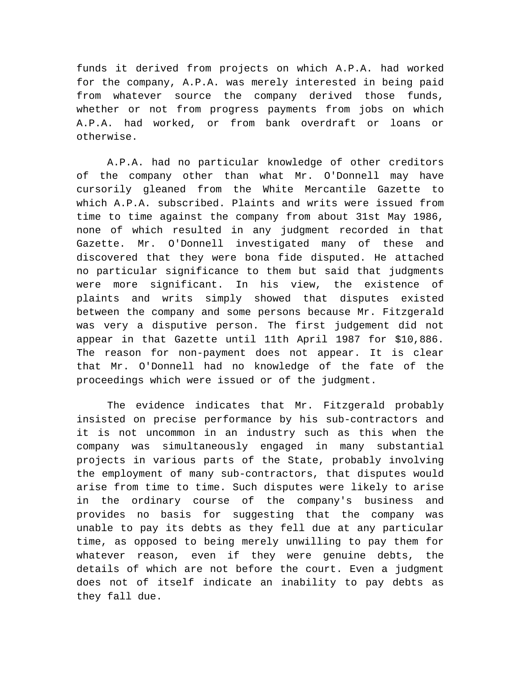funds it derived from projects on which A.P.A. had worked for the company, A.P.A. was merely interested in being paid from whatever source the company derived those funds, whether or not from progress payments from jobs on which A.P.A. had worked, or from bank overdraft or loans or otherwise.

A.P.A. had no particular knowledge of other creditors of the company other than what Mr. O'Donnell may have cursorily gleaned from the White Mercantile Gazette to which A.P.A. subscribed. Plaints and writs were issued from time to time against the company from about 31st May 1986, none of which resulted in any judgment recorded in that Gazette. Mr. O'Donnell investigated many of these and discovered that they were bona fide disputed. He attached no particular significance to them but said that judgments were more significant. In his view, the existence of plaints and writs simply showed that disputes existed between the company and some persons because Mr. Fitzgerald was very a disputive person. The first judgement did not appear in that Gazette until 11th April 1987 for \$10,886. The reason for non-payment does not appear. It is clear that Mr. O'Donnell had no knowledge of the fate of the proceedings which were issued or of the judgment.

The evidence indicates that Mr. Fitzgerald probably insisted on precise performance by his sub-contractors and it is not uncommon in an industry such as this when the company was simultaneously engaged in many substantial projects in various parts of the State, probably involving the employment of many sub-contractors, that disputes would arise from time to time. Such disputes were likely to arise in the ordinary course of the company's business and provides no basis for suggesting that the company was unable to pay its debts as they fell due at any particular time, as opposed to being merely unwilling to pay them for whatever reason, even if they were genuine debts, the details of which are not before the court. Even a judgment does not of itself indicate an inability to pay debts as they fall due.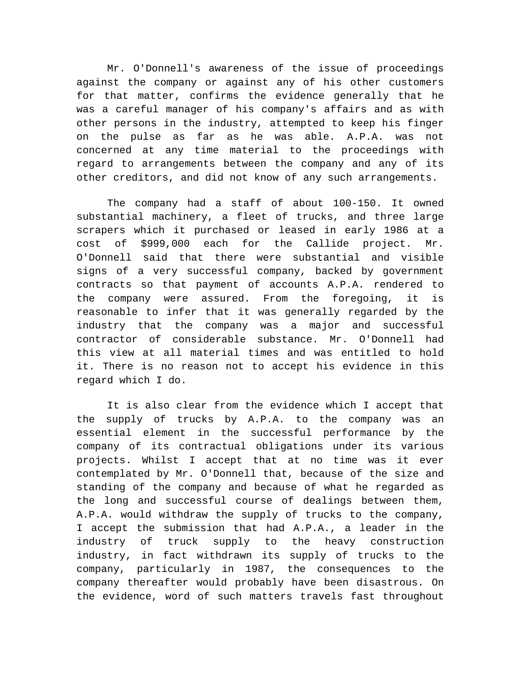Mr. O'Donnell's awareness of the issue of proceedings against the company or against any of his other customers for that matter, confirms the evidence generally that he was a careful manager of his company's affairs and as with other persons in the industry, attempted to keep his finger on the pulse as far as he was able. A.P.A. was not concerned at any time material to the proceedings with regard to arrangements between the company and any of its other creditors, and did not know of any such arrangements.

The company had a staff of about 100-150. It owned substantial machinery, a fleet of trucks, and three large scrapers which it purchased or leased in early 1986 at a cost of \$999,000 each for the Callide project. Mr. O'Donnell said that there were substantial and visible signs of a very successful company, backed by government contracts so that payment of accounts A.P.A. rendered to the company were assured. From the foregoing, it is reasonable to infer that it was generally regarded by the industry that the company was a major and successful contractor of considerable substance. Mr. O'Donnell had this view at all material times and was entitled to hold it. There is no reason not to accept his evidence in this regard which I do.

It is also clear from the evidence which I accept that the supply of trucks by A.P.A. to the company was an essential element in the successful performance by the company of its contractual obligations under its various projects. Whilst I accept that at no time was it ever contemplated by Mr. O'Donnell that, because of the size and standing of the company and because of what he regarded as the long and successful course of dealings between them, A.P.A. would withdraw the supply of trucks to the company, I accept the submission that had A.P.A., a leader in the industry of truck supply to the heavy construction industry, in fact withdrawn its supply of trucks to the company, particularly in 1987, the consequences to the company thereafter would probably have been disastrous. On the evidence, word of such matters travels fast throughout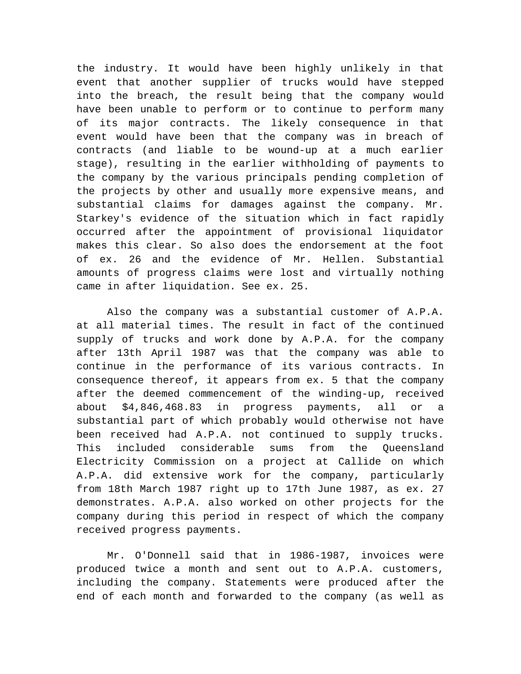the industry. It would have been highly unlikely in that event that another supplier of trucks would have stepped into the breach, the result being that the company would have been unable to perform or to continue to perform many of its major contracts. The likely consequence in that event would have been that the company was in breach of contracts (and liable to be wound-up at a much earlier stage), resulting in the earlier withholding of payments to the company by the various principals pending completion of the projects by other and usually more expensive means, and substantial claims for damages against the company. Mr. Starkey's evidence of the situation which in fact rapidly occurred after the appointment of provisional liquidator makes this clear. So also does the endorsement at the foot of ex. 26 and the evidence of Mr. Hellen. Substantial amounts of progress claims were lost and virtually nothing came in after liquidation. See ex. 25.

Also the company was a substantial customer of A.P.A. at all material times. The result in fact of the continued supply of trucks and work done by A.P.A. for the company after 13th April 1987 was that the company was able to continue in the performance of its various contracts. In consequence thereof, it appears from ex. 5 that the company after the deemed commencement of the winding-up, received about \$4,846,468.83 in progress payments, all or a substantial part of which probably would otherwise not have been received had A.P.A. not continued to supply trucks. This included considerable sums from the Queensland Electricity Commission on a project at Callide on which A.P.A. did extensive work for the company, particularly from 18th March 1987 right up to 17th June 1987, as ex. 27 demonstrates. A.P.A. also worked on other projects for the company during this period in respect of which the company received progress payments.

Mr. O'Donnell said that in 1986-1987, invoices were produced twice a month and sent out to A.P.A. customers, including the company. Statements were produced after the end of each month and forwarded to the company (as well as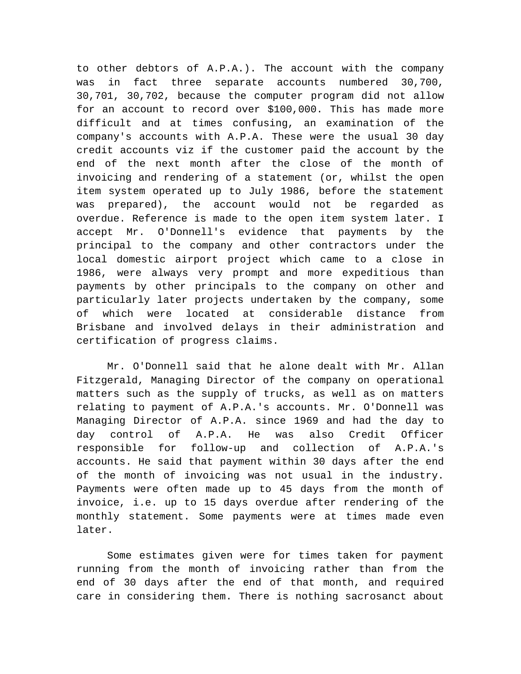to other debtors of A.P.A.). The account with the company was in fact three separate accounts numbered 30,700, 30,701, 30,702, because the computer program did not allow for an account to record over \$100,000. This has made more difficult and at times confusing, an examination of the company's accounts with A.P.A. These were the usual 30 day credit accounts viz if the customer paid the account by the end of the next month after the close of the month of invoicing and rendering of a statement (or, whilst the open item system operated up to July 1986, before the statement was prepared), the account would not be regarded as overdue. Reference is made to the open item system later. I accept Mr. O'Donnell's evidence that payments by the principal to the company and other contractors under the local domestic airport project which came to a close in 1986, were always very prompt and more expeditious than payments by other principals to the company on other and particularly later projects undertaken by the company, some of which were located at considerable distance from Brisbane and involved delays in their administration and certification of progress claims.

Mr. O'Donnell said that he alone dealt with Mr. Allan Fitzgerald, Managing Director of the company on operational matters such as the supply of trucks, as well as on matters relating to payment of A.P.A.'s accounts. Mr. O'Donnell was Managing Director of A.P.A. since 1969 and had the day to day control of A.P.A. He was also Credit Officer responsible for follow-up and collection of A.P.A.'s accounts. He said that payment within 30 days after the end of the month of invoicing was not usual in the industry. Payments were often made up to 45 days from the month of invoice, i.e. up to 15 days overdue after rendering of the monthly statement. Some payments were at times made even later.

Some estimates given were for times taken for payment running from the month of invoicing rather than from the end of 30 days after the end of that month, and required care in considering them. There is nothing sacrosanct about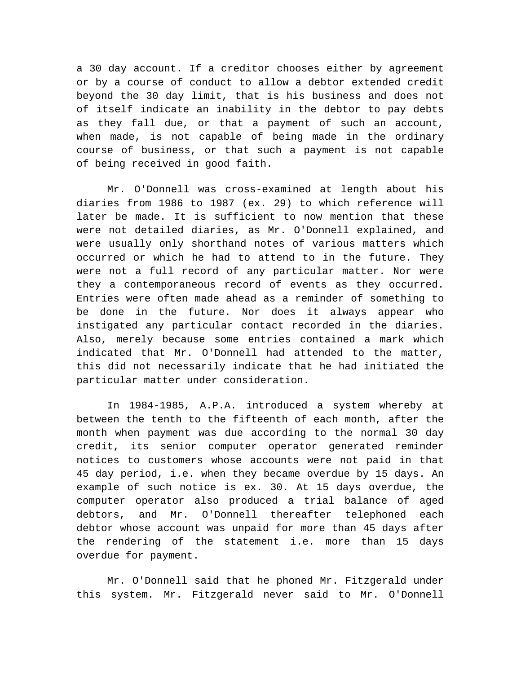a 30 day account. If a creditor chooses either by agreement or by a course of conduct to allow a debtor extended credit beyond the 30 day limit, that is his business and does not of itself indicate an inability in the debtor to pay debts as they fall due, or that a payment of such an account, when made, is not capable of being made in the ordinary course of business, or that such a payment is not capable of being received in good faith.

Mr. O'Donnell was cross-examined at length about his diaries from 1986 to 1987 (ex. 29) to which reference will later be made. It is sufficient to now mention that these were not detailed diaries, as Mr. O'Donnell explained, and were usually only shorthand notes of various matters which occurred or which he had to attend to in the future. They were not a full record of any particular matter. Nor were they a contemporaneous record of events as they occurred. Entries were often made ahead as a reminder of something to be done in the future. Nor does it always appear who instigated any particular contact recorded in the diaries. Also, merely because some entries contained a mark which indicated that Mr. O'Donnell had attended to the matter, this did not necessarily indicate that he had initiated the particular matter under consideration.

In 1984-1985, A.P.A. introduced a system whereby at between the tenth to the fifteenth of each month, after the month when payment was due according to the normal 30 day credit, its senior computer operator generated reminder notices to customers whose accounts were not paid in that 45 day period, i.e. when they became overdue by 15 days. An example of such notice is ex. 30. At 15 days overdue, the computer operator also produced a trial balance of aged debtors, and Mr. O'Donnell thereafter telephoned each debtor whose account was unpaid for more than 45 days after the rendering of the statement i.e. more than 15 days overdue for payment.

Mr. O'Donnell said that he phoned Mr. Fitzgerald under this system. Mr. Fitzgerald never said to Mr. O'Donnell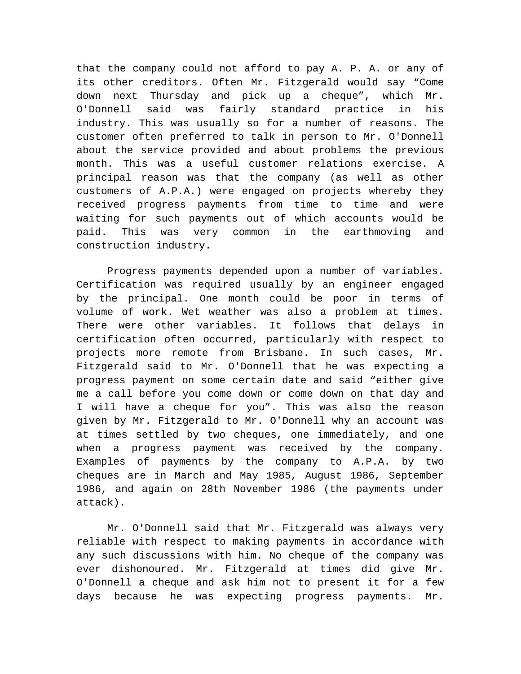that the company could not afford to pay A. P. A. or any of its other creditors. Often Mr. Fitzgerald would say "Come down next Thursday and pick up a cheque", which Mr. O'Donnell said was fairly standard practice in his industry. This was usually so for a number of reasons. The customer often preferred to talk in person to Mr. O'Donnell about the service provided and about problems the previous month. This was a useful customer relations exercise. A principal reason was that the company (as well as other customers of A.P.A.) were engaged on projects whereby they received progress payments from time to time and were waiting for such payments out of which accounts would be paid. This was very common in the earthmoving and construction industry.

Progress payments depended upon a number of variables. Certification was required usually by an engineer engaged by the principal. One month could be poor in terms of volume of work. Wet weather was also a problem at times. There were other variables. It follows that delays in certification often occurred, particularly with respect to projects more remote from Brisbane. In such cases, Mr. Fitzgerald said to Mr. O'Donnell that he was expecting a progress payment on some certain date and said "either give me a call before you come down or come down on that day and I will have a cheque for you". This was also the reason given by Mr. Fitzgerald to Mr. O'Donnell why an account was at times settled by two cheques, one immediately, and one when a progress payment was received by the company. Examples of payments by the company to A.P.A. by two cheques are in March and May 1985, August 1986, September 1986, and again on 28th November 1986 (the payments under attack).

Mr. O'Donnell said that Mr. Fitzgerald was always very reliable with respect to making payments in accordance with any such discussions with him. No cheque of the company was ever dishonoured. Mr. Fitzgerald at times did give Mr. O'Donnell a cheque and ask him not to present it for a few days because he was expecting progress payments. Mr.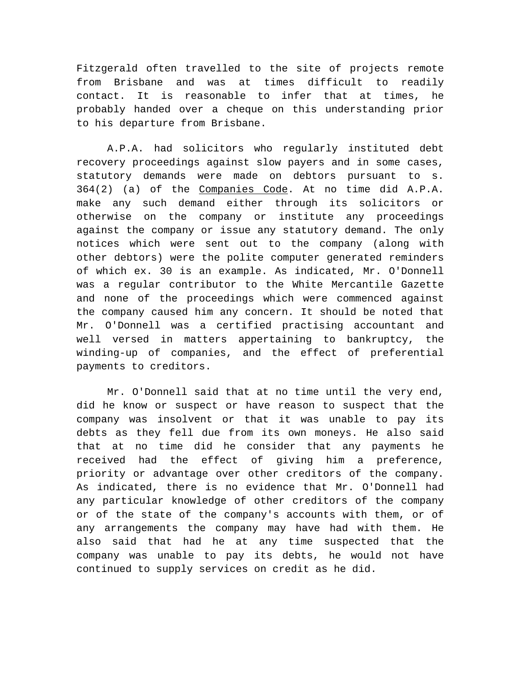Fitzgerald often travelled to the site of projects remote from Brisbane and was at times difficult to readily contact. It is reasonable to infer that at times, he probably handed over a cheque on this understanding prior to his departure from Brisbane.

A.P.A. had solicitors who regularly instituted debt recovery proceedings against slow payers and in some cases, statutory demands were made on debtors pursuant to s. 364(2) (a) of the Companies Code. At no time did A.P.A. make any such demand either through its solicitors or otherwise on the company or institute any proceedings against the company or issue any statutory demand. The only notices which were sent out to the company (along with other debtors) were the polite computer generated reminders of which ex. 30 is an example. As indicated, Mr. O'Donnell was a regular contributor to the White Mercantile Gazette and none of the proceedings which were commenced against the company caused him any concern. It should be noted that Mr. O'Donnell was a certified practising accountant and well versed in matters appertaining to bankruptcy, the winding-up of companies, and the effect of preferential payments to creditors.

Mr. O'Donnell said that at no time until the very end, did he know or suspect or have reason to suspect that the company was insolvent or that it was unable to pay its debts as they fell due from its own moneys. He also said that at no time did he consider that any payments he received had the effect of giving him a preference, priority or advantage over other creditors of the company. As indicated, there is no evidence that Mr. O'Donnell had any particular knowledge of other creditors of the company or of the state of the company's accounts with them, or of any arrangements the company may have had with them. He also said that had he at any time suspected that the company was unable to pay its debts, he would not have continued to supply services on credit as he did.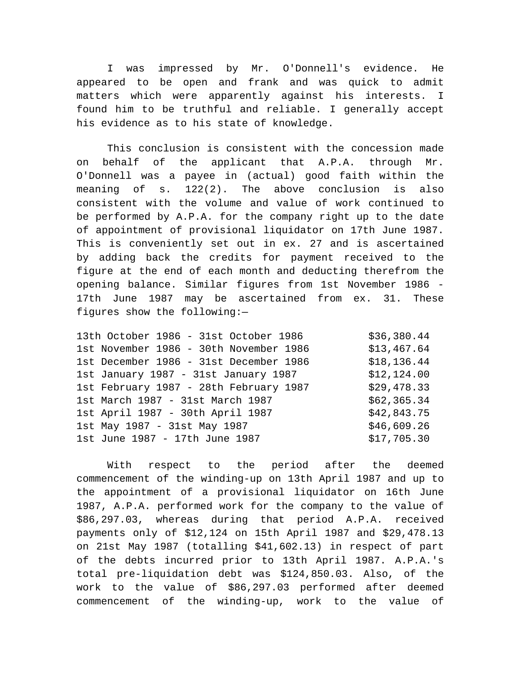I was impressed by Mr. O'Donnell's evidence. He appeared to be open and frank and was quick to admit matters which were apparently against his interests. I found him to be truthful and reliable. I generally accept his evidence as to his state of knowledge.

This conclusion is consistent with the concession made on behalf of the applicant that A.P.A. through Mr. O'Donnell was a payee in (actual) good faith within the meaning of s. 122(2). The above conclusion is also consistent with the volume and value of work continued to be performed by A.P.A. for the company right up to the date of appointment of provisional liquidator on 17th June 1987. This is conveniently set out in ex. 27 and is ascertained by adding back the credits for payment received to the figure at the end of each month and deducting therefrom the opening balance. Similar figures from 1st November 1986 - 17th June 1987 may be ascertained from ex. 31. These figures show the following:—

| 13th October 1986 - 31st October 1986  | \$36,380.44  |
|----------------------------------------|--------------|
| 1st November 1986 - 30th November 1986 | \$13,467.64  |
| 1st December 1986 - 31st December 1986 | \$18, 136.44 |
| 1st January 1987 - 31st January 1987   | \$12,124.00  |
| 1st February 1987 - 28th February 1987 | \$29,478.33  |
| 1st March 1987 - 31st March 1987       | \$62,365.34  |
| 1st April 1987 - 30th April 1987       | \$42,843.75  |
| 1st May 1987 - 31st May 1987           | \$46,609.26  |
| 1st June 1987 - 17th June 1987         | \$17,705.30  |
|                                        |              |

With respect to the period after the deemed commencement of the winding-up on 13th April 1987 and up to the appointment of a provisional liquidator on 16th June 1987, A.P.A. performed work for the company to the value of \$86,297.03, whereas during that period A.P.A. received payments only of \$12,124 on 15th April 1987 and \$29,478.13 on 21st May 1987 (totalling \$41,602.13) in respect of part of the debts incurred prior to 13th April 1987. A.P.A.'s total pre-liquidation debt was \$124,850.03. Also, of the work to the value of \$86,297.03 performed after deemed commencement of the winding-up, work to the value of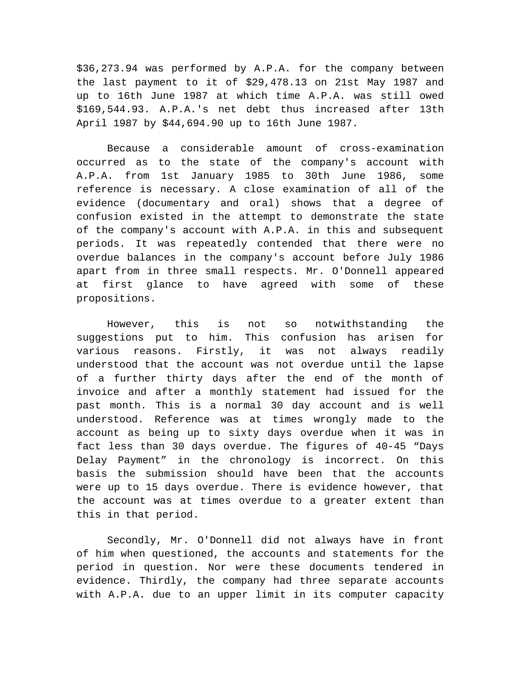\$36,273.94 was performed by A.P.A. for the company between the last payment to it of \$29,478.13 on 21st May 1987 and up to 16th June 1987 at which time A.P.A. was still owed \$169,544.93. A.P.A.'s net debt thus increased after 13th April 1987 by \$44,694.90 up to 16th June 1987.

Because a considerable amount of cross-examination occurred as to the state of the company's account with A.P.A. from 1st January 1985 to 30th June 1986, some reference is necessary. A close examination of all of the evidence (documentary and oral) shows that a degree of confusion existed in the attempt to demonstrate the state of the company's account with A.P.A. in this and subsequent periods. It was repeatedly contended that there were no overdue balances in the company's account before July 1986 apart from in three small respects. Mr. O'Donnell appeared at first glance to have agreed with some of these propositions.

However, this is not so notwithstanding the suggestions put to him. This confusion has arisen for various reasons. Firstly, it was not always readily understood that the account was not overdue until the lapse of a further thirty days after the end of the month of invoice and after a monthly statement had issued for the past month. This is a normal 30 day account and is well understood. Reference was at times wrongly made to the account as being up to sixty days overdue when it was in fact less than 30 days overdue. The figures of 40-45 "Days Delay Payment" in the chronology is incorrect. On this basis the submission should have been that the accounts were up to 15 days overdue. There is evidence however, that the account was at times overdue to a greater extent than this in that period.

Secondly, Mr. O'Donnell did not always have in front of him when questioned, the accounts and statements for the period in question. Nor were these documents tendered in evidence. Thirdly, the company had three separate accounts with A.P.A. due to an upper limit in its computer capacity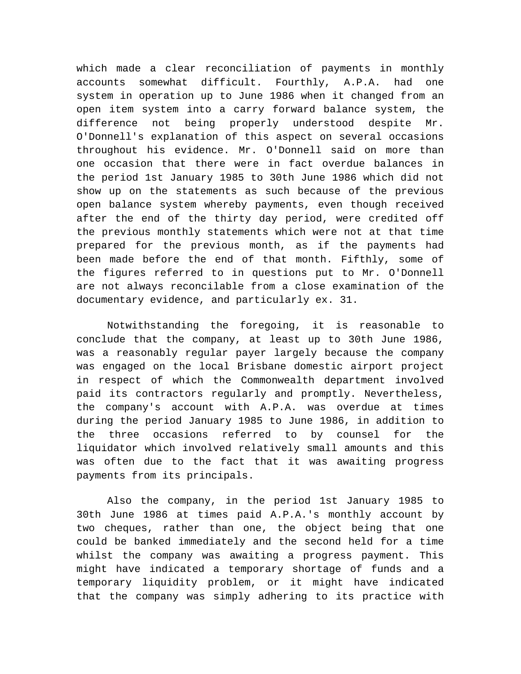which made a clear reconciliation of payments in monthly accounts somewhat difficult. Fourthly, A.P.A. had one system in operation up to June 1986 when it changed from an open item system into a carry forward balance system, the difference not being properly understood despite Mr. O'Donnell's explanation of this aspect on several occasions throughout his evidence. Mr. O'Donnell said on more than one occasion that there were in fact overdue balances in the period 1st January 1985 to 30th June 1986 which did not show up on the statements as such because of the previous open balance system whereby payments, even though received after the end of the thirty day period, were credited off the previous monthly statements which were not at that time prepared for the previous month, as if the payments had been made before the end of that month. Fifthly, some of the figures referred to in questions put to Mr. O'Donnell are not always reconcilable from a close examination of the documentary evidence, and particularly ex. 31.

Notwithstanding the foregoing, it is reasonable to conclude that the company, at least up to 30th June 1986, was a reasonably regular payer largely because the company was engaged on the local Brisbane domestic airport project in respect of which the Commonwealth department involved paid its contractors regularly and promptly. Nevertheless, the company's account with A.P.A. was overdue at times during the period January 1985 to June 1986, in addition to the three occasions referred to by counsel for the liquidator which involved relatively small amounts and this was often due to the fact that it was awaiting progress payments from its principals.

Also the company, in the period 1st January 1985 to 30th June 1986 at times paid A.P.A.'s monthly account by two cheques, rather than one, the object being that one could be banked immediately and the second held for a time whilst the company was awaiting a progress payment. This might have indicated a temporary shortage of funds and a temporary liquidity problem, or it might have indicated that the company was simply adhering to its practice with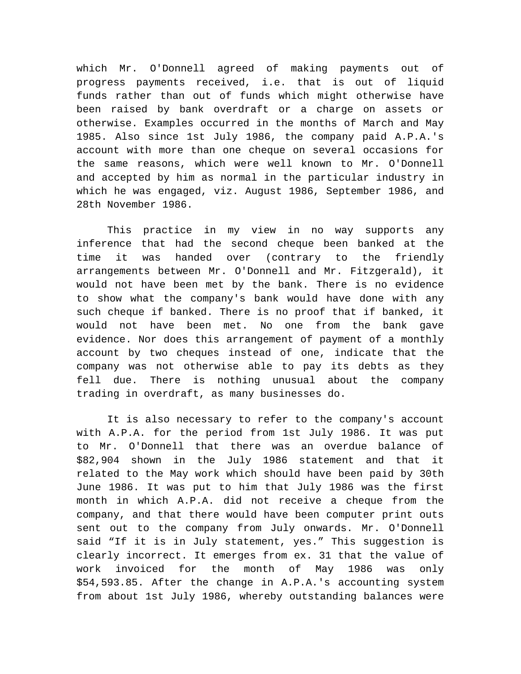which Mr. O'Donnell agreed of making payments out of progress payments received, i.e. that is out of liquid funds rather than out of funds which might otherwise have been raised by bank overdraft or a charge on assets or otherwise. Examples occurred in the months of March and May 1985. Also since 1st July 1986, the company paid A.P.A.'s account with more than one cheque on several occasions for the same reasons, which were well known to Mr. O'Donnell and accepted by him as normal in the particular industry in which he was engaged, viz. August 1986, September 1986, and 28th November 1986.

This practice in my view in no way supports any inference that had the second cheque been banked at the time it was handed over (contrary to the friendly arrangements between Mr. O'Donnell and Mr. Fitzgerald), it would not have been met by the bank. There is no evidence to show what the company's bank would have done with any such cheque if banked. There is no proof that if banked, it would not have been met. No one from the bank gave evidence. Nor does this arrangement of payment of a monthly account by two cheques instead of one, indicate that the company was not otherwise able to pay its debts as they fell due. There is nothing unusual about the company trading in overdraft, as many businesses do.

It is also necessary to refer to the company's account with A.P.A. for the period from 1st July 1986. It was put to Mr. O'Donnell that there was an overdue balance of \$82,904 shown in the July 1986 statement and that it related to the May work which should have been paid by 30th June 1986. It was put to him that July 1986 was the first month in which A.P.A. did not receive a cheque from the company, and that there would have been computer print outs sent out to the company from July onwards. Mr. O'Donnell said "If it is in July statement, yes." This suggestion is clearly incorrect. It emerges from ex. 31 that the value of work invoiced for the month of May 1986 was only \$54,593.85. After the change in A.P.A.'s accounting system from about 1st July 1986, whereby outstanding balances were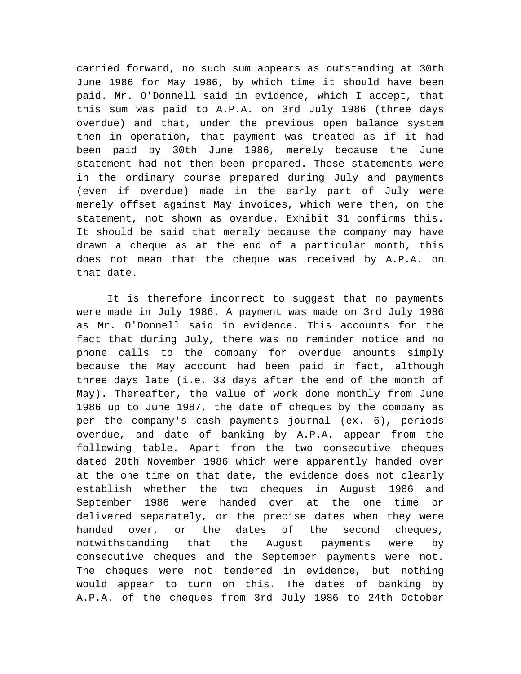carried forward, no such sum appears as outstanding at 30th June 1986 for May 1986, by which time it should have been paid. Mr. O'Donnell said in evidence, which I accept, that this sum was paid to A.P.A. on 3rd July 1986 (three days overdue) and that, under the previous open balance system then in operation, that payment was treated as if it had been paid by 30th June 1986, merely because the June statement had not then been prepared. Those statements were in the ordinary course prepared during July and payments (even if overdue) made in the early part of July were merely offset against May invoices, which were then, on the statement, not shown as overdue. Exhibit 31 confirms this. It should be said that merely because the company may have drawn a cheque as at the end of a particular month, this does not mean that the cheque was received by A.P.A. on that date.

It is therefore incorrect to suggest that no payments were made in July 1986. A payment was made on 3rd July 1986 as Mr. O'Donnell said in evidence. This accounts for the fact that during July, there was no reminder notice and no phone calls to the company for overdue amounts simply because the May account had been paid in fact, although three days late (i.e. 33 days after the end of the month of May). Thereafter, the value of work done monthly from June 1986 up to June 1987, the date of cheques by the company as per the company's cash payments journal (ex. 6), periods overdue, and date of banking by A.P.A. appear from the following table. Apart from the two consecutive cheques dated 28th November 1986 which were apparently handed over at the one time on that date, the evidence does not clearly establish whether the two cheques in August 1986 and September 1986 were handed over at the one time or delivered separately, or the precise dates when they were handed over, or the dates of the second cheques, notwithstanding that the August payments were by consecutive cheques and the September payments were not. The cheques were not tendered in evidence, but nothing would appear to turn on this. The dates of banking by A.P.A. of the cheques from 3rd July 1986 to 24th October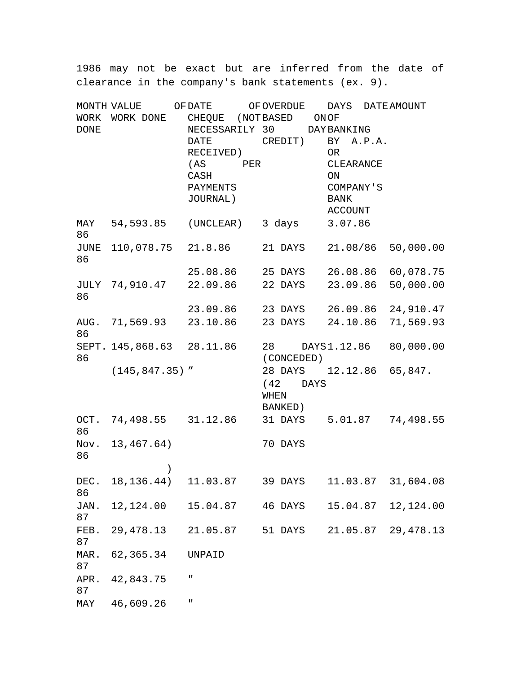1986 may not be exact but are inferred from the date of clearance in the company's bank statements (ex. 9).

| MONTH VALUE         |                           | OF DATE                             | OF OVERDUE               | DAYS                | DATE AMOUNT |
|---------------------|---------------------------|-------------------------------------|--------------------------|---------------------|-------------|
| WORK<br><b>DONE</b> | WORK DONE                 | CHEQUE (NOT BASED<br>NECESSARILY 30 |                          | ONOF<br>DAY BANKING |             |
|                     |                           | DATE                                | CREDIT)                  | BY A.P.A.           |             |
|                     |                           | RECEIVED)<br>(AS                    |                          | OR<br>CLEARANCE     |             |
|                     |                           | PER<br>CASH                         |                          | ON                  |             |
|                     |                           | PAYMENTS                            |                          | COMPANY'S           |             |
|                     |                           | JOURNAL)                            |                          | <b>BANK</b>         |             |
|                     |                           |                                     |                          | ACCOUNT             |             |
| MAY<br>86           | 54,593.85 (UNCLEAR)       |                                     | 3 days                   | 3.07.86             |             |
| 86                  | JUNE 110,078.75 21.8.86   |                                     | 21 DAYS 21.08/86         |                     | 50,000.00   |
|                     |                           | 25.08.86 25 DAYS 26.08.86 60,078.75 |                          |                     |             |
| 86                  | JULY 74,910.47            | 22.09.86                            | 22 DAYS                  | 23.09.86            | 50,000.00   |
|                     |                           | 23.09.86 23 DAYS 26.09.86 24,910.47 |                          |                     |             |
| 86                  | AUG. 71,569.93 23.10.86   |                                     | 23 DAYS 24.10.86         |                     | 71,569.93   |
|                     | SEPT. 145,868.63 28.11.86 |                                     | 28 DAYS1.12.86           |                     | 80,000.00   |
| 86                  |                           |                                     | (CONCEDED)               |                     |             |
|                     | $(145, 847.35)$ "         |                                     | 28 DAYS 12.12.86 65,847. |                     |             |
|                     |                           |                                     | $(42$ DAYS               |                     |             |
|                     |                           |                                     | WHEN                     |                     |             |
|                     |                           |                                     | BANKED)                  |                     |             |
| OCT.<br>86          | 74,498.55                 | 31.12.86                            | 31 DAYS 5.01.87          |                     | 74,498.55   |
| 86                  | Nov. $13,467.64$ )        |                                     | 70 DAYS                  |                     |             |
|                     | $\mathcal{C}$             |                                     |                          |                     |             |
| 86                  | DEC. $18, 136.44$         | 11.03.87                            | 39 DAYS                  | 11.03.87 31,604.08  |             |
| JAN.<br>87          | 12,124.00                 | 15.04.87                            | 46 DAYS                  | 15.04.87            | 12,124.00   |
| FEB.<br>87          | 29, 478.13                | 21.05.87                            | 51 DAYS                  | 21.05.87            | 29, 478.13  |
| MAR.<br>87          | 62, 365.34                | UNPAID                              |                          |                     |             |
| APR.<br>87          | 42,843.75                 | П                                   |                          |                     |             |
| MAY                 | 46,609.26                 | п                                   |                          |                     |             |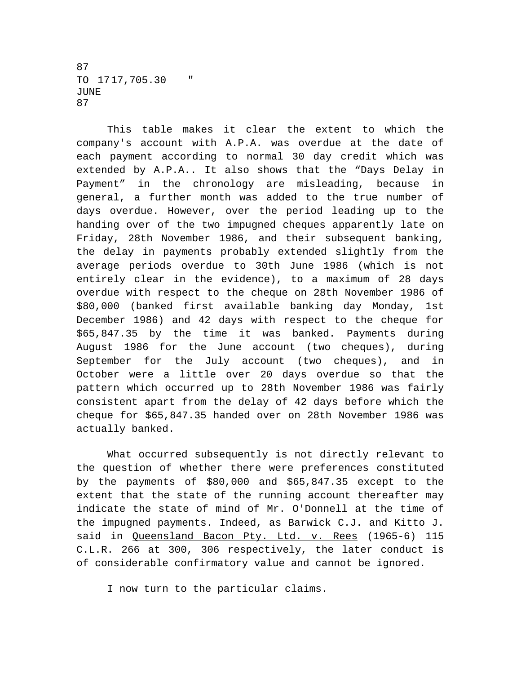87 TO 17 17,705.30 " JUNE 87

This table makes it clear the extent to which the company's account with A.P.A. was overdue at the date of each payment according to normal 30 day credit which was extended by A.P.A.. It also shows that the "Days Delay in Payment" in the chronology are misleading, because in general, a further month was added to the true number of days overdue. However, over the period leading up to the handing over of the two impugned cheques apparently late on Friday, 28th November 1986, and their subsequent banking, the delay in payments probably extended slightly from the average periods overdue to 30th June 1986 (which is not entirely clear in the evidence), to a maximum of 28 days overdue with respect to the cheque on 28th November 1986 of \$80,000 (banked first available banking day Monday, 1st December 1986) and 42 days with respect to the cheque for \$65,847.35 by the time it was banked. Payments during August 1986 for the June account (two cheques), during September for the July account (two cheques), and in October were a little over 20 days overdue so that the pattern which occurred up to 28th November 1986 was fairly consistent apart from the delay of 42 days before which the cheque for \$65,847.35 handed over on 28th November 1986 was actually banked.

What occurred subsequently is not directly relevant to the question of whether there were preferences constituted by the payments of \$80,000 and \$65,847.35 except to the extent that the state of the running account thereafter may indicate the state of mind of Mr. O'Donnell at the time of the impugned payments. Indeed, as Barwick C.J. and Kitto J. said in Queensland Bacon Pty. Ltd. v. Rees (1965-6) 115 C.L.R. 266 at 300, 306 respectively, the later conduct is of considerable confirmatory value and cannot be ignored.

I now turn to the particular claims.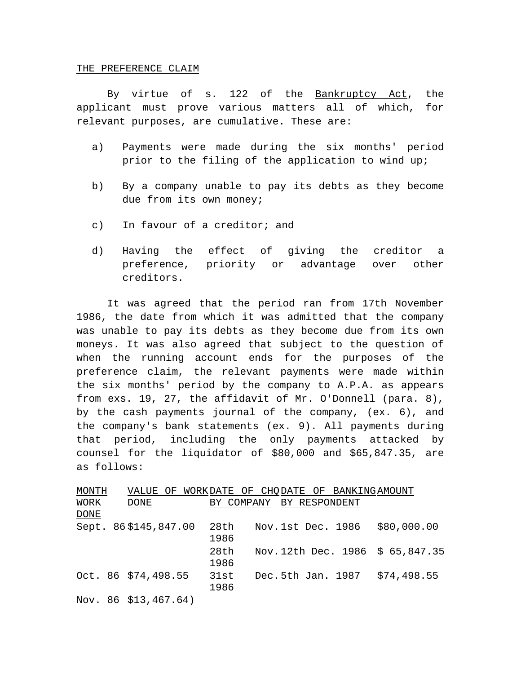#### THE PREFERENCE CLAIM

By virtue of s. 122 of the Bankruptcy Act, the applicant must prove various matters all of which, for relevant purposes, are cumulative. These are:

- a) Payments were made during the six months' period prior to the filing of the application to wind up;
- b) By a company unable to pay its debts as they become due from its own money;
- c) In favour of a creditor; and
- d) Having the effect of giving the creditor a preference, priority or advantage over other creditors.

It was agreed that the period ran from 17th November 1986, the date from which it was admitted that the company was unable to pay its debts as they become due from its own moneys. It was also agreed that subject to the question of when the running account ends for the purposes of the preference claim, the relevant payments were made within the six months' period by the company to A.P.A. as appears from exs. 19, 27, the affidavit of Mr. O'Donnell (para. 8), by the cash payments journal of the company, (ex. 6), and the company's bank statements (ex. 9). All payments during that period, including the only payments attacked by counsel for the liquidator of \$80,000 and \$65,847.35, are as follows:

| MONTH | VALUE<br>ΟF            |            | WORKDATE OF CHODATE OF BANKINGAMOUNT |
|-------|------------------------|------------|--------------------------------------|
| WORK  | DONE                   | BY COMPANY | BY RESPONDENT                        |
| DONE  |                        |            |                                      |
|       | Sept. 86\$145,847.00   | 28th       | \$80,000.00<br>Nov.1st Dec. 1986     |
|       |                        | 1986       |                                      |
|       |                        | 28th       | Nov. 12th Dec. 1986 \$ 65,847.35     |
|       |                        | 1986       |                                      |
|       | Oct. 86 \$74,498.55    | 31st       | \$74,498.55<br>Dec.5th Jan. 1987     |
|       |                        | 1986       |                                      |
|       | Nov. $86$ \$13,467.64) |            |                                      |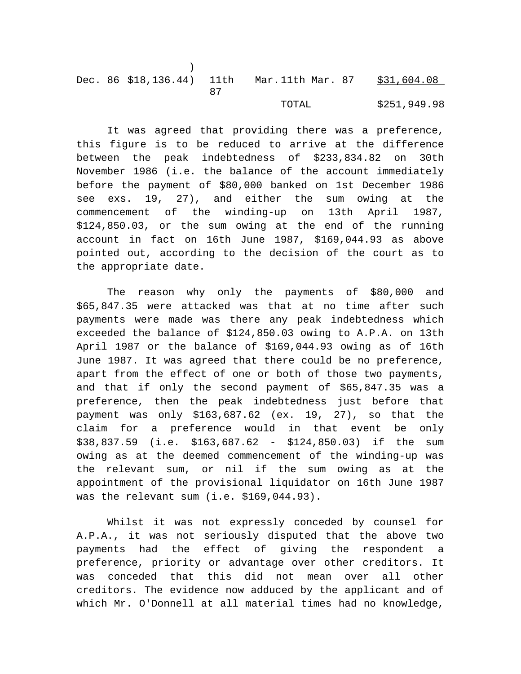|  |  | Dec. 86 \$18,136.44) 11th Mar.11th Mar. 87 \$31,604.08 |  |
|--|--|--------------------------------------------------------|--|
|  |  |                                                        |  |

# TOTAL \$251,949.98

It was agreed that providing there was a preference, this figure is to be reduced to arrive at the difference between the peak indebtedness of \$233,834.82 on 30th November 1986 (i.e. the balance of the account immediately before the payment of \$80,000 banked on 1st December 1986 see exs. 19, 27), and either the sum owing at the commencement of the winding-up on 13th April 1987, \$124,850.03, or the sum owing at the end of the running account in fact on 16th June 1987, \$169,044.93 as above pointed out, according to the decision of the court as to the appropriate date.

The reason why only the payments of \$80,000 and \$65,847.35 were attacked was that at no time after such payments were made was there any peak indebtedness which exceeded the balance of \$124,850.03 owing to A.P.A. on 13th April 1987 or the balance of \$169,044.93 owing as of 16th June 1987. It was agreed that there could be no preference, apart from the effect of one or both of those two payments, and that if only the second payment of \$65,847.35 was a preference, then the peak indebtedness just before that payment was only \$163,687.62 (ex. 19, 27), so that the claim for a preference would in that event be only \$38,837.59 (i.e. \$163,687.62 - \$124,850.03) if the sum owing as at the deemed commencement of the winding-up was the relevant sum, or nil if the sum owing as at the appointment of the provisional liquidator on 16th June 1987 was the relevant sum (i.e. \$169,044.93).

Whilst it was not expressly conceded by counsel for A.P.A., it was not seriously disputed that the above two payments had the effect of giving the respondent a preference, priority or advantage over other creditors. It was conceded that this did not mean over all other creditors. The evidence now adduced by the applicant and of which Mr. O'Donnell at all material times had no knowledge,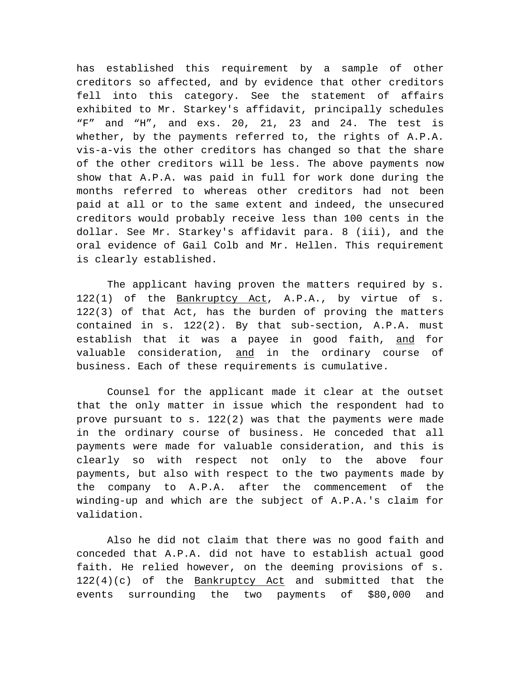has established this requirement by a sample of other creditors so affected, and by evidence that other creditors fell into this category. See the statement of affairs exhibited to Mr. Starkey's affidavit, principally schedules "F" and "H", and exs. 20, 21, 23 and 24. The test is whether, by the payments referred to, the rights of A.P.A. vis-a-vis the other creditors has changed so that the share of the other creditors will be less. The above payments now show that A.P.A. was paid in full for work done during the months referred to whereas other creditors had not been paid at all or to the same extent and indeed, the unsecured creditors would probably receive less than 100 cents in the dollar. See Mr. Starkey's affidavit para. 8 (iii), and the oral evidence of Gail Colb and Mr. Hellen. This requirement is clearly established.

The applicant having proven the matters required by s. 122(1) of the Bankruptcy Act, A.P.A., by virtue of s. 122(3) of that Act, has the burden of proving the matters contained in s. 122(2). By that sub-section, A.P.A. must establish that it was a payee in good faith, and for valuable consideration, and in the ordinary course of business. Each of these requirements is cumulative.

Counsel for the applicant made it clear at the outset that the only matter in issue which the respondent had to prove pursuant to s. 122(2) was that the payments were made in the ordinary course of business. He conceded that all payments were made for valuable consideration, and this is clearly so with respect not only to the above four payments, but also with respect to the two payments made by the company to A.P.A. after the commencement of the winding-up and which are the subject of A.P.A.'s claim for validation.

Also he did not claim that there was no good faith and conceded that A.P.A. did not have to establish actual good faith. He relied however, on the deeming provisions of s. 122(4)(c) of the Bankruptcy Act and submitted that the events surrounding the two payments of \$80,000 and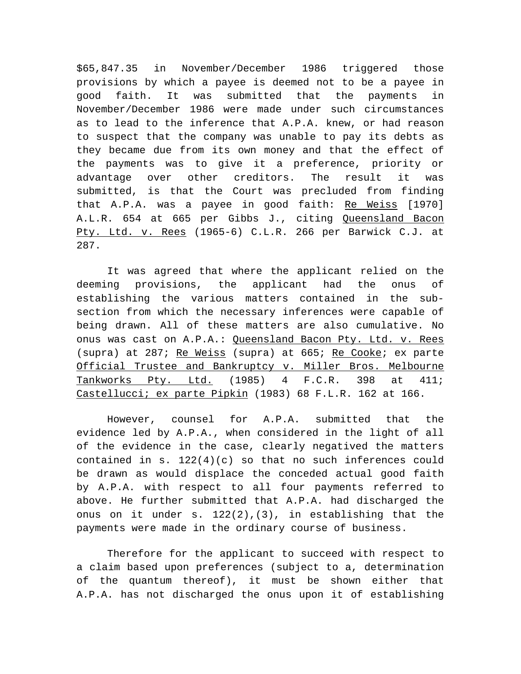\$65,847.35 in November/December 1986 triggered those provisions by which a payee is deemed not to be a payee in good faith. It was submitted that the payments in November/December 1986 were made under such circumstances as to lead to the inference that A.P.A. knew, or had reason to suspect that the company was unable to pay its debts as they became due from its own money and that the effect of the payments was to give it a preference, priority or advantage over other creditors. The result it was submitted, is that the Court was precluded from finding that A.P.A. was a payee in good faith: Re Weiss [1970] A.L.R. 654 at 665 per Gibbs J., citing Queensland Bacon Pty. Ltd. v. Rees (1965-6) C.L.R. 266 per Barwick C.J. at 287.

It was agreed that where the applicant relied on the deeming provisions, the applicant had the onus of establishing the various matters contained in the subsection from which the necessary inferences were capable of being drawn. All of these matters are also cumulative. No onus was cast on A.P.A.: Queensland Bacon Pty. Ltd. v. Rees (supra) at 287; Re Weiss (supra) at 665; Re Cooke; ex parte Official Trustee and Bankruptcy v. Miller Bros. Melbourne Tankworks Pty. Ltd. (1985) 4 F.C.R. 398 at 411; Castellucci; ex parte Pipkin (1983) 68 F.L.R. 162 at 166.

However, counsel for A.P.A. submitted that the evidence led by A.P.A., when considered in the light of all of the evidence in the case, clearly negatived the matters contained in s.  $122(4)(c)$  so that no such inferences could be drawn as would displace the conceded actual good faith by A.P.A. with respect to all four payments referred to above. He further submitted that A.P.A. had discharged the onus on it under s. 122(2),(3), in establishing that the payments were made in the ordinary course of business.

Therefore for the applicant to succeed with respect to a claim based upon preferences (subject to a, determination of the quantum thereof), it must be shown either that A.P.A. has not discharged the onus upon it of establishing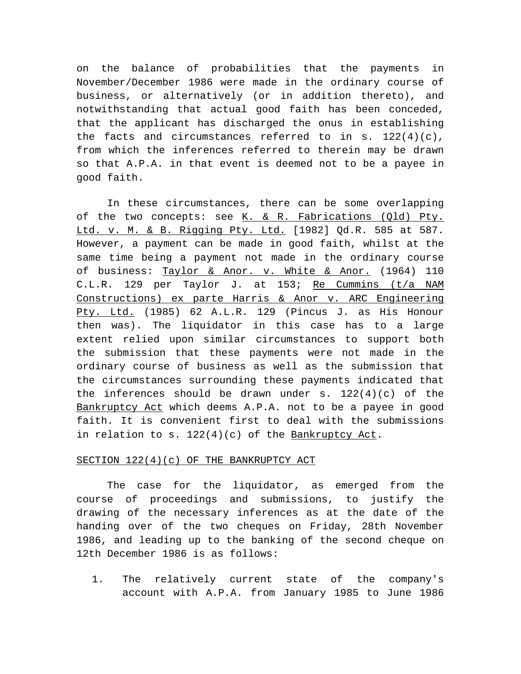on the balance of probabilities that the payments in November/December 1986 were made in the ordinary course of business, or alternatively (or in addition thereto), and notwithstanding that actual good faith has been conceded, that the applicant has discharged the onus in establishing the facts and circumstances referred to in s.  $122(4)(c)$ , from which the inferences referred to therein may be drawn so that A.P.A. in that event is deemed not to be a payee in good faith.

In these circumstances, there can be some overlapping of the two concepts: see K. & R. Fabrications (Qld) Pty. Ltd. v. M. & B. Rigging Pty. Ltd. [1982] Qd.R. 585 at 587. However, a payment can be made in good faith, whilst at the same time being a payment not made in the ordinary course of business: Taylor & Anor. v. White & Anor. (1964) 110 C.L.R. 129 per Taylor J. at 153; Re Cummins (t/a NAM Constructions) ex parte Harris & Anor v. ARC Engineering Pty. Ltd. (1985) 62 A.L.R. 129 (Pincus J. as His Honour then was). The liquidator in this case has to a large extent relied upon similar circumstances to support both the submission that these payments were not made in the ordinary course of business as well as the submission that the circumstances surrounding these payments indicated that the inferences should be drawn under  $s. 122(4)(c)$  of the Bankruptcy Act which deems A.P.A. not to be a payee in good faith. It is convenient first to deal with the submissions in relation to s.  $122(4)(c)$  of the Bankruptcy Act.

### SECTION 122(4)(c) OF THE BANKRUPTCY ACT

The case for the liquidator, as emerged from the course of proceedings and submissions, to justify the drawing of the necessary inferences as at the date of the handing over of the two cheques on Friday, 28th November 1986, and leading up to the banking of the second cheque on 12th December 1986 is as follows:

1. The relatively current state of the company's account with A.P.A. from January 1985 to June 1986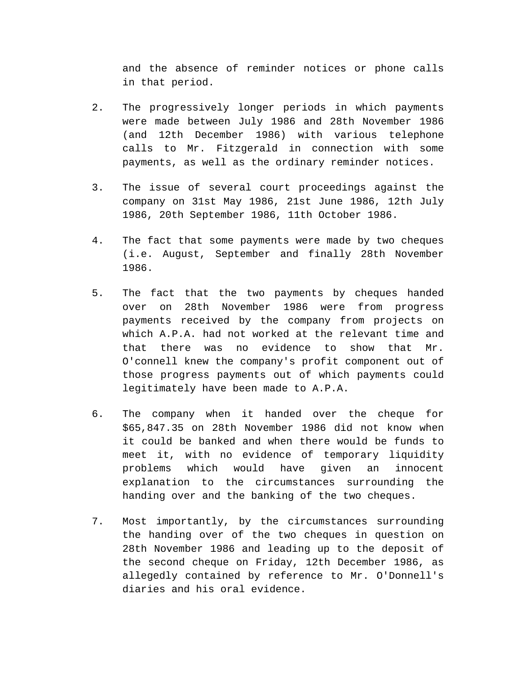and the absence of reminder notices or phone calls in that period.

- 2. The progressively longer periods in which payments were made between July 1986 and 28th November 1986 (and 12th December 1986) with various telephone calls to Mr. Fitzgerald in connection with some payments, as well as the ordinary reminder notices.
- 3. The issue of several court proceedings against the company on 31st May 1986, 21st June 1986, 12th July 1986, 20th September 1986, 11th October 1986.
- 4. The fact that some payments were made by two cheques (i.e. August, September and finally 28th November 1986.
- 5. The fact that the two payments by cheques handed over on 28th November 1986 were from progress payments received by the company from projects on which A.P.A. had not worked at the relevant time and that there was no evidence to show that Mr. O'connell knew the company's profit component out of those progress payments out of which payments could legitimately have been made to A.P.A.
- 6. The company when it handed over the cheque for \$65,847.35 on 28th November 1986 did not know when it could be banked and when there would be funds to meet it, with no evidence of temporary liquidity problems which would have given an innocent explanation to the circumstances surrounding the handing over and the banking of the two cheques.
- 7. Most importantly, by the circumstances surrounding the handing over of the two cheques in question on 28th November 1986 and leading up to the deposit of the second cheque on Friday, 12th December 1986, as allegedly contained by reference to Mr. O'Donnell's diaries and his oral evidence.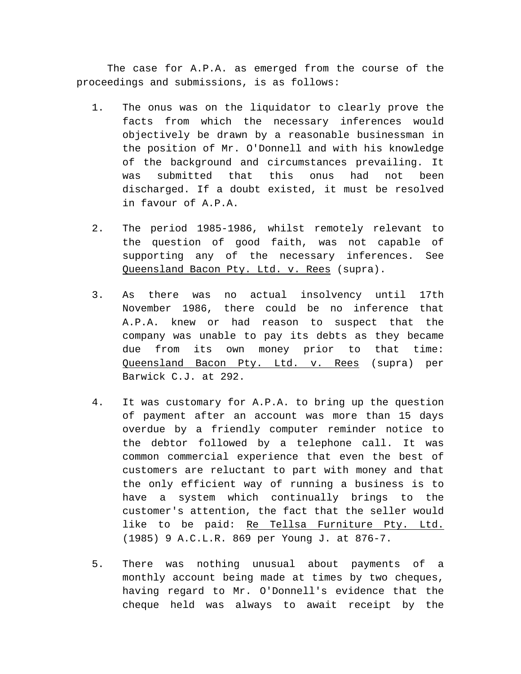The case for A.P.A. as emerged from the course of the proceedings and submissions, is as follows:

- 1. The onus was on the liquidator to clearly prove the facts from which the necessary inferences would objectively be drawn by a reasonable businessman in the position of Mr. O'Donnell and with his knowledge of the background and circumstances prevailing. It was submitted that this onus had not been discharged. If a doubt existed, it must be resolved in favour of A.P.A.
- 2. The period 1985-1986, whilst remotely relevant to the question of good faith, was not capable of supporting any of the necessary inferences. See Queensland Bacon Pty. Ltd. v. Rees (supra).
- 3. As there was no actual insolvency until 17th November 1986, there could be no inference that A.P.A. knew or had reason to suspect that the company was unable to pay its debts as they became due from its own money prior to that time: Queensland Bacon Pty. Ltd. v. Rees (supra) per Barwick C.J. at 292.
- 4. It was customary for A.P.A. to bring up the question of payment after an account was more than 15 days overdue by a friendly computer reminder notice to the debtor followed by a telephone call. It was common commercial experience that even the best of customers are reluctant to part with money and that the only efficient way of running a business is to have a system which continually brings to the customer's attention, the fact that the seller would like to be paid: Re Tellsa Furniture Pty. Ltd. (1985) 9 A.C.L.R. 869 per Young J. at 876-7.
- 5. There was nothing unusual about payments of a monthly account being made at times by two cheques, having regard to Mr. O'Donnell's evidence that the cheque held was always to await receipt by the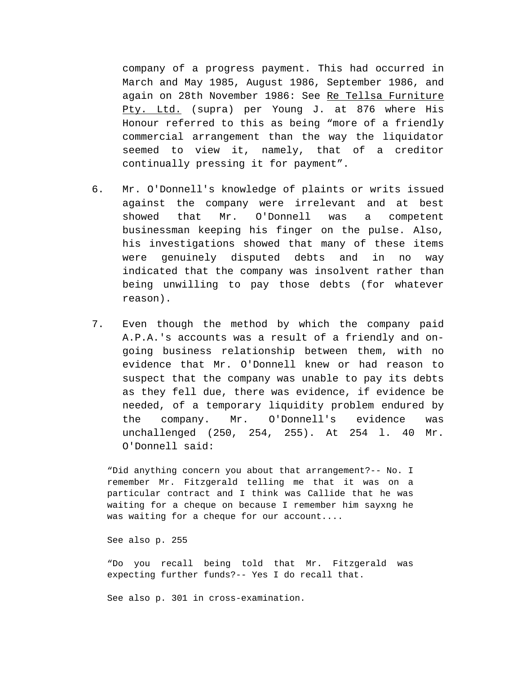company of a progress payment. This had occurred in March and May 1985, August 1986, September 1986, and again on 28th November 1986: See Re Tellsa Furniture Pty. Ltd. (supra) per Young J. at 876 where His Honour referred to this as being "more of a friendly commercial arrangement than the way the liquidator seemed to view it, namely, that of a creditor continually pressing it for payment".

- 6. Mr. O'Donnell's knowledge of plaints or writs issued against the company were irrelevant and at best showed that Mr. O'Donnell was a competent businessman keeping his finger on the pulse. Also, his investigations showed that many of these items were genuinely disputed debts and in no way indicated that the company was insolvent rather than being unwilling to pay those debts (for whatever reason).
- 7. Even though the method by which the company paid A.P.A.'s accounts was a result of a friendly and ongoing business relationship between them, with no evidence that Mr. O'Donnell knew or had reason to suspect that the company was unable to pay its debts as they fell due, there was evidence, if evidence be needed, of a temporary liquidity problem endured by the company. Mr. O'Donnell's evidence was unchallenged (250, 254, 255). At 254 l. 40 Mr. O'Donnell said:

"Did anything concern you about that arrangement?-- No. I remember Mr. Fitzgerald telling me that it was on a particular contract and I think was Callide that he was waiting for a cheque on because I remember him sayxng he was waiting for a cheque for our account....

See also p. 255

"Do you recall being told that Mr. Fitzgerald was expecting further funds?-- Yes I do recall that.

See also p. 301 in cross-examination.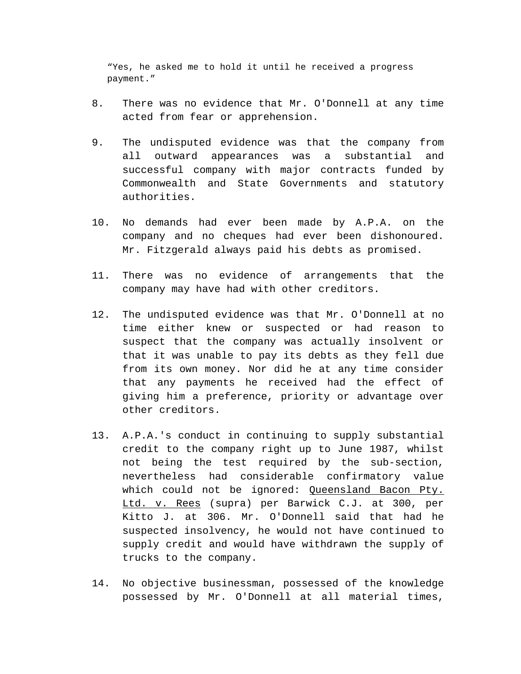"Yes, he asked me to hold it until he received a progress payment."

- 8. There was no evidence that Mr. O'Donnell at any time acted from fear or apprehension.
- 9. The undisputed evidence was that the company from all outward appearances was a substantial and successful company with major contracts funded by Commonwealth and State Governments and statutory authorities.
- 10. No demands had ever been made by A.P.A. on the company and no cheques had ever been dishonoured. Mr. Fitzgerald always paid his debts as promised.
- 11. There was no evidence of arrangements that the company may have had with other creditors.
- 12. The undisputed evidence was that Mr. O'Donnell at no time either knew or suspected or had reason to suspect that the company was actually insolvent or that it was unable to pay its debts as they fell due from its own money. Nor did he at any time consider that any payments he received had the effect of giving him a preference, priority or advantage over other creditors.
- 13. A.P.A.'s conduct in continuing to supply substantial credit to the company right up to June 1987, whilst not being the test required by the sub-section, nevertheless had considerable confirmatory value which could not be ignored: Queensland Bacon Pty. Ltd. v. Rees (supra) per Barwick C.J. at 300, per Kitto J. at 306. Mr. O'Donnell said that had he suspected insolvency, he would not have continued to supply credit and would have withdrawn the supply of trucks to the company.
- 14. No objective businessman, possessed of the knowledge possessed by Mr. O'Donnell at all material times,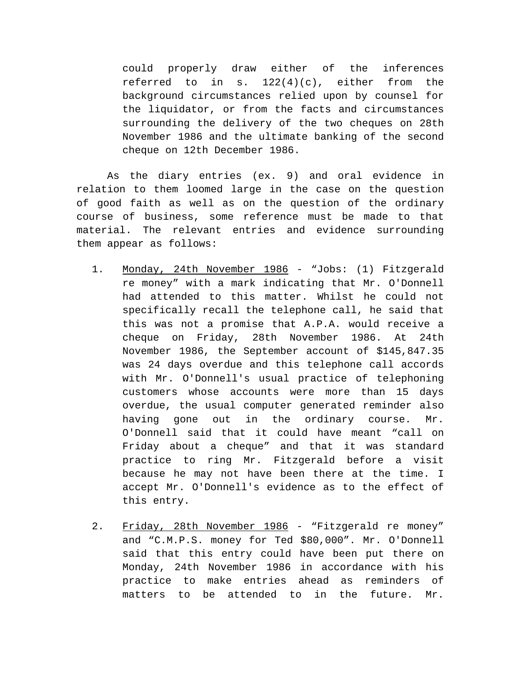could properly draw either of the inferences referred to in s.  $122(4)(c)$ , either from the background circumstances relied upon by counsel for the liquidator, or from the facts and circumstances surrounding the delivery of the two cheques on 28th November 1986 and the ultimate banking of the second cheque on 12th December 1986.

As the diary entries (ex. 9) and oral evidence in relation to them loomed large in the case on the question of good faith as well as on the question of the ordinary course of business, some reference must be made to that material. The relevant entries and evidence surrounding them appear as follows:

- 1. Monday, 24th November 1986 "Jobs: (1) Fitzgerald re money" with a mark indicating that Mr. O'Donnell had attended to this matter. Whilst he could not specifically recall the telephone call, he said that this was not a promise that A.P.A. would receive a cheque on Friday, 28th November 1986. At 24th November 1986, the September account of \$145,847.35 was 24 days overdue and this telephone call accords with Mr. O'Donnell's usual practice of telephoning customers whose accounts were more than 15 days overdue, the usual computer generated reminder also having gone out in the ordinary course. Mr. O'Donnell said that it could have meant "call on Friday about a cheque" and that it was standard practice to ring Mr. Fitzgerald before a visit because he may not have been there at the time. I accept Mr. O'Donnell's evidence as to the effect of this entry.
- 2. Friday, 28th November 1986 "Fitzgerald re money" and "C.M.P.S. money for Ted \$80,000". Mr. O'Donnell said that this entry could have been put there on Monday, 24th November 1986 in accordance with his practice to make entries ahead as reminders of matters to be attended to in the future. Mr.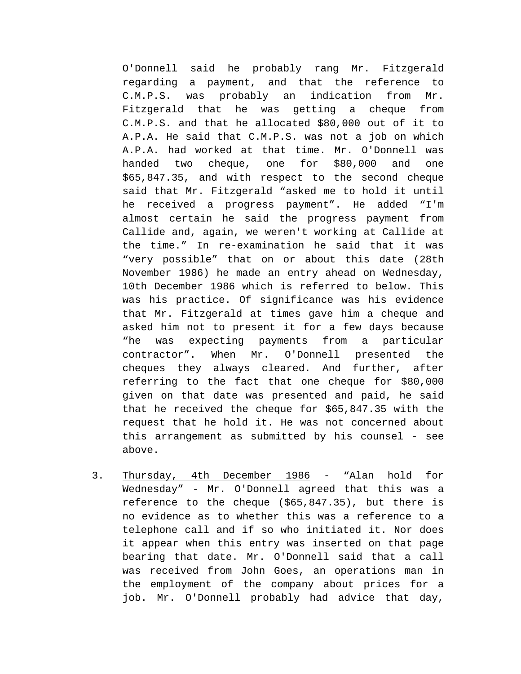O'Donnell said he probably rang Mr. Fitzgerald regarding a payment, and that the reference to C.M.P.S. was probably an indication from Mr. Fitzgerald that he was getting a cheque from C.M.P.S. and that he allocated \$80,000 out of it to A.P.A. He said that C.M.P.S. was not a job on which A.P.A. had worked at that time. Mr. O'Donnell was handed two cheque, one for \$80,000 and one \$65,847.35, and with respect to the second cheque said that Mr. Fitzgerald "asked me to hold it until he received a progress payment". He added "I'm almost certain he said the progress payment from Callide and, again, we weren't working at Callide at the time." In re-examination he said that it was "very possible" that on or about this date (28th November 1986) he made an entry ahead on Wednesday, 10th December 1986 which is referred to below. This was his practice. Of significance was his evidence that Mr. Fitzgerald at times gave him a cheque and asked him not to present it for a few days because "he was expecting payments from a particular contractor". When Mr. O'Donnell presented the cheques they always cleared. And further, after referring to the fact that one cheque for \$80,000 given on that date was presented and paid, he said that he received the cheque for \$65,847.35 with the request that he hold it. He was not concerned about this arrangement as submitted by his counsel - see above.

3. Thursday, 4th December 1986 - "Alan hold for Wednesday" - Mr. O'Donnell agreed that this was a reference to the cheque (\$65,847.35), but there is no evidence as to whether this was a reference to a telephone call and if so who initiated it. Nor does it appear when this entry was inserted on that page bearing that date. Mr. O'Donnell said that a call was received from John Goes, an operations man in the employment of the company about prices for a job. Mr. O'Donnell probably had advice that day,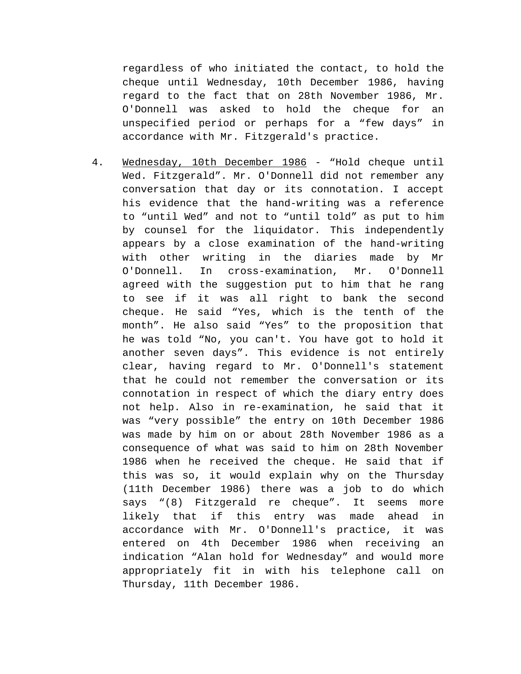regardless of who initiated the contact, to hold the cheque until Wednesday, 10th December 1986, having regard to the fact that on 28th November 1986, Mr. O'Donnell was asked to hold the cheque for an unspecified period or perhaps for a "few days" in accordance with Mr. Fitzgerald's practice.

4. Wednesday, 10th December 1986 - "Hold cheque until Wed. Fitzgerald". Mr. O'Donnell did not remember any conversation that day or its connotation. I accept his evidence that the hand-writing was a reference to "until Wed" and not to "until told" as put to him by counsel for the liquidator. This independently appears by a close examination of the hand-writing with other writing in the diaries made by Mr O'Donnell. In cross-examination, Mr. O'Donnell agreed with the suggestion put to him that he rang to see if it was all right to bank the second cheque. He said "Yes, which is the tenth of the month". He also said "Yes" to the proposition that he was told "No, you can't. You have got to hold it another seven days". This evidence is not entirely clear, having regard to Mr. O'Donnell's statement that he could not remember the conversation or its connotation in respect of which the diary entry does not help. Also in re-examination, he said that it was "very possible" the entry on 10th December 1986 was made by him on or about 28th November 1986 as a consequence of what was said to him on 28th November 1986 when he received the cheque. He said that if this was so, it would explain why on the Thursday (11th December 1986) there was a job to do which says "(8) Fitzgerald re cheque". It seems more likely that if this entry was made ahead in accordance with Mr. O'Donnell's practice, it was entered on 4th December 1986 when receiving an indication "Alan hold for Wednesday" and would more appropriately fit in with his telephone call on Thursday, 11th December 1986.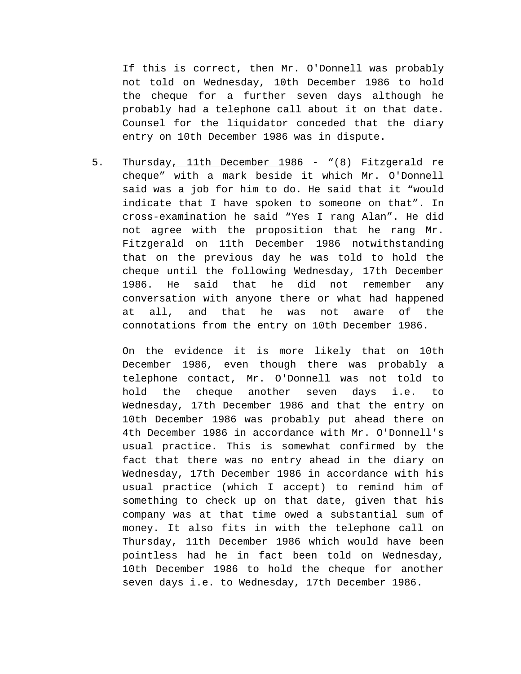If this is correct, then Mr. O'Donnell was probably not told on Wednesday, 10th December 1986 to hold the cheque for a further seven days although he probably had a telephone call about it on that date. Counsel for the liquidator conceded that the diary entry on 10th December 1986 was in dispute.

5. Thursday, 11th December 1986 - "(8) Fitzgerald re cheque" with a mark beside it which Mr. O'Donnell said was a job for him to do. He said that it "would indicate that I have spoken to someone on that". In cross-examination he said "Yes I rang Alan". He did not agree with the proposition that he rang Mr. Fitzgerald on 11th December 1986 notwithstanding that on the previous day he was told to hold the cheque until the following Wednesday, 17th December 1986. He said that he did not remember any conversation with anyone there or what had happened at all, and that he was not aware of the connotations from the entry on 10th December 1986.

On the evidence it is more likely that on 10th December 1986, even though there was probably a telephone contact, Mr. O'Donnell was not told to hold the cheque another seven days i.e. to Wednesday, 17th December 1986 and that the entry on 10th December 1986 was probably put ahead there on 4th December 1986 in accordance with Mr. O'Donnell's usual practice. This is somewhat confirmed by the fact that there was no entry ahead in the diary on Wednesday, 17th December 1986 in accordance with his usual practice (which I accept) to remind him of something to check up on that date, given that his company was at that time owed a substantial sum of money. It also fits in with the telephone call on Thursday, 11th December 1986 which would have been pointless had he in fact been told on Wednesday, 10th December 1986 to hold the cheque for another seven days i.e. to Wednesday, 17th December 1986.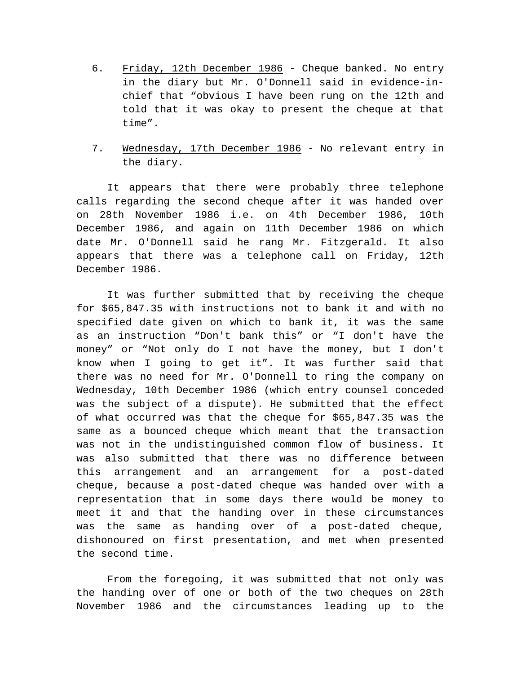- 6. Friday, 12th December 1986 Cheque banked. No entry in the diary but Mr. O'Donnell said in evidence-inchief that "obvious I have been rung on the 12th and told that it was okay to present the cheque at that time".
- 7. Wednesday, 17th December 1986 No relevant entry in the diary.

It appears that there were probably three telephone calls regarding the second cheque after it was handed over on 28th November 1986 i.e. on 4th December 1986, 10th December 1986, and again on 11th December 1986 on which date Mr. O'Donnell said he rang Mr. Fitzgerald. It also appears that there was a telephone call on Friday, 12th December 1986.

It was further submitted that by receiving the cheque for \$65,847.35 with instructions not to bank it and with no specified date given on which to bank it, it was the same as an instruction "Don't bank this" or "I don't have the money" or "Not only do I not have the money, but I don't know when I going to get it". It was further said that there was no need for Mr. O'Donnell to ring the company on Wednesday, 10th December 1986 (which entry counsel conceded was the subject of a dispute). He submitted that the effect of what occurred was that the cheque for \$65,847.35 was the same as a bounced cheque which meant that the transaction was not in the undistinguished common flow of business. It was also submitted that there was no difference between this arrangement and an arrangement for a post-dated cheque, because a post-dated cheque was handed over with a representation that in some days there would be money to meet it and that the handing over in these circumstances was the same as handing over of a post-dated cheque, dishonoured on first presentation, and met when presented the second time.

From the foregoing, it was submitted that not only was the handing over of one or both of the two cheques on 28th November 1986 and the circumstances leading up to the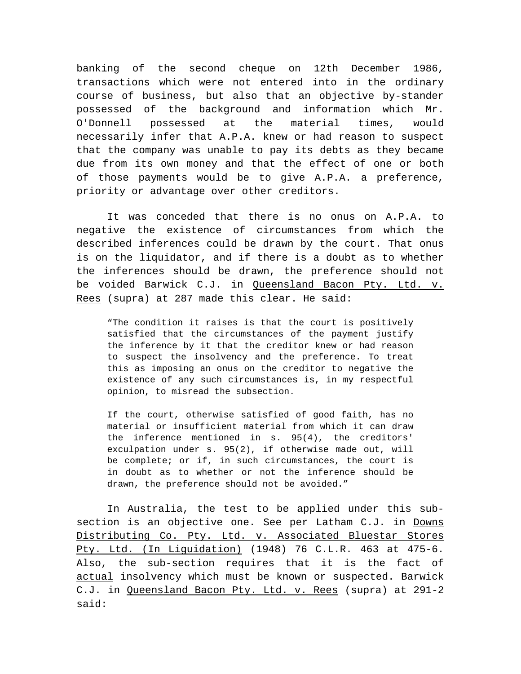banking of the second cheque on 12th December 1986, transactions which were not entered into in the ordinary course of business, but also that an objective by-stander possessed of the background and information which Mr. O'Donnell possessed at the material times, would necessarily infer that A.P.A. knew or had reason to suspect that the company was unable to pay its debts as they became due from its own money and that the effect of one or both of those payments would be to give A.P.A. a preference, priority or advantage over other creditors.

It was conceded that there is no onus on A.P.A. to negative the existence of circumstances from which the described inferences could be drawn by the court. That onus is on the liquidator, and if there is a doubt as to whether the inferences should be drawn, the preference should not be voided Barwick C.J. in Queensland Bacon Pty. Ltd. v. Rees (supra) at 287 made this clear. He said:

"The condition it raises is that the court is positively satisfied that the circumstances of the payment justify the inference by it that the creditor knew or had reason to suspect the insolvency and the preference. To treat this as imposing an onus on the creditor to negative the existence of any such circumstances is, in my respectful opinion, to misread the subsection.

If the court, otherwise satisfied of good faith, has no material or insufficient material from which it can draw the inference mentioned in s. 95(4), the creditors' exculpation under s. 95(2), if otherwise made out, will be complete; or if, in such circumstances, the court is in doubt as to whether or not the inference should be drawn, the preference should not be avoided."

In Australia, the test to be applied under this subsection is an objective one. See per Latham C.J. in Downs Distributing Co. Pty. Ltd. v. Associated Bluestar Stores Pty. Ltd. (In Liguidation) (1948) 76 C.L.R. 463 at 475-6. Also, the sub-section requires that it is the fact of actual insolvency which must be known or suspected. Barwick C.J. in Queensland Bacon Pty. Ltd. v. Rees (supra) at 291-2 said: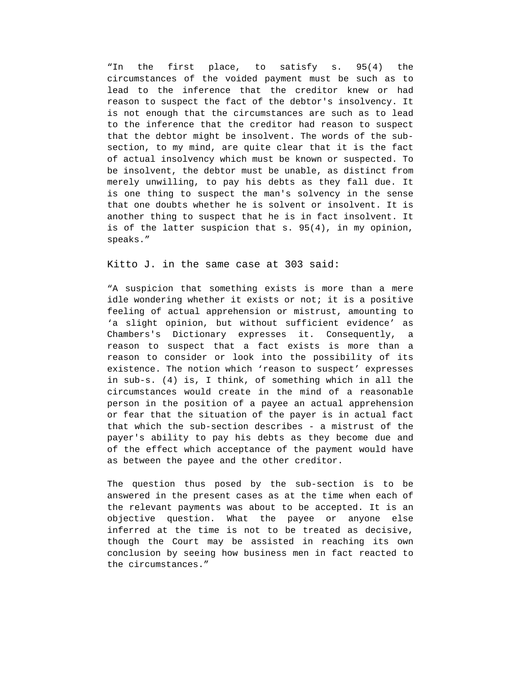"In the first place, to satisfy s. 95(4) the circumstances of the voided payment must be such as to lead to the inference that the creditor knew or had reason to suspect the fact of the debtor's insolvency. It is not enough that the circumstances are such as to lead to the inference that the creditor had reason to suspect that the debtor might be insolvent. The words of the subsection, to my mind, are quite clear that it is the fact of actual insolvency which must be known or suspected. To be insolvent, the debtor must be unable, as distinct from merely unwilling, to pay his debts as they fall due. It is one thing to suspect the man's solvency in the sense that one doubts whether he is solvent or insolvent. It is another thing to suspect that he is in fact insolvent. It is of the latter suspicion that s. 95(4), in my opinion, speaks."

Kitto J. in the same case at 303 said:

"A suspicion that something exists is more than a mere idle wondering whether it exists or not; it is a positive feeling of actual apprehension or mistrust, amounting to 'a slight opinion, but without sufficient evidence' as Chambers's Dictionary expresses it. Consequently, reason to suspect that a fact exists is more than a reason to consider or look into the possibility of its existence. The notion which 'reason to suspect' expresses in sub-s. (4) is, I think, of something which in all the circumstances would create in the mind of a reasonable person in the position of a payee an actual apprehension or fear that the situation of the payer is in actual fact that which the sub-section describes - a mistrust of the payer's ability to pay his debts as they become due and of the effect which acceptance of the payment would have as between the payee and the other creditor.

The question thus posed by the sub-section is to be answered in the present cases as at the time when each of the relevant payments was about to be accepted. It is an objective question. What the payee or anyone else inferred at the time is not to be treated as decisive, though the Court may be assisted in reaching its own conclusion by seeing how business men in fact reacted to the circumstances."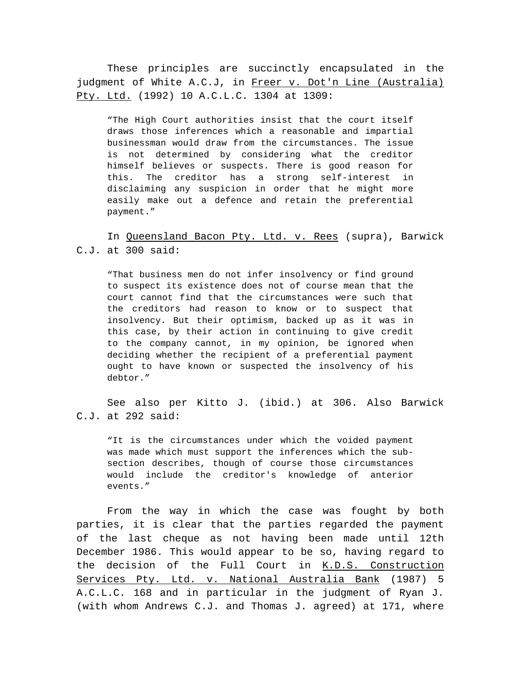These principles are succinctly encapsulated in the judgment of White A.C.J, in Freer v. Dot'n Line (Australia) Pty. Ltd. (1992) 10 A.C.L.C. 1304 at 1309:

"The High Court authorities insist that the court itself draws those inferences which a reasonable and impartial businessman would draw from the circumstances. The issue is not determined by considering what the creditor himself believes or suspects. There is good reason for this. The creditor has a strong self-interest in disclaiming any suspicion in order that he might more easily make out a defence and retain the preferential payment."

## In Queensland Bacon Pty. Ltd. v. Rees (supra), Barwick C.J. at 300 said:

"That business men do not infer insolvency or find ground to suspect its existence does not of course mean that the court cannot find that the circumstances were such that the creditors had reason to know or to suspect that insolvency. But their optimism, backed up as it was in this case, by their action in continuing to give credit to the company cannot, in my opinion, be ignored when deciding whether the recipient of a preferential payment ought to have known or suspected the insolvency of his debtor."

See also per Kitto J. (ibid.) at 306. Also Barwick C.J. at 292 said:

"It is the circumstances under which the voided payment was made which must support the inferences which the subsection describes, though of course those circumstances would include the creditor's knowledge of anterior events."

From the way in which the case was fought by both parties, it is clear that the parties regarded the payment of the last cheque as not having been made until 12th December 1986. This would appear to be so, having regard to the decision of the Full Court in K.D.S. Construction Services Pty. Ltd. v. National Australia Bank (1987) 5 A.C.L.C. 168 and in particular in the judgment of Ryan J. (with whom Andrews C.J. and Thomas J. agreed) at 171, where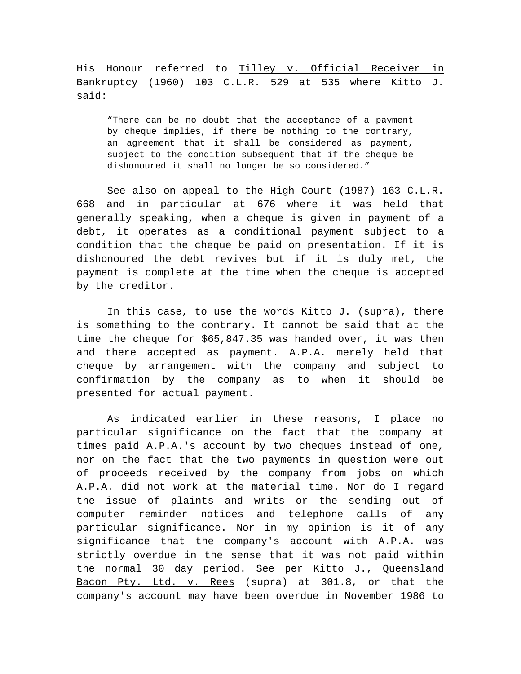His Honour referred to Tilley v. Official Receiver in Bankruptcy (1960) 103 C.L.R. 529 at 535 where Kitto J. said:

"There can be no doubt that the acceptance of a payment by cheque implies, if there be nothing to the contrary, an agreement that it shall be considered as payment, subject to the condition subsequent that if the cheque be dishonoured it shall no longer be so considered."

See also on appeal to the High Court (1987) 163 C.L.R. 668 and in particular at 676 where it was held that generally speaking, when a cheque is given in payment of a debt, it operates as a conditional payment subject to a condition that the cheque be paid on presentation. If it is dishonoured the debt revives but if it is duly met, the payment is complete at the time when the cheque is accepted by the creditor.

In this case, to use the words Kitto J. (supra), there is something to the contrary. It cannot be said that at the time the cheque for \$65,847.35 was handed over, it was then and there accepted as payment. A.P.A. merely held that cheque by arrangement with the company and subject to confirmation by the company as to when it should be presented for actual payment.

As indicated earlier in these reasons, I place no particular significance on the fact that the company at times paid A.P.A.'s account by two cheques instead of one, nor on the fact that the two payments in question were out of proceeds received by the company from jobs on which A.P.A. did not work at the material time. Nor do I regard the issue of plaints and writs or the sending out of computer reminder notices and telephone calls of any particular significance. Nor in my opinion is it of any significance that the company's account with A.P.A. was strictly overdue in the sense that it was not paid within the normal 30 day period. See per Kitto J., Queensland Bacon Pty. Ltd. v. Rees (supra) at 301.8, or that the company's account may have been overdue in November 1986 to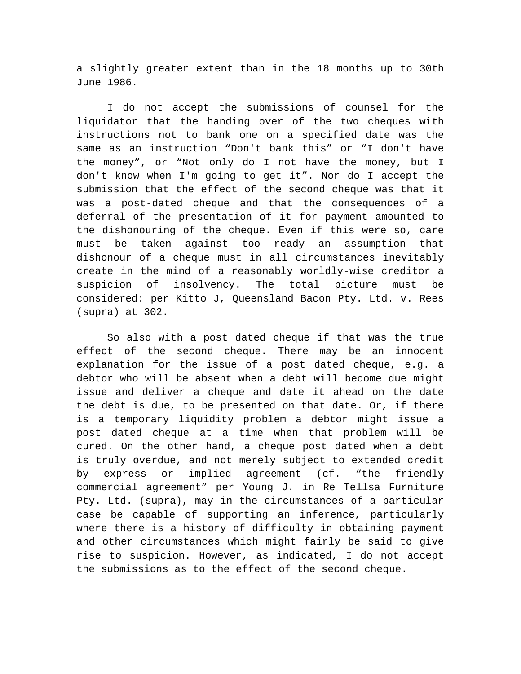a slightly greater extent than in the 18 months up to 30th June 1986.

I do not accept the submissions of counsel for the liquidator that the handing over of the two cheques with instructions not to bank one on a specified date was the same as an instruction "Don't bank this" or "I don't have the money", or "Not only do I not have the money, but I don't know when I'm going to get it". Nor do I accept the submission that the effect of the second cheque was that it was a post-dated cheque and that the consequences of a deferral of the presentation of it for payment amounted to the dishonouring of the cheque. Even if this were so, care must be taken against too ready an assumption that dishonour of a cheque must in all circumstances inevitably create in the mind of a reasonably worldly-wise creditor a suspicion of insolvency. The total picture must be considered: per Kitto J, Queensland Bacon Pty. Ltd. v. Rees (supra) at 302.

So also with a post dated cheque if that was the true effect of the second cheque. There may be an innocent explanation for the issue of a post dated cheque, e.g. a debtor who will be absent when a debt will become due might issue and deliver a cheque and date it ahead on the date the debt is due, to be presented on that date. Or, if there is a temporary liquidity problem a debtor might issue a post dated cheque at a time when that problem will be cured. On the other hand, a cheque post dated when a debt is truly overdue, and not merely subject to extended credit by express or implied agreement (cf. "the friendly commercial agreement" per Young J. in Re Tellsa Furniture Pty. Ltd. (supra), may in the circumstances of a particular case be capable of supporting an inference, particularly where there is a history of difficulty in obtaining payment and other circumstances which might fairly be said to give rise to suspicion. However, as indicated, I do not accept the submissions as to the effect of the second cheque.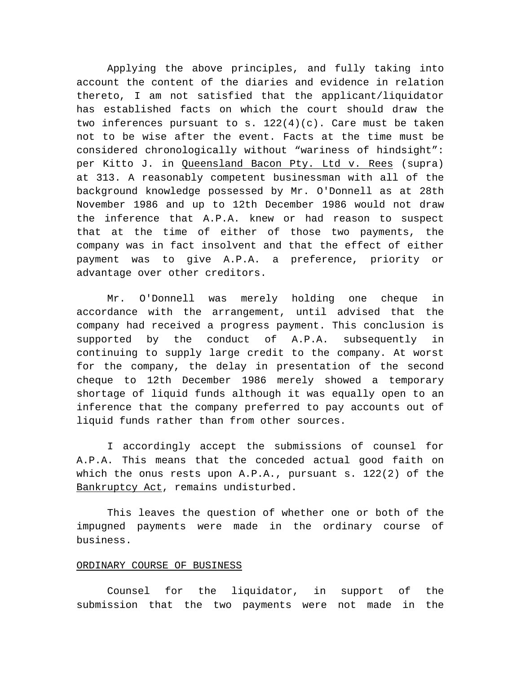Applying the above principles, and fully taking into account the content of the diaries and evidence in relation thereto, I am not satisfied that the applicant/liquidator has established facts on which the court should draw the two inferences pursuant to s.  $122(4)(c)$ . Care must be taken not to be wise after the event. Facts at the time must be considered chronologically without "wariness of hindsight": per Kitto J. in Queensland Bacon Pty. Ltd v. Rees (supra) at 313. A reasonably competent businessman with all of the background knowledge possessed by Mr. O'Donnell as at 28th November 1986 and up to 12th December 1986 would not draw the inference that A.P.A. knew or had reason to suspect that at the time of either of those two payments, the company was in fact insolvent and that the effect of either payment was to give A.P.A. a preference, priority or advantage over other creditors.

Mr. O'Donnell was merely holding one cheque in accordance with the arrangement, until advised that the company had received a progress payment. This conclusion is supported by the conduct of A.P.A. subsequently in continuing to supply large credit to the company. At worst for the company, the delay in presentation of the second cheque to 12th December 1986 merely showed a temporary shortage of liquid funds although it was equally open to an inference that the company preferred to pay accounts out of liquid funds rather than from other sources.

I accordingly accept the submissions of counsel for A.P.A. This means that the conceded actual good faith on which the onus rests upon  $A.P.A.,$  pursuant  $s. 122(2)$  of the Bankruptcy Act, remains undisturbed.

This leaves the question of whether one or both of the impugned payments were made in the ordinary course of business.

## ORDINARY COURSE OF BUSINESS

Counsel for the liquidator, in support of the submission that the two payments were not made in the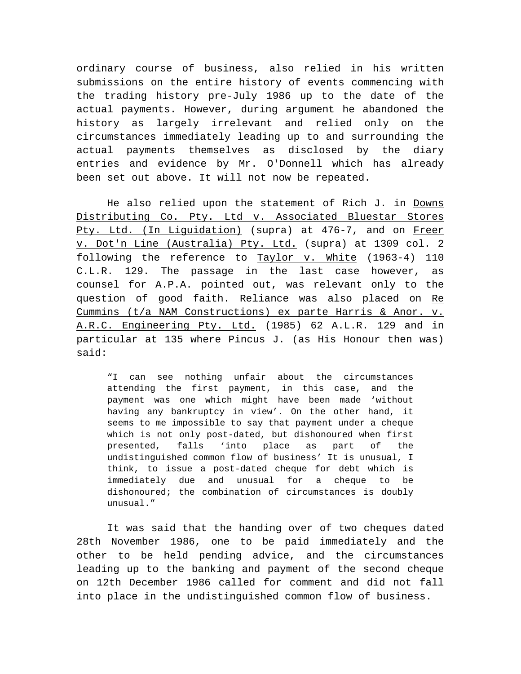ordinary course of business, also relied in his written submissions on the entire history of events commencing with the trading history pre-July 1986 up to the date of the actual payments. However, during argument he abandoned the history as largely irrelevant and relied only on the circumstances immediately leading up to and surrounding the actual payments themselves as disclosed by the diary entries and evidence by Mr. O'Donnell which has already been set out above. It will not now be repeated.

He also relied upon the statement of Rich J. in Downs Distributing Co. Pty. Ltd v. Associated Bluestar Stores Pty. Ltd. (In Liguidation) (supra) at 476-7, and on Freer v. Dot'n Line (Australia) Pty. Ltd. (supra) at 1309 col. 2 following the reference to Taylor v. White (1963-4) 110 C.L.R. 129. The passage in the last case however, as counsel for A.P.A. pointed out, was relevant only to the question of good faith. Reliance was also placed on Re Cummins (t/a NAM Constructions) ex parte Harris & Anor. v. A.R.C. Engineering Pty. Ltd. (1985) 62 A.L.R. 129 and in particular at 135 where Pincus J. (as His Honour then was) said:

"I can see nothing unfair about the circumstances attending the first payment, in this case, and the payment was one which might have been made 'without having any bankruptcy in view'. On the other hand, it seems to me impossible to say that payment under a cheque which is not only post-dated, but dishonoured when first presented, falls 'into place as part of the undistinguished common flow of business' It is unusual, I think, to issue a post-dated cheque for debt which is immediately due and unusual for a cheque to be dishonoured; the combination of circumstances is doubly unusual."

It was said that the handing over of two cheques dated 28th November 1986, one to be paid immediately and the other to be held pending advice, and the circumstances leading up to the banking and payment of the second cheque on 12th December 1986 called for comment and did not fall into place in the undistinguished common flow of business.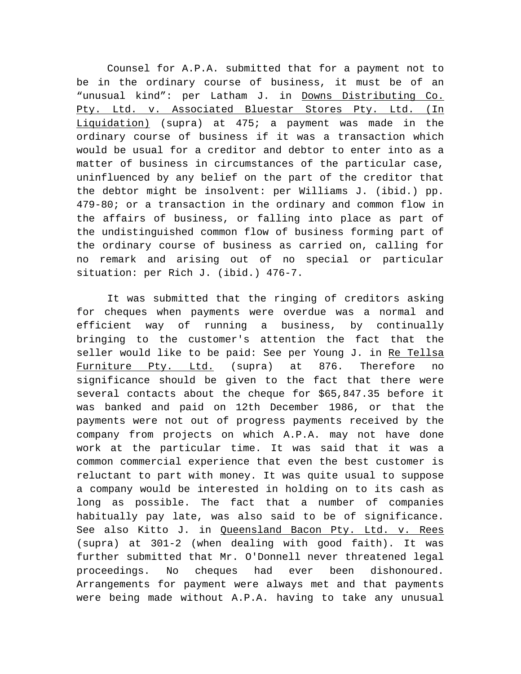Counsel for A.P.A. submitted that for a payment not to be in the ordinary course of business, it must be of an "unusual kind": per Latham J. in Downs Distributing Co. Pty. Ltd. v. Associated Bluestar Stores Pty. Ltd. (In Liquidation) (supra) at 475; a payment was made in the ordinary course of business if it was a transaction which would be usual for a creditor and debtor to enter into as a matter of business in circumstances of the particular case, uninfluenced by any belief on the part of the creditor that the debtor might be insolvent: per Williams J. (ibid.) pp. 479-80; or a transaction in the ordinary and common flow in the affairs of business, or falling into place as part of the undistinguished common flow of business forming part of the ordinary course of business as carried on, calling for no remark and arising out of no special or particular situation: per Rich J. (ibid.) 476-7.

It was submitted that the ringing of creditors asking for cheques when payments were overdue was a normal and efficient way of running a business, by continually bringing to the customer's attention the fact that the seller would like to be paid: See per Young J. in Re Tellsa Furniture Pty. Ltd. (supra) at 876. Therefore no significance should be given to the fact that there were several contacts about the cheque for \$65,847.35 before it was banked and paid on 12th December 1986, or that the payments were not out of progress payments received by the company from projects on which A.P.A. may not have done work at the particular time. It was said that it was a common commercial experience that even the best customer is reluctant to part with money. It was quite usual to suppose a company would be interested in holding on to its cash as long as possible. The fact that a number of companies habitually pay late, was also said to be of significance. See also Kitto J. in Queensland Bacon Pty. Ltd. v. Rees (supra) at 301-2 (when dealing with good faith). It was further submitted that Mr. O'Donnell never threatened legal proceedings. No cheques had ever been dishonoured. Arrangements for payment were always met and that payments were being made without A.P.A. having to take any unusual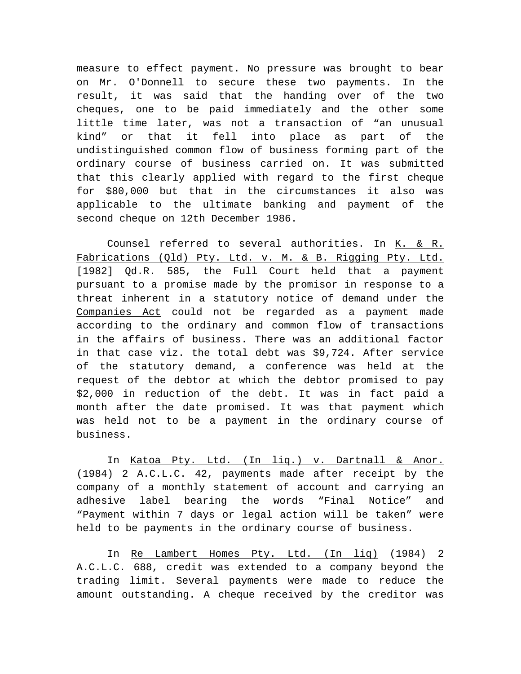measure to effect payment. No pressure was brought to bear on Mr. O'Donnell to secure these two payments. In the result, it was said that the handing over of the two cheques, one to be paid immediately and the other some little time later, was not a transaction of "an unusual kind" or that it fell into place as part of the undistinguished common flow of business forming part of the ordinary course of business carried on. It was submitted that this clearly applied with regard to the first cheque for \$80,000 but that in the circumstances it also was applicable to the ultimate banking and payment of the second cheque on 12th December 1986.

Counsel referred to several authorities. In K. & R. Fabrications (Qld) Pty. Ltd. v. M. & B. Rigging Pty. Ltd. [1982] Qd.R. 585, the Full Court held that a payment pursuant to a promise made by the promisor in response to a threat inherent in a statutory notice of demand under the Companies Act could not be regarded as a payment made according to the ordinary and common flow of transactions in the affairs of business. There was an additional factor in that case viz. the total debt was \$9,724. After service of the statutory demand, a conference was held at the request of the debtor at which the debtor promised to pay \$2,000 in reduction of the debt. It was in fact paid a month after the date promised. It was that payment which was held not to be a payment in the ordinary course of business.

In Katoa Pty. Ltd. (In liq.) v. Dartnall & Anor. (1984) 2 A.C.L.C. 42, payments made after receipt by the company of a monthly statement of account and carrying an adhesive label bearing the words "Final Notice" and "Payment within 7 days or legal action will be taken" were held to be payments in the ordinary course of business.

In Re Lambert Homes Pty. Ltd. (In liq) (1984) 2 A.C.L.C. 688, credit was extended to a company beyond the trading limit. Several payments were made to reduce the amount outstanding. A cheque received by the creditor was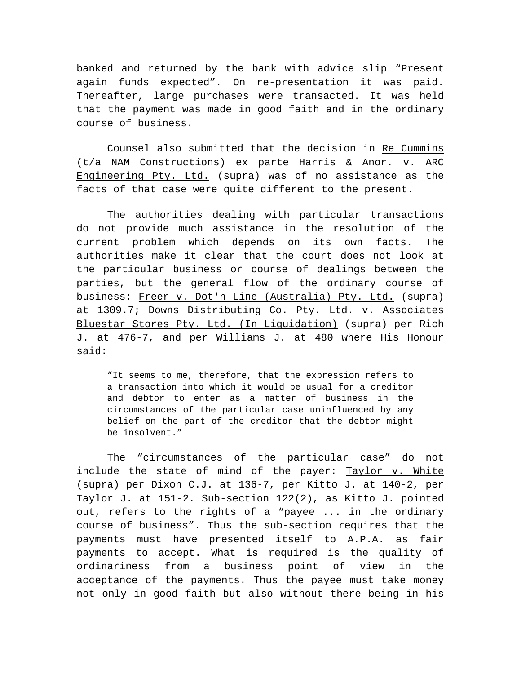banked and returned by the bank with advice slip "Present again funds expected". On re-presentation it was paid. Thereafter, large purchases were transacted. It was held that the payment was made in good faith and in the ordinary course of business.

Counsel also submitted that the decision in Re Cummins (t/a NAM Constructions) ex parte Harris & Anor. v. ARC Engineering Pty. Ltd. (supra) was of no assistance as the facts of that case were quite different to the present.

The authorities dealing with particular transactions do not provide much assistance in the resolution of the current problem which depends on its own facts. The authorities make it clear that the court does not look at the particular business or course of dealings between the parties, but the general flow of the ordinary course of business: Freer v. Dot'n Line (Australia) Pty. Ltd. (supra) at 1309.7; Downs Distributing Co. Pty. Ltd. v. Associates Bluestar Stores Pty. Ltd. (In Liquidation) (supra) per Rich J. at 476-7, and per Williams J. at 480 where His Honour said:

"It seems to me, therefore, that the expression refers to a transaction into which it would be usual for a creditor and debtor to enter as a matter of business in the circumstances of the particular case uninfluenced by any belief on the part of the creditor that the debtor might be insolvent."

The "circumstances of the particular case" do not include the state of mind of the payer: Taylor v. White (supra) per Dixon C.J. at 136-7, per Kitto J. at 140-2, per Taylor J. at 151-2. Sub-section 122(2), as Kitto J. pointed out, refers to the rights of a "payee ... in the ordinary course of business". Thus the sub-section requires that the payments must have presented itself to A.P.A. as fair payments to accept. What is required is the quality of ordinariness from a business point of view in the acceptance of the payments. Thus the payee must take money not only in good faith but also without there being in his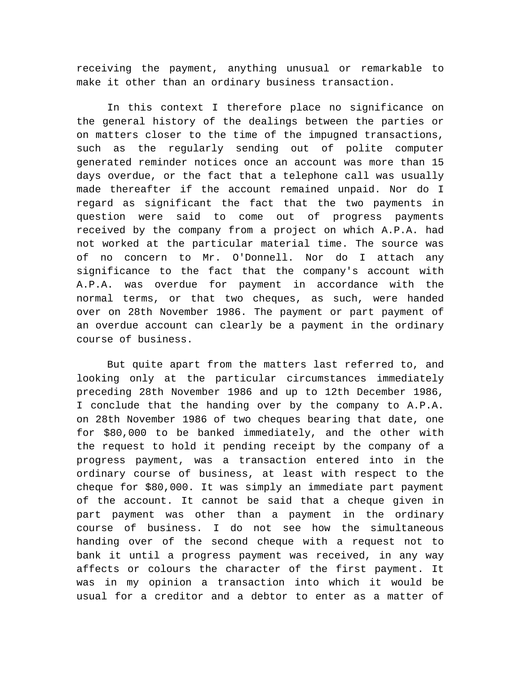receiving the payment, anything unusual or remarkable to make it other than an ordinary business transaction.

In this context I therefore place no significance on the general history of the dealings between the parties or on matters closer to the time of the impugned transactions, such as the regularly sending out of polite computer generated reminder notices once an account was more than 15 days overdue, or the fact that a telephone call was usually made thereafter if the account remained unpaid. Nor do I regard as significant the fact that the two payments in question were said to come out of progress payments received by the company from a project on which A.P.A. had not worked at the particular material time. The source was of no concern to Mr. O'Donnell. Nor do I attach any significance to the fact that the company's account with A.P.A. was overdue for payment in accordance with the normal terms, or that two cheques, as such, were handed over on 28th November 1986. The payment or part payment of an overdue account can clearly be a payment in the ordinary course of business.

But quite apart from the matters last referred to, and looking only at the particular circumstances immediately preceding 28th November 1986 and up to 12th December 1986, I conclude that the handing over by the company to A.P.A. on 28th November 1986 of two cheques bearing that date, one for \$80,000 to be banked immediately, and the other with the request to hold it pending receipt by the company of a progress payment, was a transaction entered into in the ordinary course of business, at least with respect to the cheque for \$80,000. It was simply an immediate part payment of the account. It cannot be said that a cheque given in part payment was other than a payment in the ordinary course of business. I do not see how the simultaneous handing over of the second cheque with a request not to bank it until a progress payment was received, in any way affects or colours the character of the first payment. It was in my opinion a transaction into which it would be usual for a creditor and a debtor to enter as a matter of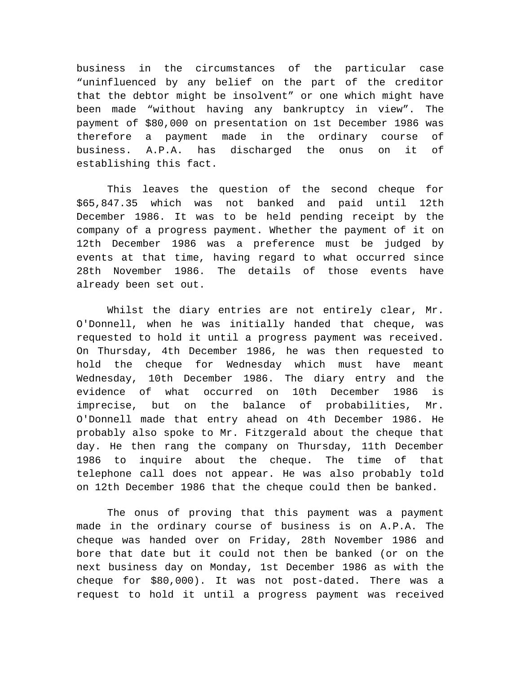business in the circumstances of the particular case "uninfluenced by any belief on the part of the creditor that the debtor might be insolvent" or one which might have been made "without having any bankruptcy in view". The payment of \$80,000 on presentation on 1st December 1986 was therefore a payment made in the ordinary course of business. A.P.A. has discharged the onus on it of establishing this fact.

This leaves the question of the second cheque for \$65,847.35 which was not banked and paid until 12th December 1986. It was to be held pending receipt by the company of a progress payment. Whether the payment of it on 12th December 1986 was a preference must be judged by events at that time, having regard to what occurred since 28th November 1986. The details of those events have already been set out.

Whilst the diary entries are not entirely clear, Mr. O'Donnell, when he was initially handed that cheque, was requested to hold it until a progress payment was received. On Thursday, 4th December 1986, he was then requested to hold the cheque for Wednesday which must have meant Wednesday, 10th December 1986. The diary entry and the evidence of what occurred on 10th December 1986 is imprecise, but on the balance of probabilities, Mr. O'Donnell made that entry ahead on 4th December 1986. He probably also spoke to Mr. Fitzgerald about the cheque that day. He then rang the company on Thursday, 11th December 1986 to inquire about the cheque. The time of that telephone call does not appear. He was also probably told on 12th December 1986 that the cheque could then be banked.

The onus of proving that this payment was a payment made in the ordinary course of business is on A.P.A. The cheque was handed over on Friday, 28th November 1986 and bore that date but it could not then be banked (or on the next business day on Monday, 1st December 1986 as with the cheque for \$80,000). It was not post-dated. There was a request to hold it until a progress payment was received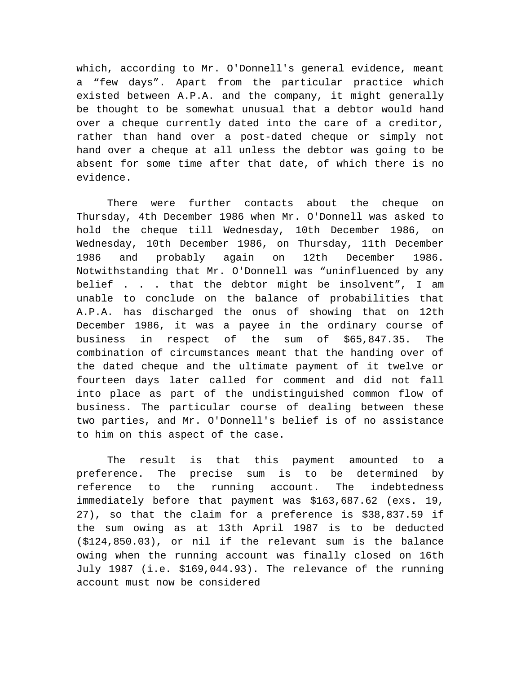which, according to Mr. O'Donnell's general evidence, meant a "few days". Apart from the particular practice which existed between A.P.A. and the company, it might generally be thought to be somewhat unusual that a debtor would hand over a cheque currently dated into the care of a creditor, rather than hand over a post-dated cheque or simply not hand over a cheque at all unless the debtor was going to be absent for some time after that date, of which there is no evidence.

There were further contacts about the cheque on Thursday, 4th December 1986 when Mr. O'Donnell was asked to hold the cheque till Wednesday, 10th December 1986, on Wednesday, 10th December 1986, on Thursday, 11th December 1986 and probably again on 12th December 1986. Notwithstanding that Mr. O'Donnell was "uninfluenced by any belief . . . that the debtor might be insolvent", I am unable to conclude on the balance of probabilities that A.P.A. has discharged the onus of showing that on 12th December 1986, it was a payee in the ordinary course of business in respect of the sum of \$65,847.35. The combination of circumstances meant that the handing over of the dated cheque and the ultimate payment of it twelve or fourteen days later called for comment and did not fall into place as part of the undistinguished common flow of business. The particular course of dealing between these two parties, and Mr. O'Donnell's belief is of no assistance to him on this aspect of the case.

The result is that this payment amounted to a preference. The precise sum is to be determined by reference to the running account. The indebtedness immediately before that payment was \$163,687.62 (exs. 19, 27), so that the claim for a preference is \$38,837.59 if the sum owing as at 13th April 1987 is to be deducted (\$124,850.03), or nil if the relevant sum is the balance owing when the running account was finally closed on 16th July 1987 (i.e. \$169,044.93). The relevance of the running account must now be considered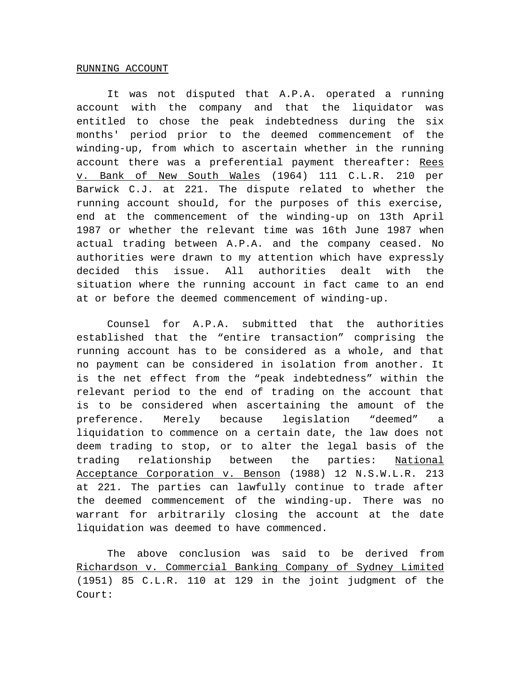## RUNNING ACCOUNT

It was not disputed that A.P.A. operated a running account with the company and that the liquidator was entitled to chose the peak indebtedness during the six months' period prior to the deemed commencement of the winding-up, from which to ascertain whether in the running account there was a preferential payment thereafter: Rees v. Bank of New South Wales (1964) 111 C.L.R. 210 per Barwick C.J. at 221. The dispute related to whether the running account should, for the purposes of this exercise, end at the commencement of the winding-up on 13th April 1987 or whether the relevant time was 16th June 1987 when actual trading between A.P.A. and the company ceased. No authorities were drawn to my attention which have expressly decided this issue. All authorities dealt with the situation where the running account in fact came to an end at or before the deemed commencement of winding-up.

Counsel for A.P.A. submitted that the authorities established that the "entire transaction" comprising the running account has to be considered as a whole, and that no payment can be considered in isolation from another. It is the net effect from the "peak indebtedness" within the relevant period to the end of trading on the account that is to be considered when ascertaining the amount of the preference. Merely because legislation "deemed" a liquidation to commence on a certain date, the law does not deem trading to stop, or to alter the legal basis of the trading relationship between the parties: National Acceptance Corporation v. Benson (1988) 12 N.S.W.L.R. 213 at 221. The parties can lawfully continue to trade after the deemed commencement of the winding-up. There was no warrant for arbitrarily closing the account at the date liquidation was deemed to have commenced.

The above conclusion was said to be derived from Richardson v. Commercial Banking Company of Sydney Limited (1951) 85 C.L.R. 110 at 129 in the joint judgment of the Court: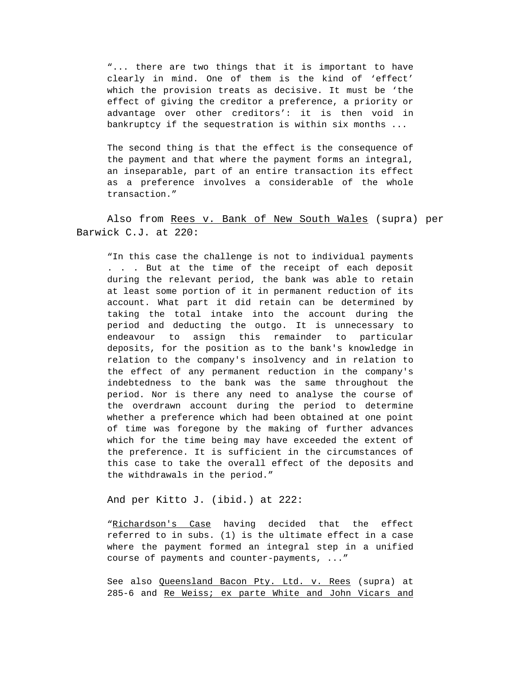"... there are two things that it is important to have clearly in mind. One of them is the kind of 'effect' which the provision treats as decisive. It must be 'the effect of giving the creditor a preference, a priority or advantage over other creditors': it is then void in bankruptcy if the sequestration is within six months ...

The second thing is that the effect is the consequence of the payment and that where the payment forms an integral, an inseparable, part of an entire transaction its effect as a preference involves a considerable of the whole transaction."

Also from Rees v. Bank of New South Wales (supra) per Barwick C.J. at 220:

"In this case the challenge is not to individual payments . . . But at the time of the receipt of each deposit during the relevant period, the bank was able to retain at least some portion of it in permanent reduction of its account. What part it did retain can be determined by taking the total intake into the account during the period and deducting the outgo. It is unnecessary to endeavour to assign this remainder to particular deposits, for the position as to the bank's knowledge in relation to the company's insolvency and in relation to the effect of any permanent reduction in the company's indebtedness to the bank was the same throughout the period. Nor is there any need to analyse the course of the overdrawn account during the period to determine whether a preference which had been obtained at one point of time was foregone by the making of further advances which for the time being may have exceeded the extent of the preference. It is sufficient in the circumstances of this case to take the overall effect of the deposits and the withdrawals in the period."

And per Kitto J. (ibid.) at 222:

"Richardson's Case having decided that the effect referred to in subs. (1) is the ultimate effect in a case where the payment formed an integral step in a unified course of payments and counter-payments, ..."

See also Queensland Bacon Pty. Ltd. v. Rees (supra) at 285-6 and Re Weiss; ex parte White and John Vicars and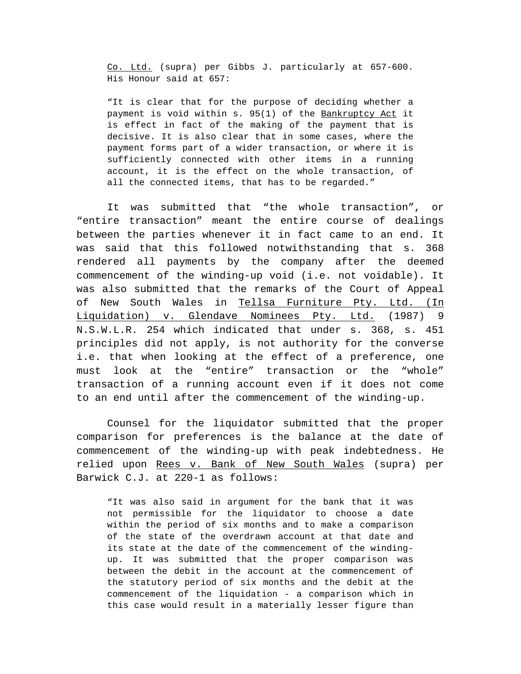Co. Ltd. (supra) per Gibbs J. particularly at 657-600. His Honour said at 657:

"It is clear that for the purpose of deciding whether a payment is void within s. 95(1) of the Bankruptcy Act it is effect in fact of the making of the payment that is decisive. It is also clear that in some cases, where the payment forms part of a wider transaction, or where it is sufficiently connected with other items in a running account, it is the effect on the whole transaction, of all the connected items, that has to be regarded."

It was submitted that "the whole transaction", or "entire transaction" meant the entire course of dealings between the parties whenever it in fact came to an end. It was said that this followed notwithstanding that s. 368 rendered all payments by the company after the deemed commencement of the winding-up void (i.e. not voidable). It was also submitted that the remarks of the Court of Appeal of New South Wales in Tellsa Furniture Pty. Ltd. (In Liquidation) v. Glendave Nominees Pty. Ltd. (1987) 9 N.S.W.L.R. 254 which indicated that under s. 368, s. 451 principles did not apply, is not authority for the converse i.e. that when looking at the effect of a preference, one must look at the "entire" transaction or the "whole" transaction of a running account even if it does not come to an end until after the commencement of the winding-up.

Counsel for the liquidator submitted that the proper comparison for preferences is the balance at the date of commencement of the winding-up with peak indebtedness. He relied upon Rees v. Bank of New South Wales (supra) per Barwick C.J. at 220-1 as follows:

"It was also said in argument for the bank that it was not permissible for the liquidator to choose a date within the period of six months and to make a comparison of the state of the overdrawn account at that date and its state at the date of the commencement of the windingup. It was submitted that the proper comparison was between the debit in the account at the commencement of the statutory period of six months and the debit at the commencement of the liquidation - a comparison which in this case would result in a materially lesser figure than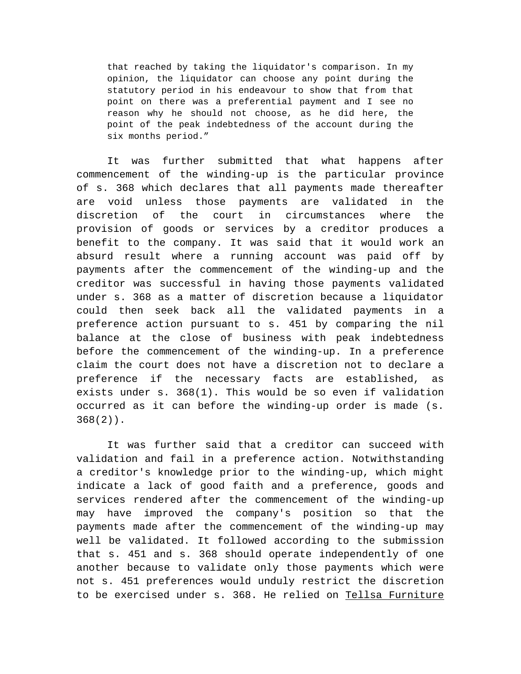that reached by taking the liquidator's comparison. In my opinion, the liquidator can choose any point during the statutory period in his endeavour to show that from that point on there was a preferential payment and I see no reason why he should not choose, as he did here, the point of the peak indebtedness of the account during the six months period."

It was further submitted that what happens after commencement of the winding-up is the particular province of s. 368 which declares that all payments made thereafter are void unless those payments are validated in the discretion of the court in circumstances where the provision of goods or services by a creditor produces a benefit to the company. It was said that it would work an absurd result where a running account was paid off by payments after the commencement of the winding-up and the creditor was successful in having those payments validated under s. 368 as a matter of discretion because a liquidator could then seek back all the validated payments in a preference action pursuant to s. 451 by comparing the nil balance at the close of business with peak indebtedness before the commencement of the winding-up. In a preference claim the court does not have a discretion not to declare a preference if the necessary facts are established, as exists under s. 368(1). This would be so even if validation occurred as it can before the winding-up order is made (s. 368(2)).

It was further said that a creditor can succeed with validation and fail in a preference action. Notwithstanding a creditor's knowledge prior to the winding-up, which might indicate a lack of good faith and a preference, goods and services rendered after the commencement of the winding-up may have improved the company's position so that the payments made after the commencement of the winding-up may well be validated. It followed according to the submission that s. 451 and s. 368 should operate independently of one another because to validate only those payments which were not s. 451 preferences would unduly restrict the discretion to be exercised under s. 368. He relied on Tellsa Furniture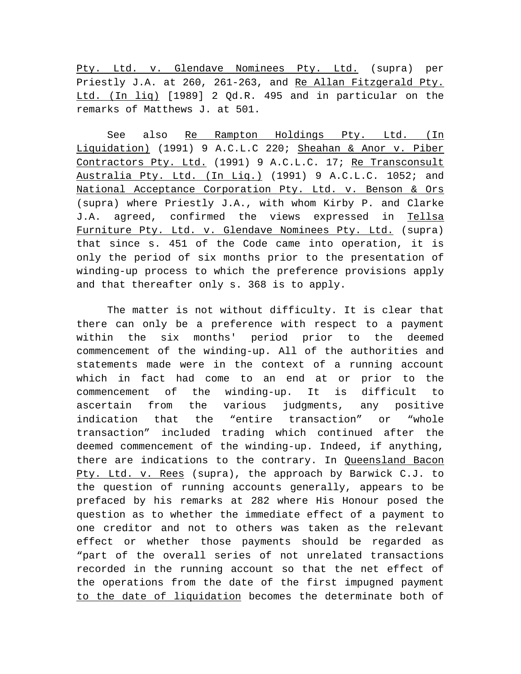Pty. Ltd. v. Glendave Nominees Pty. Ltd. (supra) per Priestly J.A. at 260, 261-263, and Re Allan Fitzgerald Pty. Ltd. (In liq) [1989] 2 Qd.R. 495 and in particular on the remarks of Matthews J. at 501.

See also Re Rampton Holdings Pty. Ltd. (In Liquidation) (1991) 9 A.C.L.C 220; Sheahan & Anor v. Piber Contractors Pty. Ltd. (1991) 9 A.C.L.C. 17; Re Transconsult Australia Pty. Ltd. (In Liq.) (1991) 9 A.C.L.C. 1052; and National Acceptance Corporation Pty. Ltd. v. Benson & Ors (supra) where Priestly J.A., with whom Kirby P. and Clarke J.A. agreed, confirmed the views expressed in Tellsa Furniture Pty. Ltd. v. Glendave Nominees Pty. Ltd. (supra) that since s. 451 of the Code came into operation, it is only the period of six months prior to the presentation of winding-up process to which the preference provisions apply and that thereafter only s. 368 is to apply.

The matter is not without difficulty. It is clear that there can only be a preference with respect to a payment within the six months' period prior to the deemed commencement of the winding-up. All of the authorities and statements made were in the context of a running account which in fact had come to an end at or prior to the commencement of the winding-up. It is difficult to ascertain from the various judgments, any positive indication that the "entire transaction" or "whole transaction" included trading which continued after the deemed commencement of the winding-up. Indeed, if anything, there are indications to the contrary. In Queensland Bacon Pty. Ltd. v. Rees (supra), the approach by Barwick C.J. to the question of running accounts generally, appears to be prefaced by his remarks at 282 where His Honour posed the question as to whether the immediate effect of a payment to one creditor and not to others was taken as the relevant effect or whether those payments should be regarded as "part of the overall series of not unrelated transactions recorded in the running account so that the net effect of the operations from the date of the first impugned payment to the date of liquidation becomes the determinate both of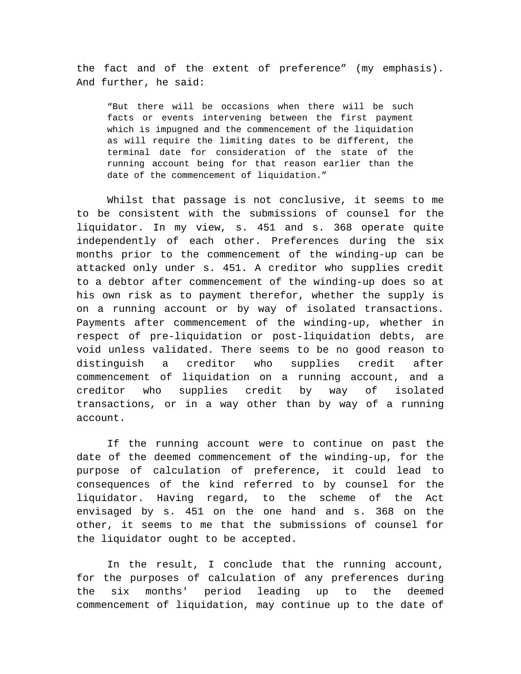the fact and of the extent of preference" (my emphasis). And further, he said:

"But there will be occasions when there will be such facts or events intervening between the first payment which is impugned and the commencement of the liquidation as will require the limiting dates to be different, the terminal date for consideration of the state of the running account being for that reason earlier than the date of the commencement of liquidation."

Whilst that passage is not conclusive, it seems to me to be consistent with the submissions of counsel for the liquidator. In my view, s. 451 and s. 368 operate quite independently of each other. Preferences during the six months prior to the commencement of the winding-up can be attacked only under s. 451. A creditor who supplies credit to a debtor after commencement of the winding-up does so at his own risk as to payment therefor, whether the supply is on a running account or by way of isolated transactions. Payments after commencement of the winding-up, whether in respect of pre-liquidation or post-liquidation debts, are void unless validated. There seems to be no good reason to distinguish a creditor who supplies credit after commencement of liquidation on a running account, and a creditor who supplies credit by way of isolated transactions, or in a way other than by way of a running account.

If the running account were to continue on past the date of the deemed commencement of the winding-up, for the purpose of calculation of preference, it could lead to consequences of the kind referred to by counsel for the liquidator. Having regard, to the scheme of the Act envisaged by s. 451 on the one hand and s. 368 on the other, it seems to me that the submissions of counsel for the liquidator ought to be accepted.

In the result, I conclude that the running account, for the purposes of calculation of any preferences during the six months' period leading up to the deemed commencement of liquidation, may continue up to the date of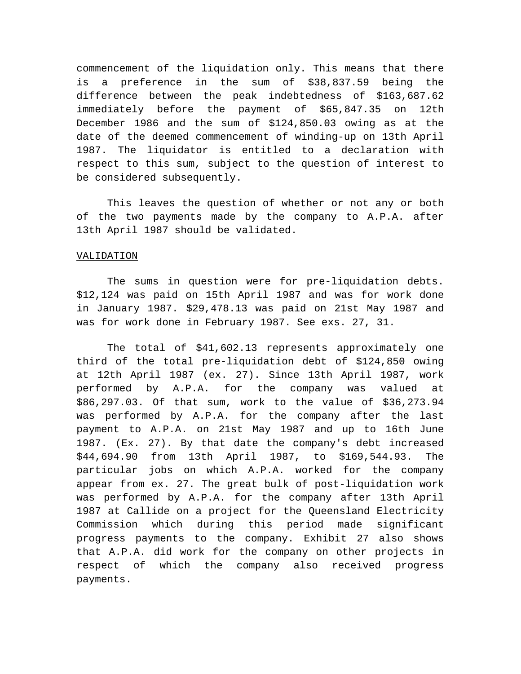commencement of the liquidation only. This means that there is a preference in the sum of \$38,837.59 being the difference between the peak indebtedness of \$163,687.62 immediately before the payment of \$65,847.35 on 12th December 1986 and the sum of \$124,850.03 owing as at the date of the deemed commencement of winding-up on 13th April 1987. The liquidator is entitled to a declaration with respect to this sum, subject to the question of interest to be considered subsequently.

This leaves the question of whether or not any or both of the two payments made by the company to A.P.A. after 13th April 1987 should be validated.

## VALIDATION

The sums in question were for pre-liquidation debts. \$12,124 was paid on 15th April 1987 and was for work done in January 1987. \$29,478.13 was paid on 21st May 1987 and was for work done in February 1987. See exs. 27, 31.

The total of \$41,602.13 represents approximately one third of the total pre-liquidation debt of \$124,850 owing at 12th April 1987 (ex. 27). Since 13th April 1987, work performed by A.P.A. for the company was valued at \$86,297.03. Of that sum, work to the value of \$36,273.94 was performed by A.P.A. for the company after the last payment to A.P.A. on 21st May 1987 and up to 16th June 1987. (Ex. 27). By that date the company's debt increased \$44,694.90 from 13th April 1987, to \$169,544.93. The particular jobs on which A.P.A. worked for the company appear from ex. 27. The great bulk of post-liquidation work was performed by A.P.A. for the company after 13th April 1987 at Callide on a project for the Queensland Electricity Commission which during this period made significant progress payments to the company. Exhibit 27 also shows that A.P.A. did work for the company on other projects in respect of which the company also received progress payments.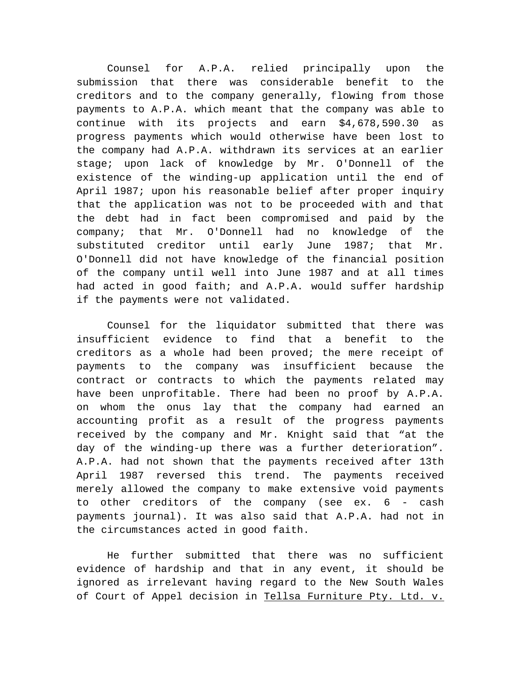Counsel for A.P.A. relied principally upon the submission that there was considerable benefit to the creditors and to the company generally, flowing from those payments to A.P.A. which meant that the company was able to continue with its projects and earn \$4,678,590.30 as progress payments which would otherwise have been lost to the company had A.P.A. withdrawn its services at an earlier stage; upon lack of knowledge by Mr. O'Donnell of the existence of the winding-up application until the end of April 1987; upon his reasonable belief after proper inquiry that the application was not to be proceeded with and that the debt had in fact been compromised and paid by the company; that Mr. O'Donnell had no knowledge of the substituted creditor until early June 1987; that Mr. O'Donnell did not have knowledge of the financial position of the company until well into June 1987 and at all times had acted in good faith; and A.P.A. would suffer hardship if the payments were not validated.

Counsel for the liquidator submitted that there was insufficient evidence to find that a benefit to the creditors as a whole had been proved; the mere receipt of payments to the company was insufficient because the contract or contracts to which the payments related may have been unprofitable. There had been no proof by A.P.A. on whom the onus lay that the company had earned an accounting profit as a result of the progress payments received by the company and Mr. Knight said that "at the day of the winding-up there was a further deterioration". A.P.A. had not shown that the payments received after 13th April 1987 reversed this trend. The payments received merely allowed the company to make extensive void payments to other creditors of the company (see ex. 6 - cash payments journal). It was also said that A.P.A. had not in the circumstances acted in good faith.

He further submitted that there was no sufficient evidence of hardship and that in any event, it should be ignored as irrelevant having regard to the New South Wales of Court of Appel decision in Tellsa Furniture Pty. Ltd. v.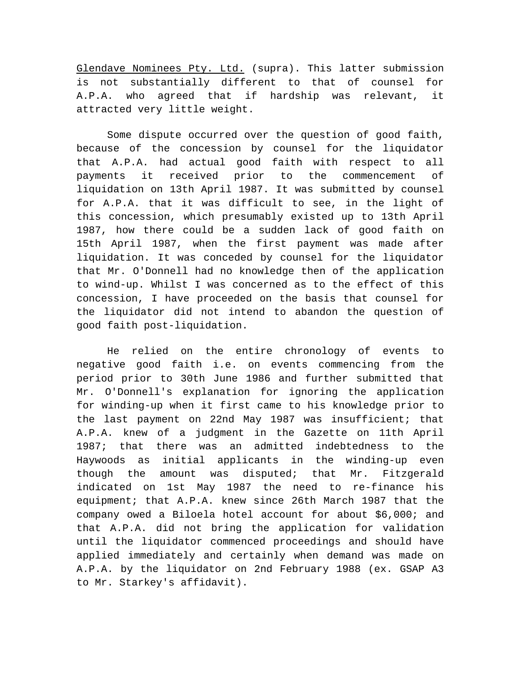Glendave Nominees Pty. Ltd. (supra). This latter submission is not substantially different to that of counsel for A.P.A. who agreed that if hardship was relevant, it attracted very little weight.

Some dispute occurred over the question of good faith, because of the concession by counsel for the liquidator that A.P.A. had actual good faith with respect to all payments it received prior to the commencement of liquidation on 13th April 1987. It was submitted by counsel for A.P.A. that it was difficult to see, in the light of this concession, which presumably existed up to 13th April 1987, how there could be a sudden lack of good faith on 15th April 1987, when the first payment was made after liquidation. It was conceded by counsel for the liquidator that Mr. O'Donnell had no knowledge then of the application to wind-up. Whilst I was concerned as to the effect of this concession, I have proceeded on the basis that counsel for the liquidator did not intend to abandon the question of good faith post-liquidation.

He relied on the entire chronology of events to negative good faith i.e. on events commencing from the period prior to 30th June 1986 and further submitted that Mr. O'Donnell's explanation for ignoring the application for winding-up when it first came to his knowledge prior to the last payment on 22nd May 1987 was insufficient; that A.P.A. knew of a judgment in the Gazette on 11th April 1987; that there was an admitted indebtedness to the Haywoods as initial applicants in the winding-up even though the amount was disputed; that Mr. Fitzgerald indicated on 1st May 1987 the need to re-finance his equipment; that A.P.A. knew since 26th March 1987 that the company owed a Biloela hotel account for about \$6,000; and that A.P.A. did not bring the application for validation until the liquidator commenced proceedings and should have applied immediately and certainly when demand was made on A.P.A. by the liquidator on 2nd February 1988 (ex. GSAP A3 to Mr. Starkey's affidavit).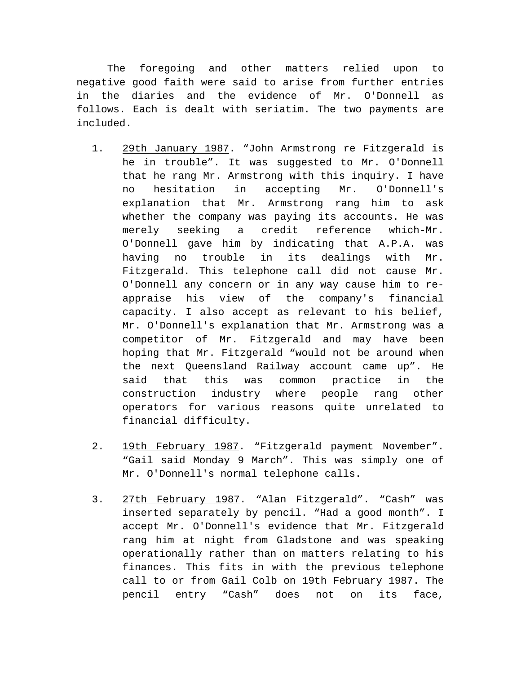The foregoing and other matters relied upon to negative good faith were said to arise from further entries in the diaries and the evidence of Mr. O'Donnell as follows. Each is dealt with seriatim. The two payments are included.

- 1. 29th January 1987. "John Armstrong re Fitzgerald is he in trouble". It was suggested to Mr. O'Donnell that he rang Mr. Armstrong with this inquiry. I have no hesitation in accepting Mr. O'Donnell's explanation that Mr. Armstrong rang him to ask whether the company was paying its accounts. He was merely seeking a credit reference which-Mr. O'Donnell gave him by indicating that A.P.A. was having no trouble in its dealings with Mr. Fitzgerald. This telephone call did not cause Mr. O'Donnell any concern or in any way cause him to reappraise his view of the company's financial capacity. I also accept as relevant to his belief, Mr. O'Donnell's explanation that Mr. Armstrong was a competitor of Mr. Fitzgerald and may have been hoping that Mr. Fitzgerald "would not be around when the next Queensland Railway account came up". He said that this was common practice in the construction industry where people rang other operators for various reasons quite unrelated to financial difficulty.
- 2. 19th February 1987. "Fitzgerald payment November". "Gail said Monday 9 March". This was simply one of Mr. O'Donnell's normal telephone calls.
- 3. 27th February 1987. "Alan Fitzgerald". "Cash" was inserted separately by pencil. "Had a good month". I accept Mr. O'Donnell's evidence that Mr. Fitzgerald rang him at night from Gladstone and was speaking operationally rather than on matters relating to his finances. This fits in with the previous telephone call to or from Gail Colb on 19th February 1987. The pencil entry "Cash" does not on its face,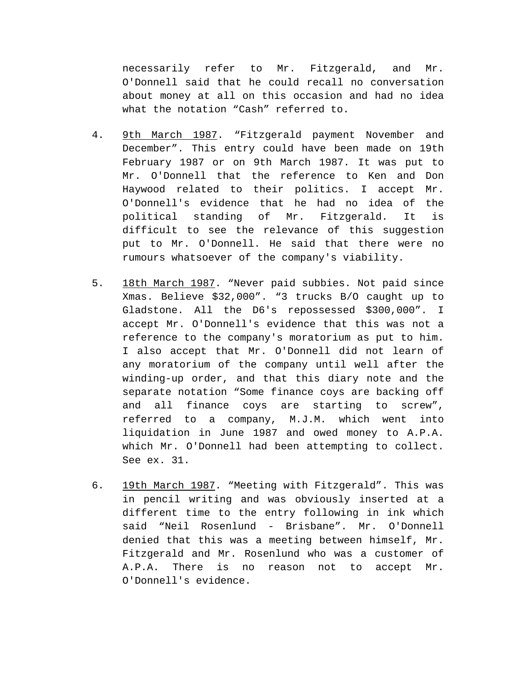necessarily refer to Mr. Fitzgerald, and Mr. O'Donnell said that he could recall no conversation about money at all on this occasion and had no idea what the notation "Cash" referred to.

- 4. 9th March 1987. "Fitzgerald payment November and December". This entry could have been made on 19th February 1987 or on 9th March 1987. It was put to Mr. O'Donnell that the reference to Ken and Don Haywood related to their politics. I accept Mr. O'Donnell's evidence that he had no idea of the political standing of Mr. Fitzgerald. It is difficult to see the relevance of this suggestion put to Mr. O'Donnell. He said that there were no rumours whatsoever of the company's viability.
- 5. 18th March 1987. "Never paid subbies. Not paid since Xmas. Believe \$32,000". "3 trucks B/O caught up to Gladstone. All the D6's repossessed \$300,000". I accept Mr. O'Donnell's evidence that this was not a reference to the company's moratorium as put to him. I also accept that Mr. O'Donnell did not learn of any moratorium of the company until well after the winding-up order, and that this diary note and the separate notation "Some finance coys are backing off and all finance coys are starting to screw", referred to a company, M.J.M. which went into liquidation in June 1987 and owed money to A.P.A. which Mr. O'Donnell had been attempting to collect. See ex. 31.
- 6. 19th March 1987. "Meeting with Fitzgerald". This was in pencil writing and was obviously inserted at a different time to the entry following in ink which said "Neil Rosenlund - Brisbane". Mr. O'Donnell denied that this was a meeting between himself, Mr. Fitzgerald and Mr. Rosenlund who was a customer of A.P.A. There is no reason not to accept Mr. O'Donnell's evidence.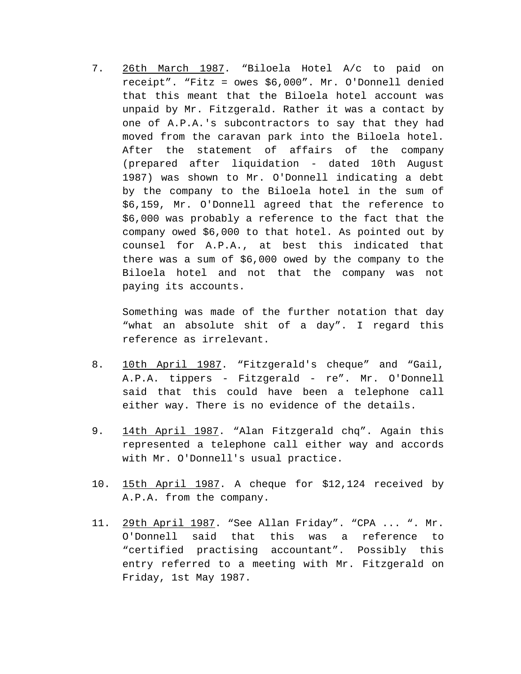7. 26th March 1987. "Biloela Hotel A/c to paid on receipt". "Fitz = owes \$6,000". Mr. O'Donnell denied that this meant that the Biloela hotel account was unpaid by Mr. Fitzgerald. Rather it was a contact by one of A.P.A.'s subcontractors to say that they had moved from the caravan park into the Biloela hotel. After the statement of affairs of the company (prepared after liquidation - dated 10th August 1987) was shown to Mr. O'Donnell indicating a debt by the company to the Biloela hotel in the sum of \$6,159, Mr. O'Donnell agreed that the reference to \$6,000 was probably a reference to the fact that the company owed \$6,000 to that hotel. As pointed out by counsel for A.P.A., at best this indicated that there was a sum of \$6,000 owed by the company to the Biloela hotel and not that the company was not paying its accounts.

Something was made of the further notation that day "what an absolute shit of a day". I regard this reference as irrelevant.

- 8. 10th April 1987. "Fitzgerald's cheque" and "Gail, A.P.A. tippers - Fitzgerald - re". Mr. O'Donnell said that this could have been a telephone call either way. There is no evidence of the details.
- 9. 14th April 1987. "Alan Fitzgerald chq". Again this represented a telephone call either way and accords with Mr. O'Donnell's usual practice.
- 10. 15th April 1987. A cheque for \$12,124 received by A.P.A. from the company.
- 11. 29th April 1987. "See Allan Friday". "CPA ... ". Mr. O'Donnell said that this was a reference to "certified practising accountant". Possibly this entry referred to a meeting with Mr. Fitzgerald on Friday, 1st May 1987.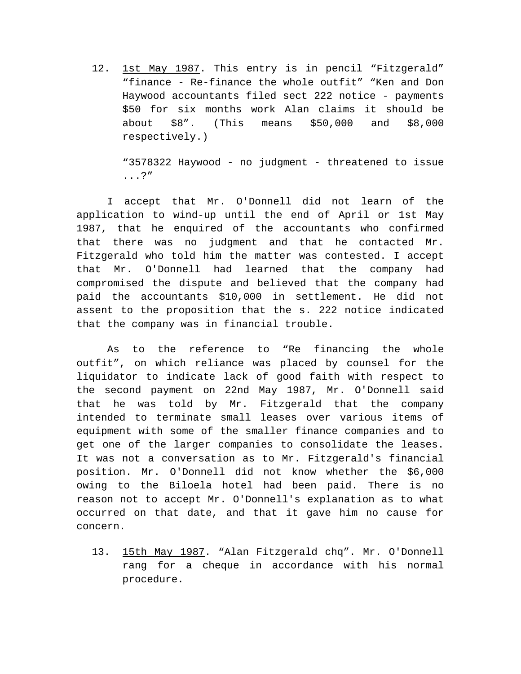12. 1st May 1987. This entry is in pencil "Fitzgerald" "finance - Re-finance the whole outfit" "Ken and Don Haywood accountants filed sect 222 notice - payments \$50 for six months work Alan claims it should be about \$8". (This means \$50,000 and \$8,000 respectively.)

"3578322 Haywood - no judgment - threatened to issue ...?"

I accept that Mr. O'Donnell did not learn of the application to wind-up until the end of April or 1st May 1987, that he enquired of the accountants who confirmed that there was no judgment and that he contacted Mr. Fitzgerald who told him the matter was contested. I accept that Mr. O'Donnell had learned that the company had compromised the dispute and believed that the company had paid the accountants \$10,000 in settlement. He did not assent to the proposition that the s. 222 notice indicated that the company was in financial trouble.

As to the reference to "Re financing the whole outfit", on which reliance was placed by counsel for the liquidator to indicate lack of good faith with respect to the second payment on 22nd May 1987, Mr. O'Donnell said that he was told by Mr. Fitzgerald that the company intended to terminate small leases over various items of equipment with some of the smaller finance companies and to get one of the larger companies to consolidate the leases. It was not a conversation as to Mr. Fitzgerald's financial position. Mr. O'Donnell did not know whether the \$6,000 owing to the Biloela hotel had been paid. There is no reason not to accept Mr. O'Donnell's explanation as to what occurred on that date, and that it gave him no cause for concern.

13. 15th May 1987. "Alan Fitzgerald chq". Mr. O'Donnell rang for a cheque in accordance with his normal procedure.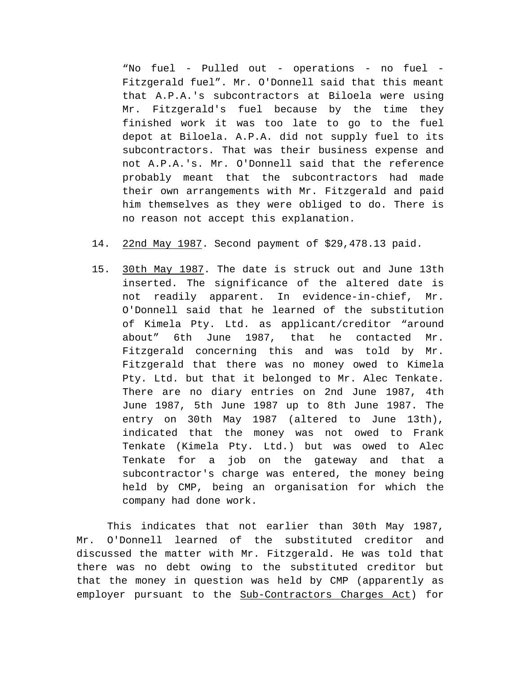"No fuel - Pulled out - operations - no fuel - Fitzgerald fuel". Mr. O'Donnell said that this meant that A.P.A.'s subcontractors at Biloela were using Mr. Fitzgerald's fuel because by the time they finished work it was too late to go to the fuel depot at Biloela. A.P.A. did not supply fuel to its subcontractors. That was their business expense and not A.P.A.'s. Mr. O'Donnell said that the reference probably meant that the subcontractors had made their own arrangements with Mr. Fitzgerald and paid him themselves as they were obliged to do. There is no reason not accept this explanation.

- 14. 22nd May 1987. Second payment of \$29,478.13 paid.
- 15. 30th May 1987. The date is struck out and June 13th inserted. The significance of the altered date is not readily apparent. In evidence-in-chief, Mr. O'Donnell said that he learned of the substitution of Kimela Pty. Ltd. as applicant/creditor "around about" 6th June 1987, that he contacted Mr. Fitzgerald concerning this and was told by Mr. Fitzgerald that there was no money owed to Kimela Pty. Ltd. but that it belonged to Mr. Alec Tenkate. There are no diary entries on 2nd June 1987, 4th June 1987, 5th June 1987 up to 8th June 1987. The entry on 30th May 1987 (altered to June 13th), indicated that the money was not owed to Frank Tenkate (Kimela Pty. Ltd.) but was owed to Alec Tenkate for a job on the gateway and that a subcontractor's charge was entered, the money being held by CMP, being an organisation for which the company had done work.

This indicates that not earlier than 30th May 1987, Mr. O'Donnell learned of the substituted creditor and discussed the matter with Mr. Fitzgerald. He was told that there was no debt owing to the substituted creditor but that the money in question was held by CMP (apparently as employer pursuant to the Sub-Contractors Charges Act) for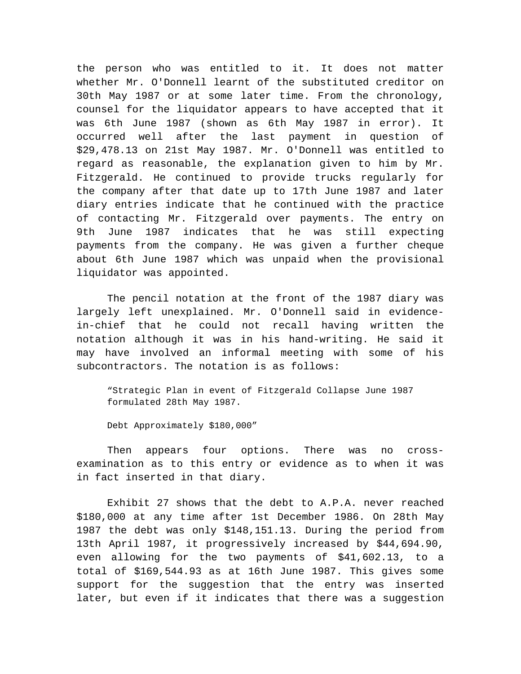the person who was entitled to it. It does not matter whether Mr. O'Donnell learnt of the substituted creditor on 30th May 1987 or at some later time. From the chronology, counsel for the liquidator appears to have accepted that it was 6th June 1987 (shown as 6th May 1987 in error). It occurred well after the last payment in question of \$29,478.13 on 21st May 1987. Mr. O'Donnell was entitled to regard as reasonable, the explanation given to him by Mr. Fitzgerald. He continued to provide trucks regularly for the company after that date up to 17th June 1987 and later diary entries indicate that he continued with the practice of contacting Mr. Fitzgerald over payments. The entry on 9th June 1987 indicates that he was still expecting payments from the company. He was given a further cheque about 6th June 1987 which was unpaid when the provisional liquidator was appointed.

The pencil notation at the front of the 1987 diary was largely left unexplained. Mr. O'Donnell said in evidencein-chief that he could not recall having written the notation although it was in his hand-writing. He said it may have involved an informal meeting with some of his subcontractors. The notation is as follows:

"Strategic Plan in event of Fitzgerald Collapse June 1987 formulated 28th May 1987.

Debt Approximately \$180,000"

Then appears four options. There was no crossexamination as to this entry or evidence as to when it was in fact inserted in that diary.

Exhibit 27 shows that the debt to A.P.A. never reached \$180,000 at any time after 1st December 1986. On 28th May 1987 the debt was only \$148,151.13. During the period from 13th April 1987, it progressively increased by \$44,694.90, even allowing for the two payments of \$41,602.13, to a total of \$169,544.93 as at 16th June 1987. This gives some support for the suggestion that the entry was inserted later, but even if it indicates that there was a suggestion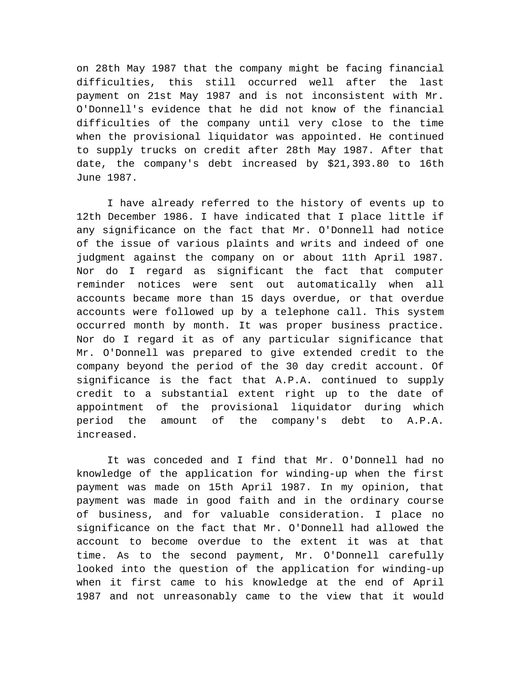on 28th May 1987 that the company might be facing financial difficulties, this still occurred well after the last payment on 21st May 1987 and is not inconsistent with Mr. O'Donnell's evidence that he did not know of the financial difficulties of the company until very close to the time when the provisional liquidator was appointed. He continued to supply trucks on credit after 28th May 1987. After that date, the company's debt increased by \$21,393.80 to 16th June 1987.

I have already referred to the history of events up to 12th December 1986. I have indicated that I place little if any significance on the fact that Mr. O'Donnell had notice of the issue of various plaints and writs and indeed of one judgment against the company on or about 11th April 1987. Nor do I regard as significant the fact that computer reminder notices were sent out automatically when all accounts became more than 15 days overdue, or that overdue accounts were followed up by a telephone call. This system occurred month by month. It was proper business practice. Nor do I regard it as of any particular significance that Mr. O'Donnell was prepared to give extended credit to the company beyond the period of the 30 day credit account. Of significance is the fact that A.P.A. continued to supply credit to a substantial extent right up to the date of appointment of the provisional liquidator during which period the amount of the company's debt to A.P.A. increased.

It was conceded and I find that Mr. O'Donnell had no knowledge of the application for winding-up when the first payment was made on 15th April 1987. In my opinion, that payment was made in good faith and in the ordinary course of business, and for valuable consideration. I place no significance on the fact that Mr. O'Donnell had allowed the account to become overdue to the extent it was at that time. As to the second payment, Mr. O'Donnell carefully looked into the question of the application for winding-up when it first came to his knowledge at the end of April 1987 and not unreasonably came to the view that it would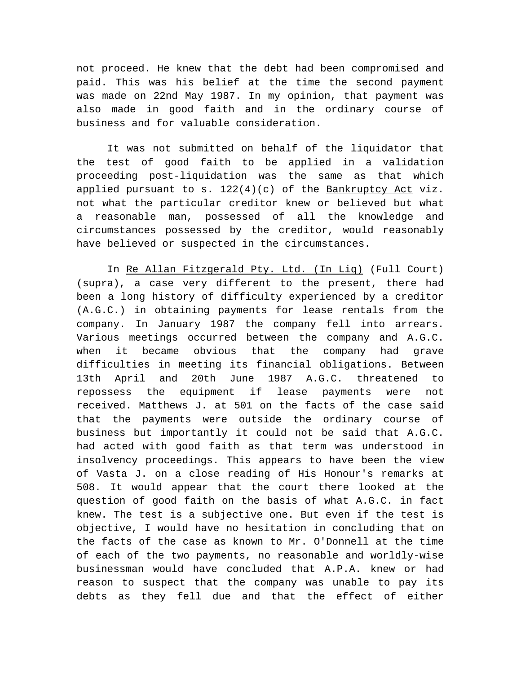not proceed. He knew that the debt had been compromised and paid. This was his belief at the time the second payment was made on 22nd May 1987. In my opinion, that payment was also made in good faith and in the ordinary course of business and for valuable consideration.

It was not submitted on behalf of the liquidator that the test of good faith to be applied in a validation proceeding post-liquidation was the same as that which applied pursuant to s.  $122(4)(c)$  of the Bankruptcy Act viz. not what the particular creditor knew or believed but what a reasonable man, possessed of all the knowledge and circumstances possessed by the creditor, would reasonably have believed or suspected in the circumstances.

In Re Allan Fitzgerald Pty. Ltd. (In Liq) (Full Court) (supra), a case very different to the present, there had been a long history of difficulty experienced by a creditor (A.G.C.) in obtaining payments for lease rentals from the company. In January 1987 the company fell into arrears. Various meetings occurred between the company and A.G.C. when it became obvious that the company had grave difficulties in meeting its financial obligations. Between 13th April and 20th June 1987 A.G.C. threatened to repossess the equipment if lease payments were not received. Matthews J. at 501 on the facts of the case said that the payments were outside the ordinary course of business but importantly it could not be said that A.G.C. had acted with good faith as that term was understood in insolvency proceedings. This appears to have been the view of Vasta J. on a close reading of His Honour's remarks at 508. It would appear that the court there looked at the question of good faith on the basis of what A.G.C. in fact knew. The test is a subjective one. But even if the test is objective, I would have no hesitation in concluding that on the facts of the case as known to Mr. O'Donnell at the time of each of the two payments, no reasonable and worldly-wise businessman would have concluded that A.P.A. knew or had reason to suspect that the company was unable to pay its debts as they fell due and that the effect of either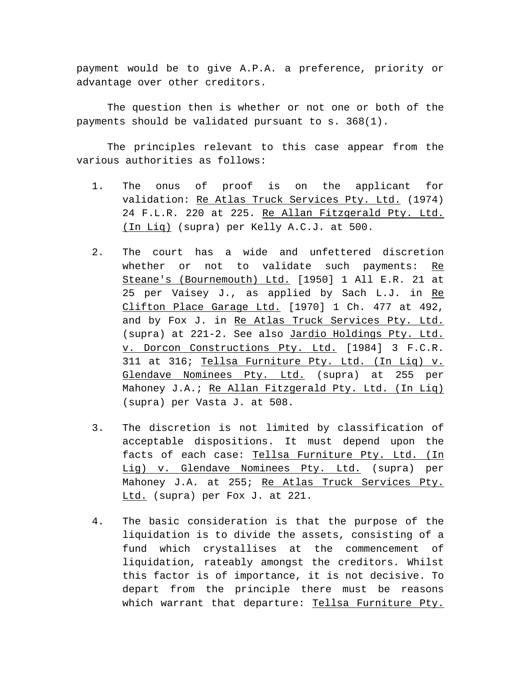payment would be to give A.P.A. a preference, priority or advantage over other creditors.

The question then is whether or not one or both of the payments should be validated pursuant to s. 368(1).

The principles relevant to this case appear from the various authorities as follows:

- 1. The onus of proof is on the applicant for validation: Re Atlas Truck Services Pty. Ltd. (1974) 24 F.L.R. 220 at 225. Re Allan Fitzgerald Pty. Ltd. (In Liq) (supra) per Kelly A.C.J. at 500.
- 2. The court has a wide and unfettered discretion whether or not to validate such payments: Re Steane's (Bournemouth) Ltd. [1950] 1 All E.R. 21 at 25 per Vaisey J., as applied by Sach L.J. in Re Clifton Place Garage Ltd. [1970] 1 Ch. 477 at 492, and by Fox J. in Re Atlas Truck Services Pty. Ltd. (supra) at 221-2. See also Jardio Holdings Pty. Ltd. v. Dorcon Constructions Pty. Ltd. [1984] 3 F.C.R. 311 at 316; Tellsa Furniture Pty. Ltd. (In Liq) v. Glendave Nominees Pty. Ltd. (supra) at 255 per Mahoney J.A.; Re Allan Fitzgerald Pty. Ltd. (In Liq) (supra) per Vasta J. at 508.
- 3. The discretion is not limited by classification of acceptable dispositions. It must depend upon the facts of each case: Tellsa Furniture Pty. Ltd. (In Lig) v. Glendave Nominees Pty. Ltd. (supra) per Mahoney J.A. at 255; Re Atlas Truck Services Pty. Ltd. (supra) per Fox J. at 221.
- 4. The basic consideration is that the purpose of the liquidation is to divide the assets, consisting of a fund which crystallises at the commencement of liquidation, rateably amongst the creditors. Whilst this factor is of importance, it is not decisive. To depart from the principle there must be reasons which warrant that departure: Tellsa Furniture Pty.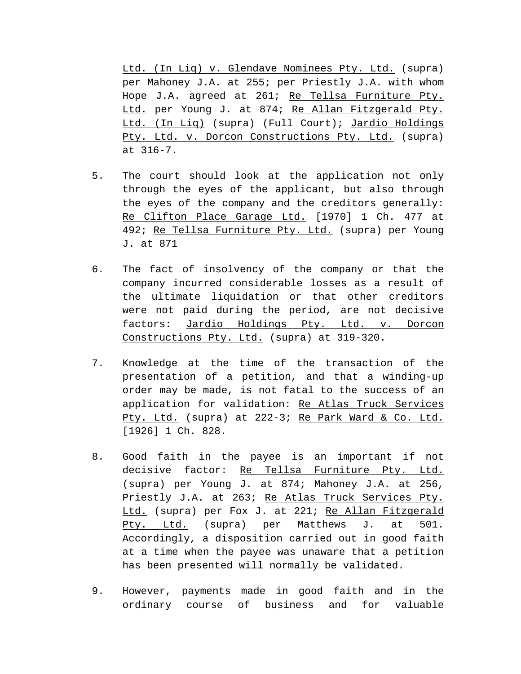Ltd. (In Liq) v. Glendave Nominees Pty. Ltd. (supra) per Mahoney J.A. at 255; per Priestly J.A. with whom Hope J.A. agreed at 261; Re Tellsa Furniture Pty. Ltd. per Young J. at 874; Re Allan Fitzgerald Pty. Ltd. (In Liq) (supra) (Full Court); Jardio Holdings Pty. Ltd. v. Dorcon Constructions Pty. Ltd. (supra) at 316-7.

- 5. The court should look at the application not only through the eyes of the applicant, but also through the eyes of the company and the creditors generally: Re Clifton Place Garage Ltd. [1970] 1 Ch. 477 at 492; Re Tellsa Furniture Pty. Ltd. (supra) per Young J. at 871
- 6. The fact of insolvency of the company or that the company incurred considerable losses as a result of the ultimate liquidation or that other creditors were not paid during the period, are not decisive factors: Jardio Holdings Pty. Ltd. v. Dorcon Constructions Pty. Ltd. (supra) at 319-320.
- 7. Knowledge at the time of the transaction of the presentation of a petition, and that a winding-up order may be made, is not fatal to the success of an application for validation: Re Atlas Truck Services Pty. Ltd. (supra) at 222-3; Re Park Ward & Co. Ltd. [1926] 1 Ch. 828.
- 8. Good faith in the payee is an important if not decisive factor: Re Tellsa Furniture Pty. Ltd. (supra) per Young J. at 874; Mahoney J.A. at 256, Priestly J.A. at 263; Re Atlas Truck Services Pty. Ltd. (supra) per Fox J. at 221; Re Allan Fitzgerald Pty. Ltd. (supra) per Matthews J. at 501. Accordingly, a disposition carried out in good faith at a time when the payee was unaware that a petition has been presented will normally be validated.
- 9. However, payments made in good faith and in the ordinary course of business and for valuable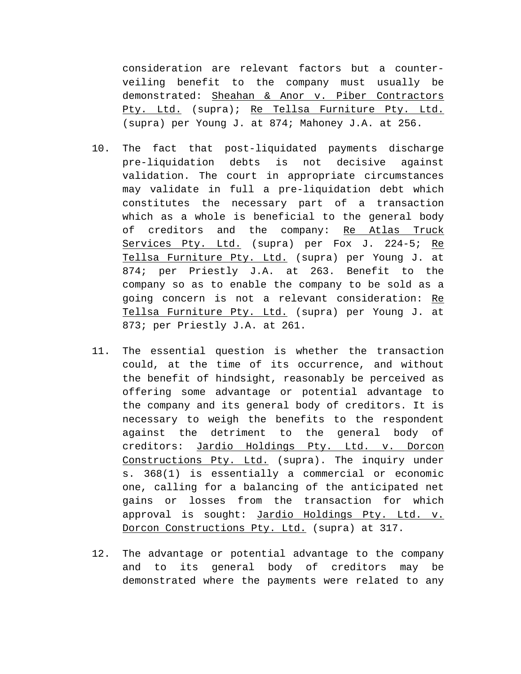consideration are relevant factors but a counterveiling benefit to the company must usually be demonstrated: Sheahan & Anor v. Piber Contractors Pty. Ltd. (supra); Re Tellsa Furniture Pty. Ltd. (supra) per Young J. at 874; Mahoney J.A. at 256.

- 10. The fact that post-liquidated payments discharge pre-liquidation debts is not decisive against validation. The court in appropriate circumstances may validate in full a pre-liquidation debt which constitutes the necessary part of a transaction which as a whole is beneficial to the general body of creditors and the company: Re Atlas Truck Services Pty. Ltd. (supra) per Fox J. 224-5; Re Tellsa Furniture Pty. Ltd. (supra) per Young J. at 874; per Priestly J.A. at 263. Benefit to the company so as to enable the company to be sold as a going concern is not a relevant consideration: Re Tellsa Furniture Pty. Ltd. (supra) per Young J. at 873; per Priestly J.A. at 261.
- 11. The essential question is whether the transaction could, at the time of its occurrence, and without the benefit of hindsight, reasonably be perceived as offering some advantage or potential advantage to the company and its general body of creditors. It is necessary to weigh the benefits to the respondent against the detriment to the general body of creditors: Jardio Holdings Pty. Ltd. v. Dorcon Constructions Pty. Ltd. (supra). The inquiry under s. 368(1) is essentially a commercial or economic one, calling for a balancing of the anticipated net gains or losses from the transaction for which approval is sought: Jardio Holdings Pty. Ltd. v. Dorcon Constructions Pty. Ltd. (supra) at 317.
- 12. The advantage or potential advantage to the company and to its general body of creditors may be demonstrated where the payments were related to any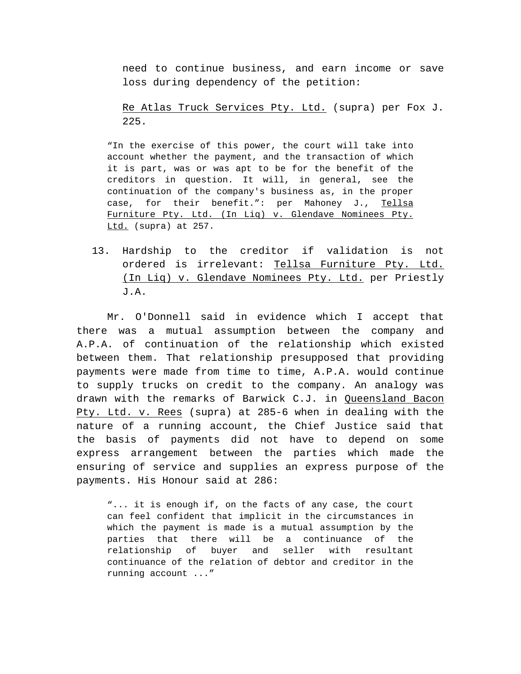need to continue business, and earn income or save loss during dependency of the petition:

Re Atlas Truck Services Pty. Ltd. (supra) per Fox J. 225.

"In the exercise of this power, the court will take into account whether the payment, and the transaction of which it is part, was or was apt to be for the benefit of the creditors in question. It will, in general, see the continuation of the company's business as, in the proper case, for their benefit.": per Mahoney J., Tellsa Furniture Pty. Ltd. (In Lig) v. Glendave Nominees Pty. Ltd. (supra) at 257.

13. Hardship to the creditor if validation is not ordered is irrelevant: Tellsa Furniture Pty. Ltd. (In Liq) v. Glendave Nominees Pty. Ltd. per Priestly J.A.

Mr. O'Donnell said in evidence which I accept that there was a mutual assumption between the company and A.P.A. of continuation of the relationship which existed between them. That relationship presupposed that providing payments were made from time to time, A.P.A. would continue to supply trucks on credit to the company. An analogy was drawn with the remarks of Barwick C.J. in Queensland Bacon Pty. Ltd. v. Rees (supra) at 285-6 when in dealing with the nature of a running account, the Chief Justice said that the basis of payments did not have to depend on some express arrangement between the parties which made the ensuring of service and supplies an express purpose of the payments. His Honour said at 286:

"... it is enough if, on the facts of any case, the court can feel confident that implicit in the circumstances in which the payment is made is a mutual assumption by the parties that there will be a continuance of the relationship of buyer and seller with resultant continuance of the relation of debtor and creditor in the running account ..."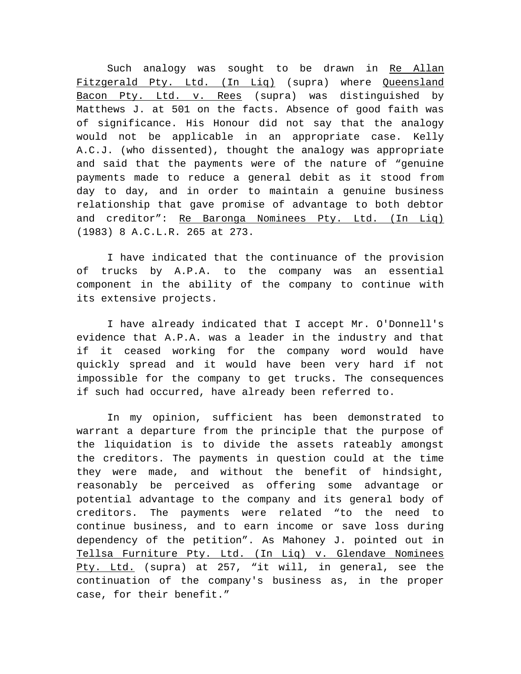Such analogy was sought to be drawn in Re Allan Fitzgerald Pty. Ltd. (In Lig) (supra) where Queensland Bacon Pty. Ltd. v. Rees (supra) was distinguished by Matthews J. at 501 on the facts. Absence of good faith was of significance. His Honour did not say that the analogy would not be applicable in an appropriate case. Kelly A.C.J. (who dissented), thought the analogy was appropriate and said that the payments were of the nature of "genuine payments made to reduce a general debit as it stood from day to day, and in order to maintain a genuine business relationship that gave promise of advantage to both debtor and creditor": Re Baronga Nominees Pty. Ltd. (In Liq) (1983) 8 A.C.L.R. 265 at 273.

I have indicated that the continuance of the provision of trucks by A.P.A. to the company was an essential component in the ability of the company to continue with its extensive projects.

I have already indicated that I accept Mr. O'Donnell's evidence that A.P.A. was a leader in the industry and that if it ceased working for the company word would have quickly spread and it would have been very hard if not impossible for the company to get trucks. The consequences if such had occurred, have already been referred to.

In my opinion, sufficient has been demonstrated to warrant a departure from the principle that the purpose of the liquidation is to divide the assets rateably amongst the creditors. The payments in question could at the time they were made, and without the benefit of hindsight, reasonably be perceived as offering some advantage or potential advantage to the company and its general body of creditors. The payments were related "to the need to continue business, and to earn income or save loss during dependency of the petition". As Mahoney J. pointed out in Tellsa Furniture Pty. Ltd. (In Liq) v. Glendave Nominees Pty. Ltd. (supra) at 257, "it will, in general, see the continuation of the company's business as, in the proper case, for their benefit."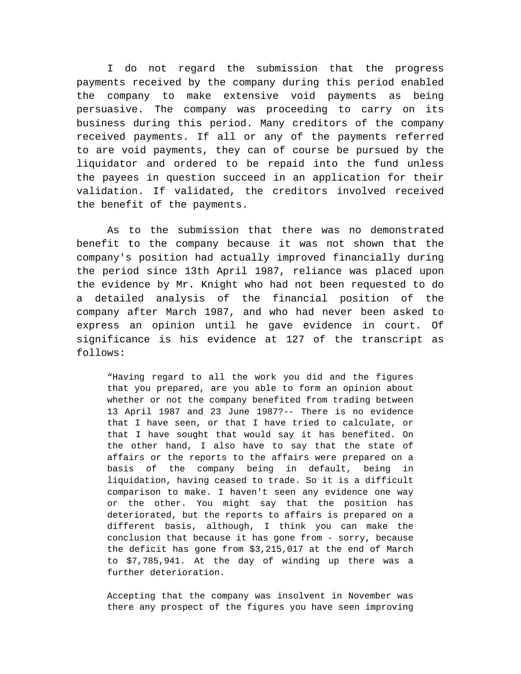I do not regard the submission that the progress payments received by the company during this period enabled the company to make extensive void payments as being persuasive. The company was proceeding to carry on its business during this period. Many creditors of the company received payments. If all or any of the payments referred to are void payments, they can of course be pursued by the liquidator and ordered to be repaid into the fund unless the payees in question succeed in an application for their validation. If validated, the creditors involved received the benefit of the payments.

As to the submission that there was no demonstrated benefit to the company because it was not shown that the company's position had actually improved financially during the period since 13th April 1987, reliance was placed upon the evidence by Mr. Knight who had not been requested to do a detailed analysis of the financial position of the company after March 1987, and who had never been asked to express an opinion until he gave evidence in court. Of significance is his evidence at 127 of the transcript as follows:

"Having regard to all the work you did and the figures that you prepared, are you able to form an opinion about whether or not the company benefited from trading between 13 April 1987 and 23 June 1987?-- There is no evidence that I have seen, or that I have tried to calculate, or that I have sought that would say it has benefited. On the other hand, I also have to say that the state of affairs or the reports to the affairs were prepared on a basis of the company being in default, being in liquidation, having ceased to trade. So it is a difficult comparison to make. I haven't seen any evidence one way or the other. You might say that the position has deteriorated, but the reports to affairs is prepared on a different basis, although, I think you can make the conclusion that because it has gone from - sorry, because the deficit has gone from \$3,215,017 at the end of March to \$7,785,941. At the day of winding up there was a further deterioration.

Accepting that the company was insolvent in November was there any prospect of the figures you have seen improving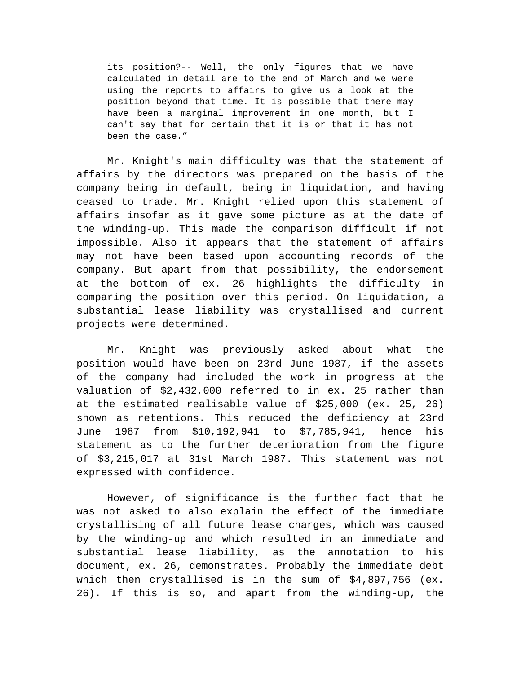its position?-- Well, the only figures that we have calculated in detail are to the end of March and we were using the reports to affairs to give us a look at the position beyond that time. It is possible that there may have been a marginal improvement in one month, but I can't say that for certain that it is or that it has not been the case."

Mr. Knight's main difficulty was that the statement of affairs by the directors was prepared on the basis of the company being in default, being in liquidation, and having ceased to trade. Mr. Knight relied upon this statement of affairs insofar as it gave some picture as at the date of the winding-up. This made the comparison difficult if not impossible. Also it appears that the statement of affairs may not have been based upon accounting records of the company. But apart from that possibility, the endorsement at the bottom of ex. 26 highlights the difficulty in comparing the position over this period. On liquidation, a substantial lease liability was crystallised and current projects were determined.

Mr. Knight was previously asked about what the position would have been on 23rd June 1987, if the assets of the company had included the work in progress at the valuation of \$2,432,000 referred to in ex. 25 rather than at the estimated realisable value of \$25,000 (ex. 25, 26) shown as retentions. This reduced the deficiency at 23rd June 1987 from \$10,192,941 to \$7,785,941, hence his statement as to the further deterioration from the figure of \$3,215,017 at 31st March 1987. This statement was not expressed with confidence.

However, of significance is the further fact that he was not asked to also explain the effect of the immediate crystallising of all future lease charges, which was caused by the winding-up and which resulted in an immediate and substantial lease liability, as the annotation to his document, ex. 26, demonstrates. Probably the immediate debt which then crystallised is in the sum of \$4,897,756 (ex. 26). If this is so, and apart from the winding-up, the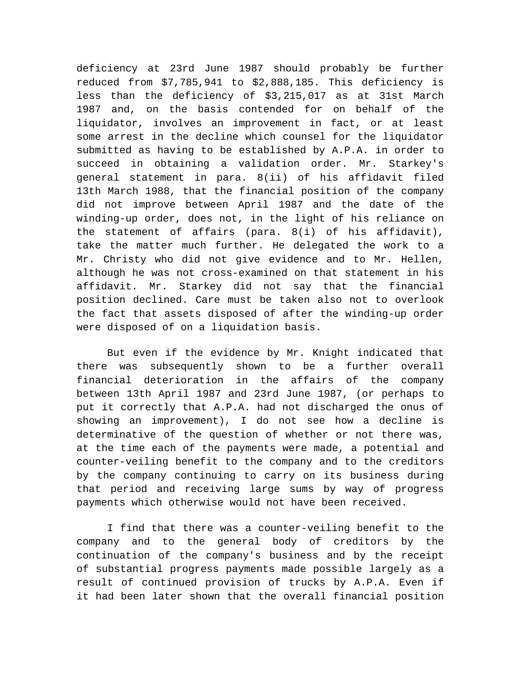deficiency at 23rd June 1987 should probably be further reduced from \$7,785,941 to \$2,888,185. This deficiency is less than the deficiency of \$3,215,017 as at 31st March 1987 and, on the basis contended for on behalf of the liquidator, involves an improvement in fact, or at least some arrest in the decline which counsel for the liquidator submitted as having to be established by A.P.A. in order to succeed in obtaining a validation order. Mr. Starkey's general statement in para. 8(ii) of his affidavit filed 13th March 1988, that the financial position of the company did not improve between April 1987 and the date of the winding-up order, does not, in the light of his reliance on the statement of affairs (para. 8(i) of his affidavit), take the matter much further. He delegated the work to a Mr. Christy who did not give evidence and to Mr. Hellen, although he was not cross-examined on that statement in his affidavit. Mr. Starkey did not say that the financial position declined. Care must be taken also not to overlook the fact that assets disposed of after the winding-up order were disposed of on a liquidation basis.

But even if the evidence by Mr. Knight indicated that there was subsequently shown to be a further overall financial deterioration in the affairs of the company between 13th April 1987 and 23rd June 1987, (or perhaps to put it correctly that A.P.A. had not discharged the onus of showing an improvement), I do not see how a decline is determinative of the question of whether or not there was, at the time each of the payments were made, a potential and counter-veiling benefit to the company and to the creditors by the company continuing to carry on its business during that period and receiving large sums by way of progress payments which otherwise would not have been received.

I find that there was a counter-veiling benefit to the company and to the general body of creditors by the continuation of the company's business and by the receipt of substantial progress payments made possible largely as a result of continued provision of trucks by A.P.A. Even if it had been later shown that the overall financial position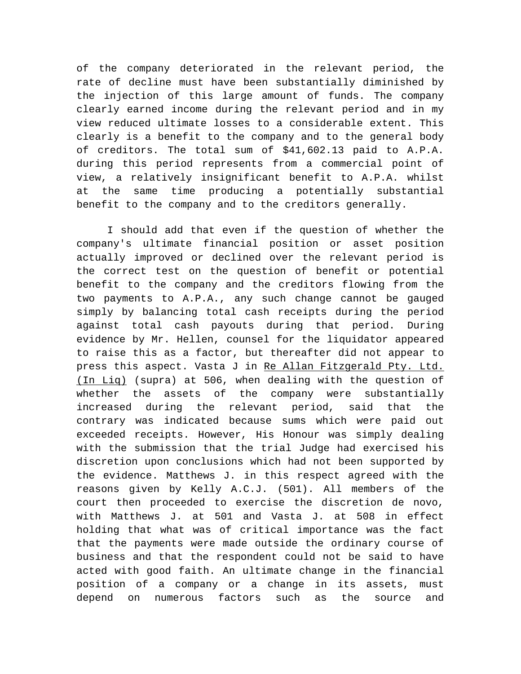of the company deteriorated in the relevant period, the rate of decline must have been substantially diminished by the injection of this large amount of funds. The company clearly earned income during the relevant period and in my view reduced ultimate losses to a considerable extent. This clearly is a benefit to the company and to the general body of creditors. The total sum of \$41,602.13 paid to A.P.A. during this period represents from a commercial point of view, a relatively insignificant benefit to A.P.A. whilst at the same time producing a potentially substantial benefit to the company and to the creditors generally.

I should add that even if the question of whether the company's ultimate financial position or asset position actually improved or declined over the relevant period is the correct test on the question of benefit or potential benefit to the company and the creditors flowing from the two payments to A.P.A., any such change cannot be gauged simply by balancing total cash receipts during the period against total cash payouts during that period. During evidence by Mr. Hellen, counsel for the liquidator appeared to raise this as a factor, but thereafter did not appear to press this aspect. Vasta J in Re Allan Fitzgerald Pty. Ltd. (In Liq) (supra) at 506, when dealing with the question of whether the assets of the company were substantially increased during the relevant period, said that the contrary was indicated because sums which were paid out exceeded receipts. However, His Honour was simply dealing with the submission that the trial Judge had exercised his discretion upon conclusions which had not been supported by the evidence. Matthews J. in this respect agreed with the reasons given by Kelly A.C.J. (501). All members of the court then proceeded to exercise the discretion de novo, with Matthews J. at 501 and Vasta J. at 508 in effect holding that what was of critical importance was the fact that the payments were made outside the ordinary course of business and that the respondent could not be said to have acted with good faith. An ultimate change in the financial position of a company or a change in its assets, must depend on numerous factors such as the source and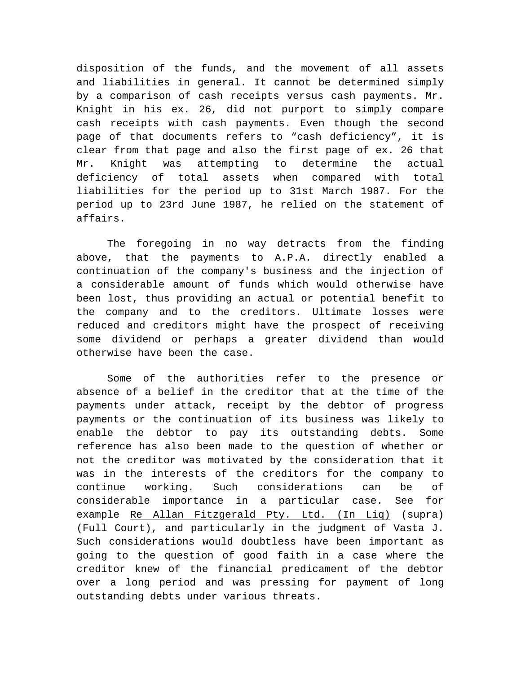disposition of the funds, and the movement of all assets and liabilities in general. It cannot be determined simply by a comparison of cash receipts versus cash payments. Mr. Knight in his ex. 26, did not purport to simply compare cash receipts with cash payments. Even though the second page of that documents refers to "cash deficiency", it is clear from that page and also the first page of ex. 26 that Mr. Knight was attempting to determine the actual deficiency of total assets when compared with total liabilities for the period up to 31st March 1987. For the period up to 23rd June 1987, he relied on the statement of affairs.

The foregoing in no way detracts from the finding above, that the payments to A.P.A. directly enabled a continuation of the company's business and the injection of a considerable amount of funds which would otherwise have been lost, thus providing an actual or potential benefit to the company and to the creditors. Ultimate losses were reduced and creditors might have the prospect of receiving some dividend or perhaps a greater dividend than would otherwise have been the case.

Some of the authorities refer to the presence or absence of a belief in the creditor that at the time of the payments under attack, receipt by the debtor of progress payments or the continuation of its business was likely to enable the debtor to pay its outstanding debts. Some reference has also been made to the question of whether or not the creditor was motivated by the consideration that it was in the interests of the creditors for the company to continue working. Such considerations can be of considerable importance in a particular case. See for example Re Allan Fitzgerald Pty. Ltd. (In Liq) (supra) (Full Court), and particularly in the judgment of Vasta J. Such considerations would doubtless have been important as going to the question of good faith in a case where the creditor knew of the financial predicament of the debtor over a long period and was pressing for payment of long outstanding debts under various threats.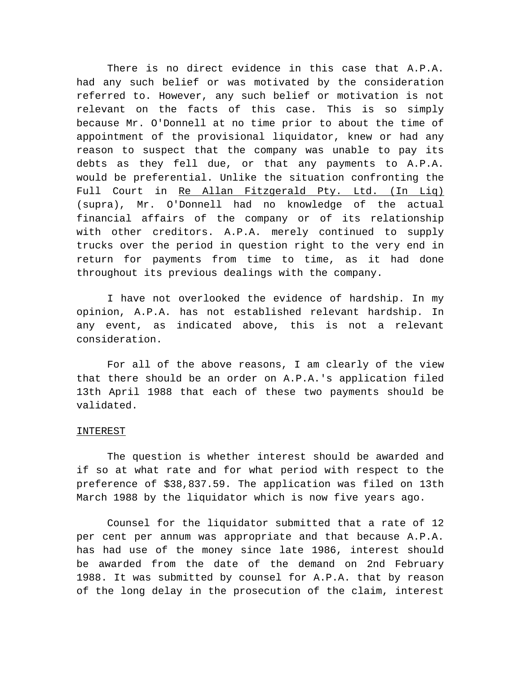There is no direct evidence in this case that A.P.A. had any such belief or was motivated by the consideration referred to. However, any such belief or motivation is not relevant on the facts of this case. This is so simply because Mr. O'Donnell at no time prior to about the time of appointment of the provisional liquidator, knew or had any reason to suspect that the company was unable to pay its debts as they fell due, or that any payments to A.P.A. would be preferential. Unlike the situation confronting the Full Court in Re Allan Fitzgerald Pty. Ltd. (In Liq) (supra), Mr. O'Donnell had no knowledge of the actual financial affairs of the company or of its relationship with other creditors. A.P.A. merely continued to supply trucks over the period in question right to the very end in return for payments from time to time, as it had done throughout its previous dealings with the company.

I have not overlooked the evidence of hardship. In my opinion, A.P.A. has not established relevant hardship. In any event, as indicated above, this is not a relevant consideration.

For all of the above reasons, I am clearly of the view that there should be an order on A.P.A.'s application filed 13th April 1988 that each of these two payments should be validated.

## INTEREST

The question is whether interest should be awarded and if so at what rate and for what period with respect to the preference of \$38,837.59. The application was filed on 13th March 1988 by the liquidator which is now five years ago.

Counsel for the liquidator submitted that a rate of 12 per cent per annum was appropriate and that because A.P.A. has had use of the money since late 1986, interest should be awarded from the date of the demand on 2nd February 1988. It was submitted by counsel for A.P.A. that by reason of the long delay in the prosecution of the claim, interest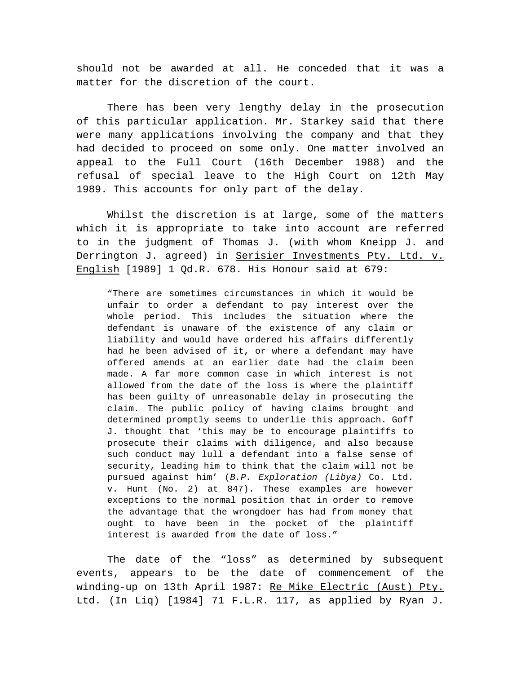should not be awarded at all. He conceded that it was a matter for the discretion of the court.

There has been very lengthy delay in the prosecution of this particular application. Mr. Starkey said that there were many applications involving the company and that they had decided to proceed on some only. One matter involved an appeal to the Full Court (16th December 1988) and the refusal of special leave to the High Court on 12th May 1989. This accounts for only part of the delay.

Whilst the discretion is at large, some of the matters which it is appropriate to take into account are referred to in the judgment of Thomas J. (with whom Kneipp J. and Derrington J. agreed) in Serisier Investments Pty. Ltd. v. English [1989] 1 Qd.R. 678. His Honour said at 679:

"There are sometimes circumstances in which it would be unfair to order a defendant to pay interest over the whole period. This includes the situation where the defendant is unaware of the existence of any claim or liability and would have ordered his affairs differently had he been advised of it, or where a defendant may have offered amends at an earlier date had the claim been made. A far more common case in which interest is not allowed from the date of the loss is where the plaintiff has been guilty of unreasonable delay in prosecuting the claim. The public policy of having claims brought and determined promptly seems to underlie this approach. Goff J. thought that 'this may be to encourage plaintiffs to prosecute their claims with diligence, and also because such conduct may lull a defendant into a false sense of security, leading him to think that the claim will not be pursued against him' (*B.P. Exploration (Libya)* Co. Ltd. v. Hunt (No. 2) at 847). These examples are however exceptions to the normal position that in order to remove the advantage that the wrongdoer has had from money that ought to have been in the pocket of the plaintiff interest is awarded from the date of loss."

The date of the "loss" as determined by subsequent events, appears to be the date of commencement of the winding-up on 13th April 1987: Re Mike Electric (Aust) Pty. Ltd. (In Liq) [1984] 71 F.L.R. 117, as applied by Ryan J.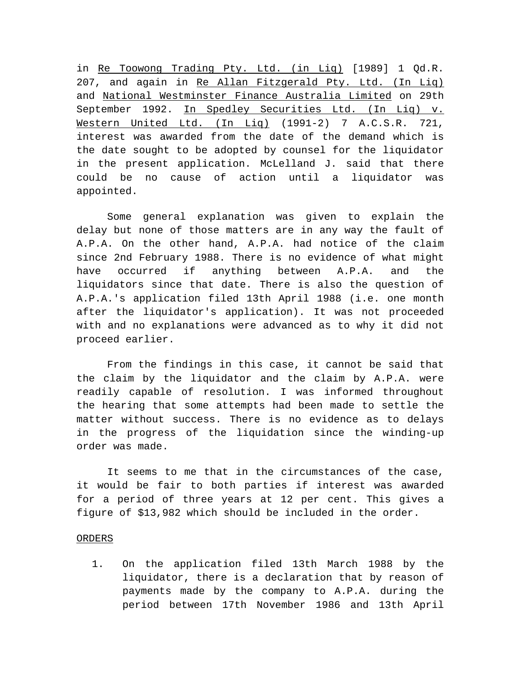in Re Toowong Trading Pty. Ltd. (in Liq) [1989] 1 Qd.R. 207, and again in Re Allan Fitzgerald Pty. Ltd. (In Liq) and National Westminster Finance Australia Limited on 29th September 1992. In Spedley Securities Ltd. (In Liq) v. Western United Ltd. (In Liq) (1991-2) 7 A.C.S.R. 721, interest was awarded from the date of the demand which is the date sought to be adopted by counsel for the liquidator in the present application. McLelland J. said that there could be no cause of action until a liquidator was appointed.

Some general explanation was given to explain the delay but none of those matters are in any way the fault of A.P.A. On the other hand, A.P.A. had notice of the claim since 2nd February 1988. There is no evidence of what might have occurred if anything between A.P.A. and the liquidators since that date. There is also the question of A.P.A.'s application filed 13th April 1988 (i.e. one month after the liquidator's application). It was not proceeded with and no explanations were advanced as to why it did not proceed earlier.

From the findings in this case, it cannot be said that the claim by the liquidator and the claim by A.P.A. were readily capable of resolution. I was informed throughout the hearing that some attempts had been made to settle the matter without success. There is no evidence as to delays in the progress of the liquidation since the winding-up order was made.

It seems to me that in the circumstances of the case, it would be fair to both parties if interest was awarded for a period of three years at 12 per cent. This gives a figure of \$13,982 which should be included in the order.

## ORDERS

1. On the application filed 13th March 1988 by the liquidator, there is a declaration that by reason of payments made by the company to A.P.A. during the period between 17th November 1986 and 13th April